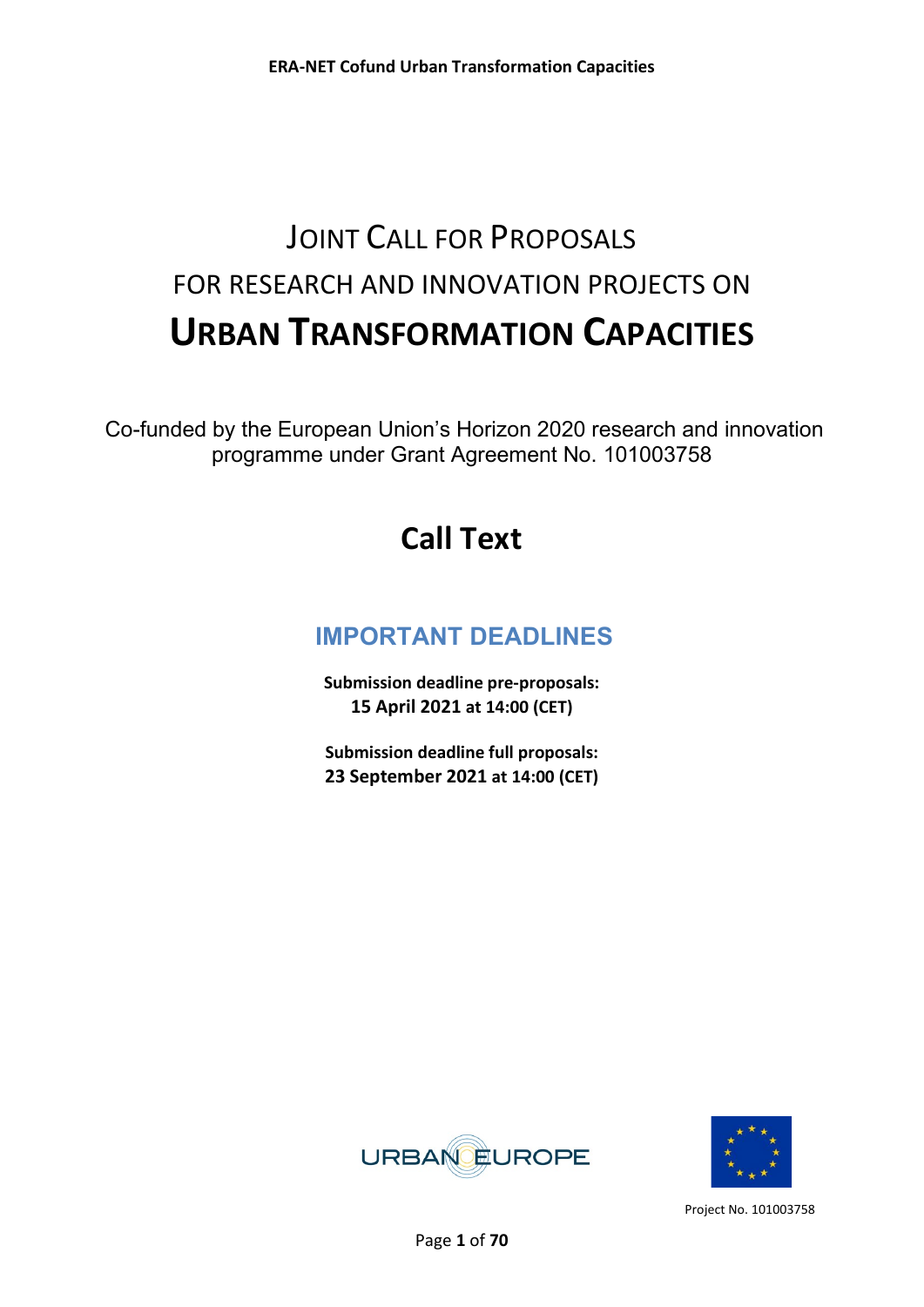# JOINT CALL FOR PROPOSALS FOR RESEARCH AND INNOVATION PROJECTS ON **URBAN TRANSFORMATION CAPACITIES**

Co-funded by the European Union's Horizon 2020 research and innovation programme under Grant Agreement No. 101003758

# **Call Text**

# **IMPORTANT DEADLINES**

**Submission deadline pre-proposals: 15 April 2021 at 14:00 (CET)** 

**Submission deadline full proposals: 23 September 2021 at 14:00 (CET)**



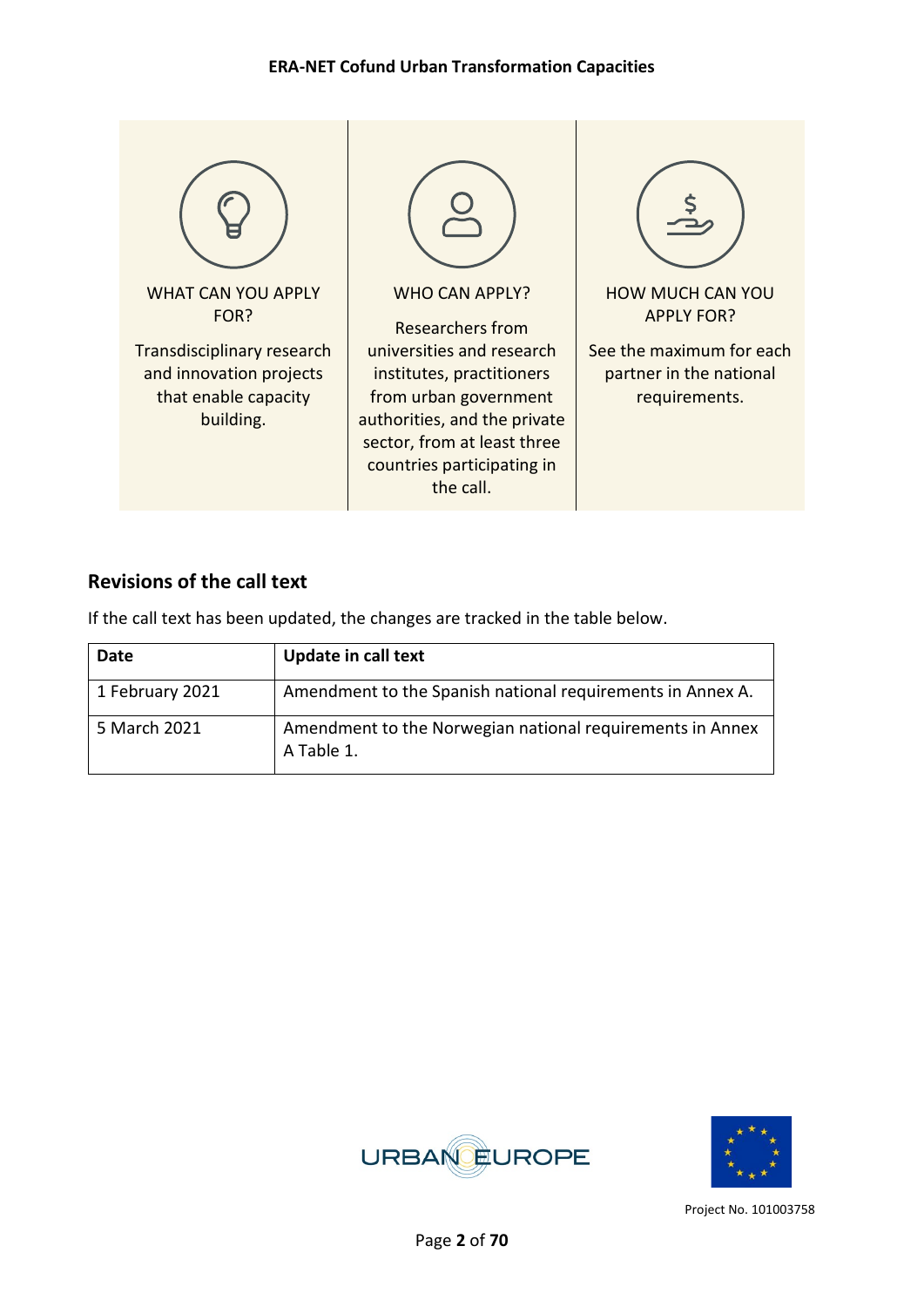

## **Revisions of the call text**

If the call text has been updated, the changes are tracked in the table below.

| Date            | <b>Update in call text</b>                                              |
|-----------------|-------------------------------------------------------------------------|
| 1 February 2021 | Amendment to the Spanish national requirements in Annex A.              |
| 5 March 2021    | Amendment to the Norwegian national requirements in Annex<br>A Table 1. |



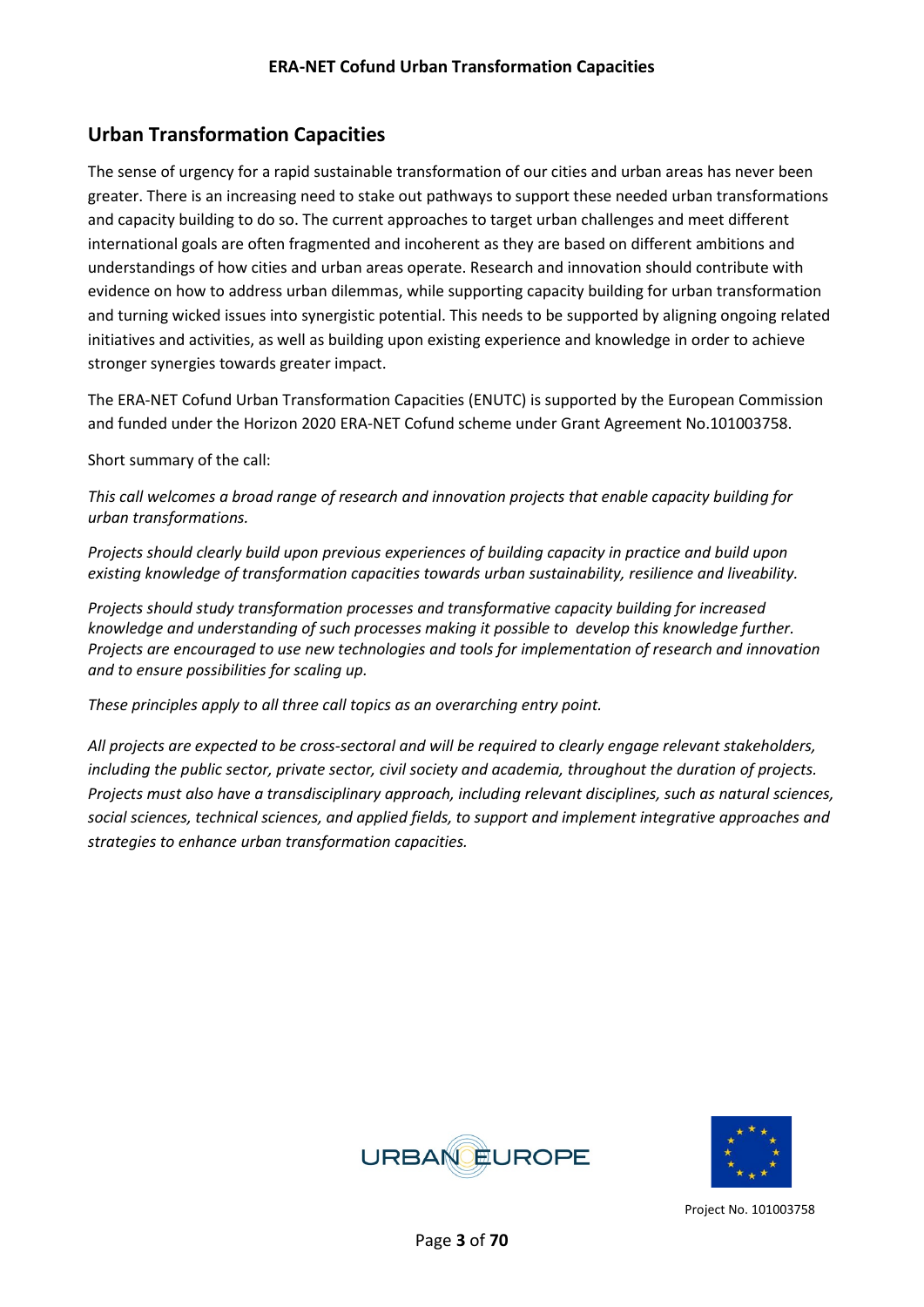## **Urban Transformation Capacities**

The sense of urgency for a rapid sustainable transformation of our cities and urban areas has never been greater. There is an increasing need to stake out pathways to support these needed urban transformations and capacity building to do so. The current approaches to target urban challenges and meet different international goals are often fragmented and incoherent as they are based on different ambitions and understandings of how cities and urban areas operate. Research and innovation should contribute with evidence on how to address urban dilemmas, while supporting capacity building for urban transformation and turning wicked issues into synergistic potential. This needs to be supported by aligning ongoing related initiatives and activities, as well as building upon existing experience and knowledge in order to achieve stronger synergies towards greater impact.

The ERA-NET Cofund Urban Transformation Capacities (ENUTC) is supported by the European Commission and funded under the Horizon 2020 ERA-NET Cofund scheme under Grant Agreement No.101003758.

Short summary of the call:

*This call welcomes a broad range of research and innovation projects that enable capacity building for urban transformations.* 

*Projects should clearly build upon previous experiences of building capacity in practice and build upon existing knowledge of transformation capacities towards urban sustainability, resilience and liveability.*

*Projects should study transformation processes and transformative capacity building for increased knowledge and understanding of such processes making it possible to develop this knowledge further. Projects are encouraged to use new technologies and tools for implementation of research and innovation and to ensure possibilities for scaling up.* 

*These principles apply to all three call topics as an overarching entry point.*

*All projects are expected to be cross-sectoral and will be required to clearly engage relevant stakeholders, including the public sector, private sector, civil society and academia, throughout the duration of projects. Projects must also have a transdisciplinary approach, including relevant disciplines, such as natural sciences, social sciences, technical sciences, and applied fields, to support and implement integrative approaches and strategies to enhance urban transformation capacities.*



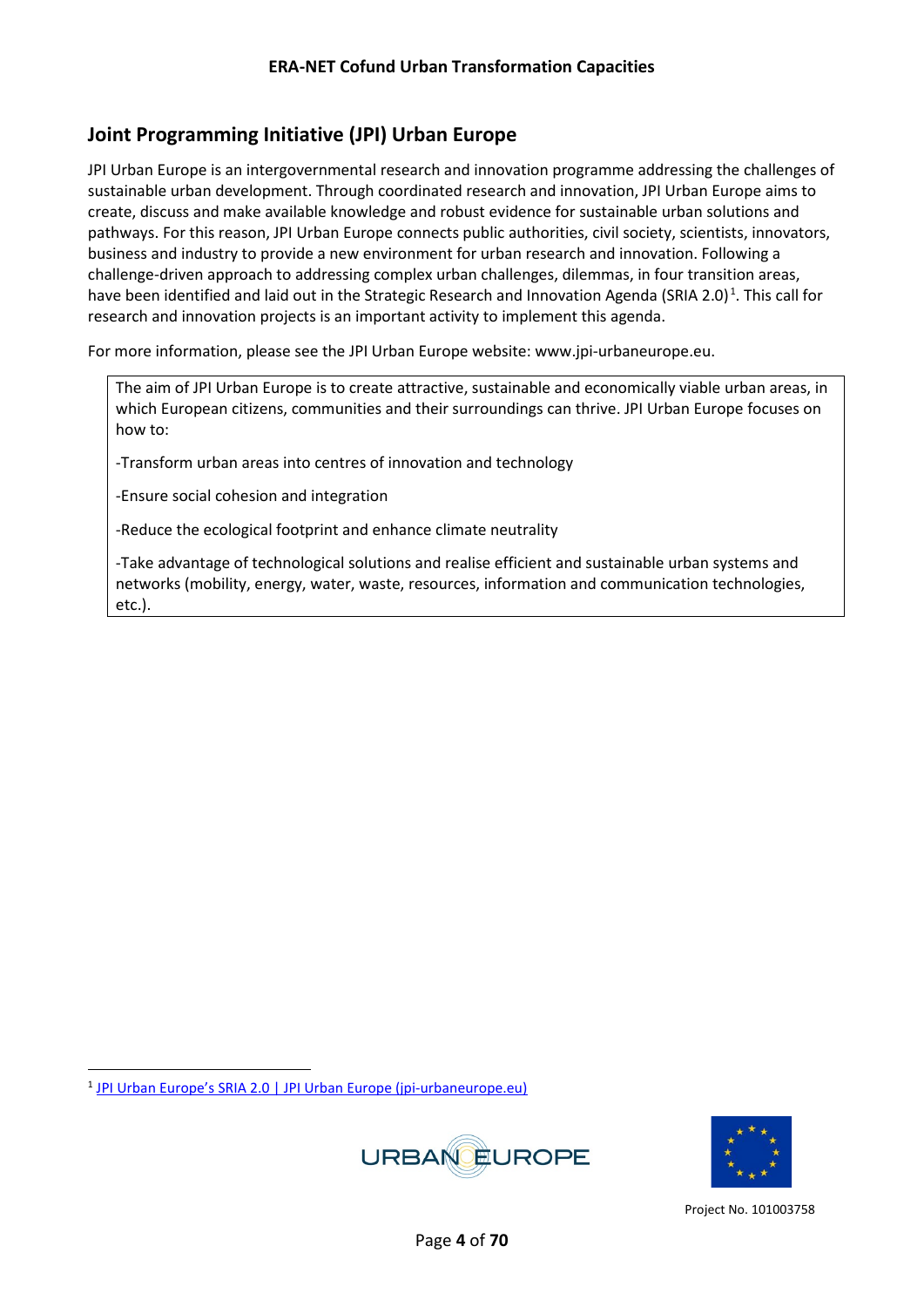## **Joint Programming Initiative (JPI) Urban Europe**

JPI Urban Europe is an intergovernmental research and innovation programme addressing the challenges of sustainable urban development. Through coordinated research and innovation, JPI Urban Europe aims to create, discuss and make available knowledge and robust evidence for sustainable urban solutions and pathways. For this reason, JPI Urban Europe connects public authorities, civil society, scientists, innovators, business and industry to provide a new environment for urban research and innovation. Following a challenge-driven approach to addressing complex urban challenges, dilemmas, in four transition areas, have been identified and laid out in the Strategic Research [and Innovation Agenda \(SRIA 2.0\)](https://vinnova.sharepoint.com/teams/formas/em/intArbete/InternationelltArbDok/JPI%20Urban%20Europe/Utlysningar/ENUTC/WP2%20Call/To%20enhance%20urban%20transformation%20capacities%20and%20expertise,%20JPI%20Urban%20Europe%20has%20taken%20a%20challenge-driven%20approach%20and%20identified%20a%20need%20to%20foreground%20dilemmas%20in%20four%20transition%20areas%20in%20their%20updated%20SRIA.)<sup>[1](#page-3-0)</sup>. This call for research and innovation projects is an important activity to implement this agenda.

For more information, please see the JPI Urban Europe website: www.jpi-urbaneurope.eu.

The aim of JPI Urban Europe is to create attractive, sustainable and economically viable urban areas, in which European citizens, communities and their surroundings can thrive. JPI Urban Europe focuses on how to:

-Transform urban areas into centres of innovation and technology

-Ensure social cohesion and integration

-Reduce the ecological footprint and enhance climate neutrality

-Take advantage of technological solutions and realise efficient and sustainable urban systems and networks (mobility, energy, water, waste, resources, information and communication technologies, etc.).

<span id="page-3-0"></span><sup>1</sup> [JPI Urban Europe's SRIA 2.0 | JPI Urban Europe \(jpi-urbaneurope.eu\)](https://jpi-urbaneurope.eu/about/sria/sria-2-0/)



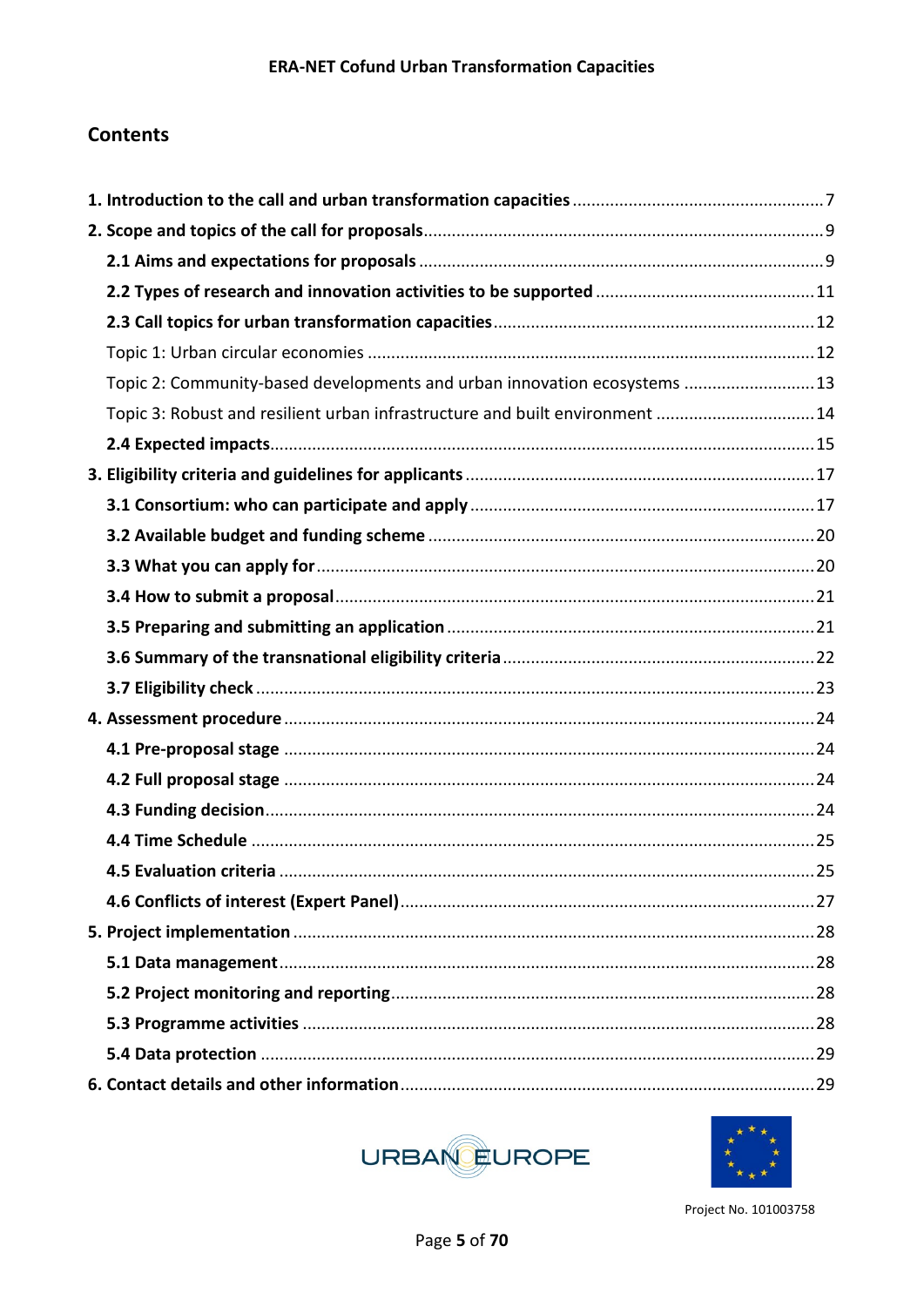## **Contents**

| Topic 2: Community-based developments and urban innovation ecosystems  13    |  |
|------------------------------------------------------------------------------|--|
| Topic 3: Robust and resilient urban infrastructure and built environment  14 |  |
|                                                                              |  |
|                                                                              |  |
|                                                                              |  |
|                                                                              |  |
|                                                                              |  |
|                                                                              |  |
|                                                                              |  |
|                                                                              |  |
|                                                                              |  |
|                                                                              |  |
|                                                                              |  |
|                                                                              |  |
|                                                                              |  |
|                                                                              |  |
|                                                                              |  |
|                                                                              |  |
|                                                                              |  |
|                                                                              |  |
|                                                                              |  |
|                                                                              |  |
|                                                                              |  |
|                                                                              |  |



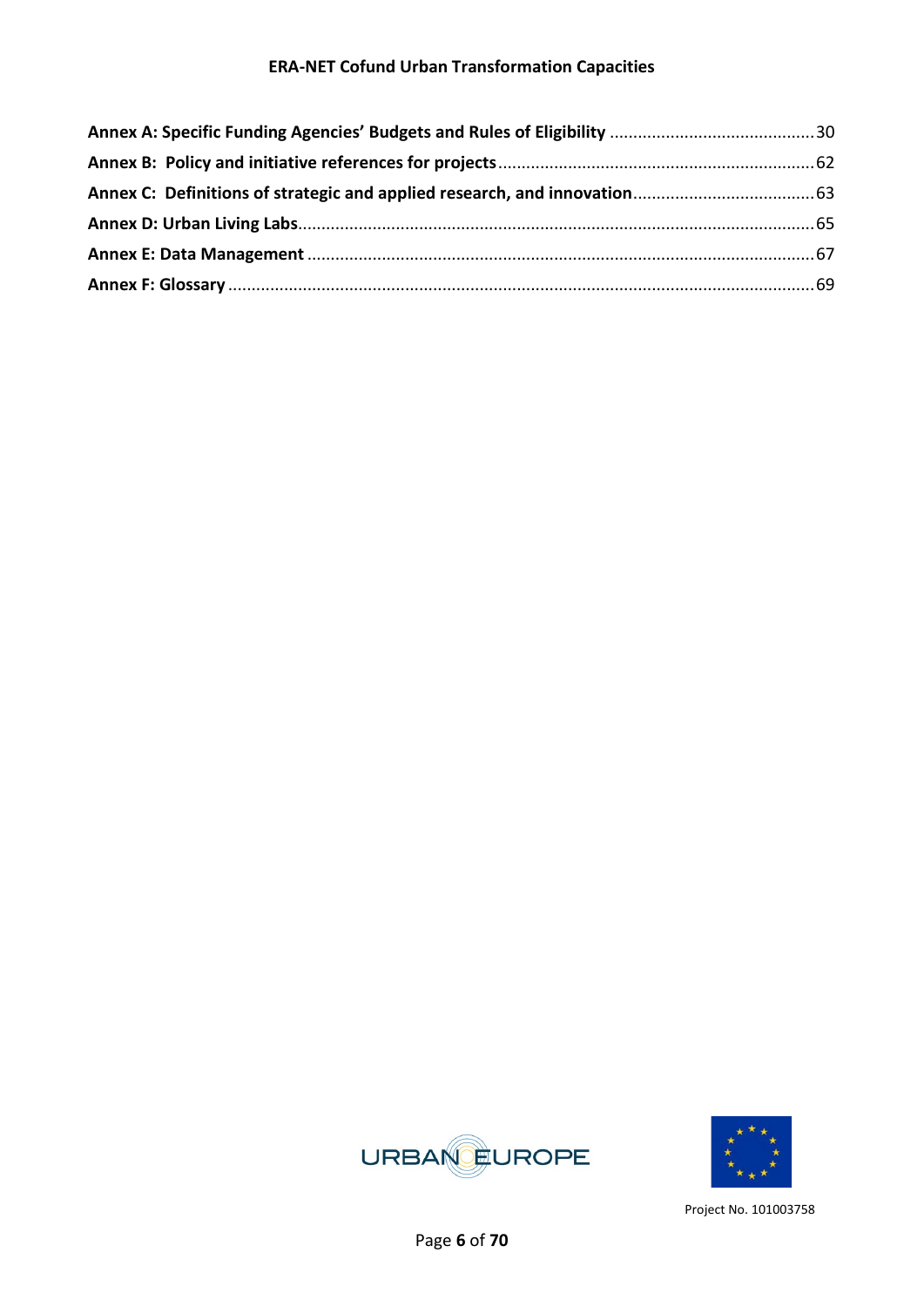

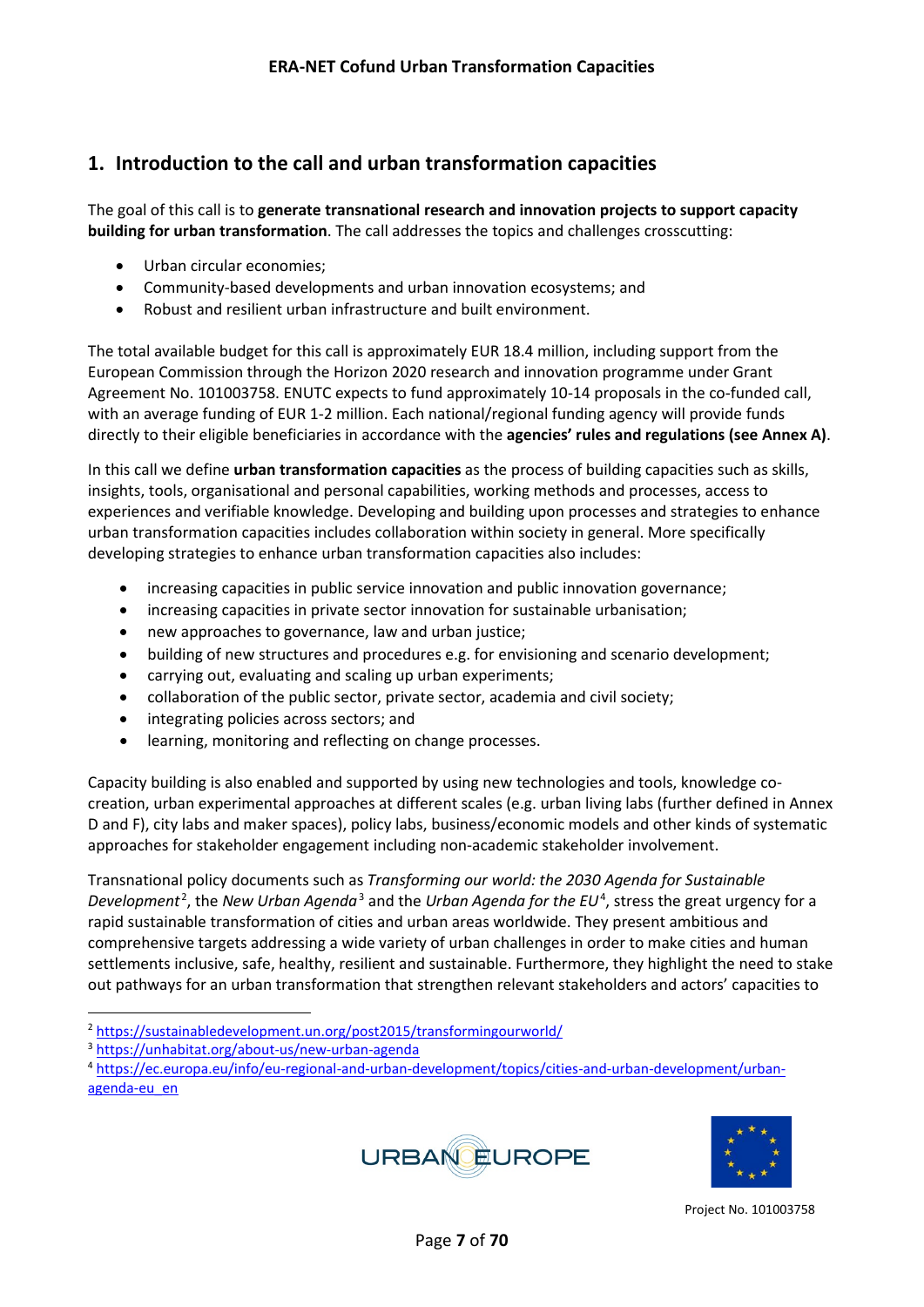## <span id="page-6-0"></span>**1. Introduction to the call and urban transformation capacities**

The goal of this call is to **generate transnational research and innovation projects to support capacity building for urban transformation**. The call addresses the topics and challenges crosscutting:

- Urban circular economies;
- Community-based developments and urban innovation ecosystems; and
- Robust and resilient urban infrastructure and built environment.

The total available budget for this call is approximately EUR 18.4 million, including support from the European Commission through the Horizon 2020 research and innovation programme under Grant Agreement No. 101003758. ENUTC expects to fund approximately 10-14 proposals in the co-funded call, with an average funding of EUR 1-2 million. Each national/regional funding agency will provide funds directly to their eligible beneficiaries in accordance with the **agencies' rules and regulations (see Annex A)**.

In this call we define **urban transformation capacities** as the process of building capacities such as skills, insights, tools, organisational and personal capabilities, working methods and processes, access to experiences and verifiable knowledge. Developing and building upon processes and strategies to enhance urban transformation capacities includes collaboration within society in general. More specifically developing strategies to enhance urban transformation capacities also includes:

- increasing capacities in public service innovation and public innovation governance;
- increasing capacities in private sector innovation for sustainable urbanisation;
- new approaches to governance, law and urban justice;
- building of new structures and procedures e.g. for envisioning and scenario development;
- carrying out, evaluating and scaling up urban experiments;
- collaboration of the public sector, private sector, academia and civil society;
- integrating policies across sectors; and
- learning, monitoring and reflecting on change processes.

Capacity building is also enabled and supported by using new technologies and tools, knowledge cocreation, urban experimental approaches at different scales (e.g. urban living labs (further defined in Annex D and F), city labs and maker spaces), policy labs, business/economic models and other kinds of systematic approaches for stakeholder engagement including non-academic stakeholder involvement.

Transnational policy documents such as *Transforming our world: the 2030 Agenda for Sustainable*  Development<sup>[2](#page-6-1)</sup>, the New Urban Agenda<sup>[3](#page-6-2)</sup> and the Urban Agenda for the EU<sup>[4](#page-6-3)</sup>, stress the great urgency for a rapid sustainable transformation of cities and urban areas worldwide. They present ambitious and comprehensive targets addressing a wide variety of urban challenges in order to make cities and human settlements inclusive, safe, healthy, resilient and sustainable. Furthermore, they highlight the need to stake out pathways for an urban transformation that strengthen relevant stakeholders and actors' capacities to

<span id="page-6-3"></span><sup>4</sup> [https://ec.europa.eu/info/eu-regional-and-urban-development/topics/cities-and-urban-development/urban](https://ec.europa.eu/info/eu-regional-and-urban-development/topics/cities-and-urban-development/urban-agenda-eu_en)[agenda-eu\\_en](https://ec.europa.eu/info/eu-regional-and-urban-development/topics/cities-and-urban-development/urban-agenda-eu_en)





<span id="page-6-1"></span><sup>2</sup> <https://sustainabledevelopment.un.org/post2015/transformingourworld/>3 <https://unhabitat.org/about-us/new-urban-agenda>

<span id="page-6-2"></span>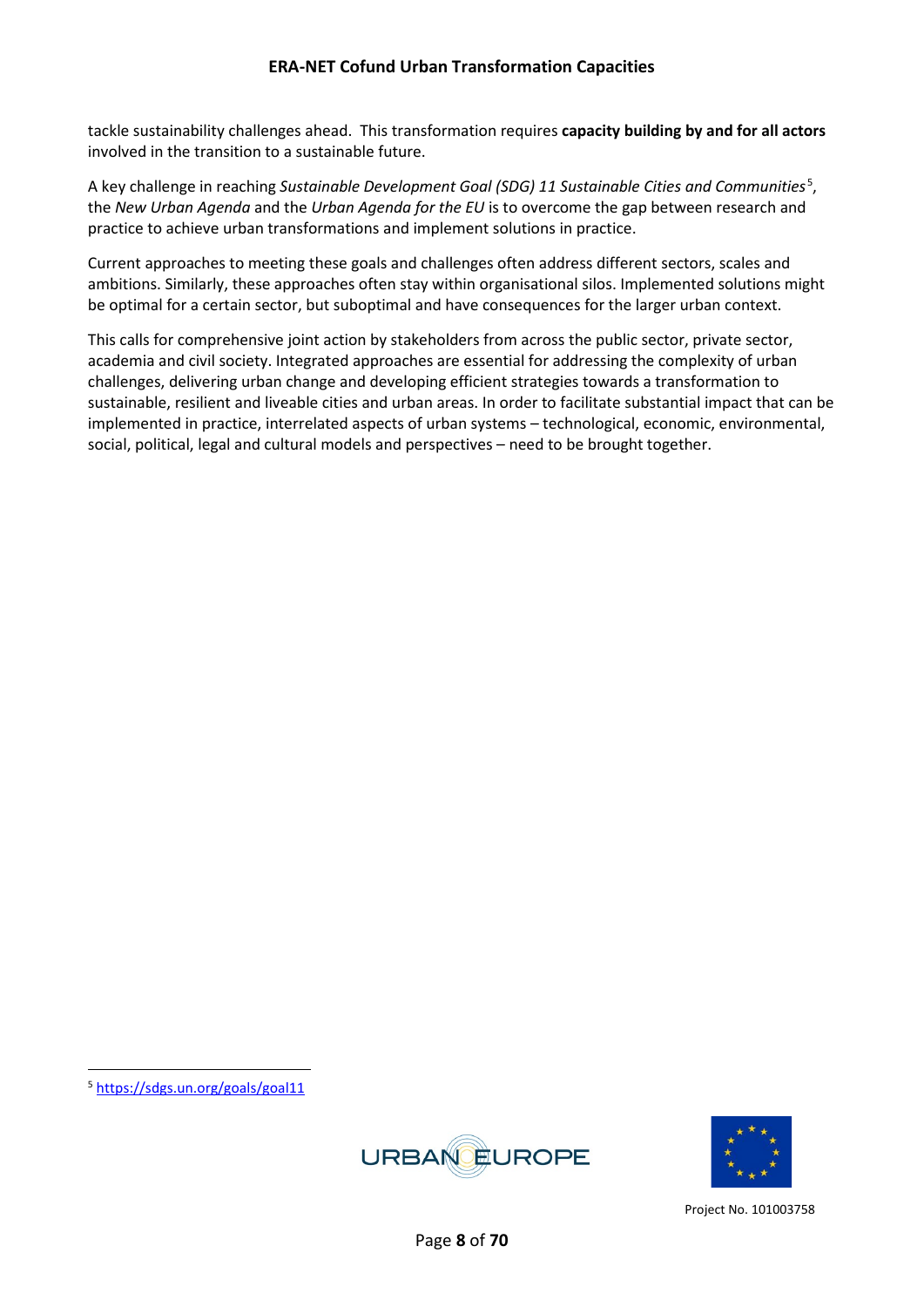tackle sustainability challenges ahead. This transformation requires **capacity building by and for all actors**  involved in the transition to a sustainable future.

A key challenge in reaching Sustainable Development Goal (SDG) 11 Sustainable Cities and Communities<sup>[5](#page-7-0)</sup>, the *New Urban Agenda* and the *Urban Agenda for the EU* is to overcome the gap between research and practice to achieve urban transformations and implement solutions in practice.

Current approaches to meeting these goals and challenges often address different sectors, scales and ambitions. Similarly, these approaches often stay within organisational silos. Implemented solutions might be optimal for a certain sector, but suboptimal and have consequences for the larger urban context.

This calls for comprehensive joint action by stakeholders from across the public sector, private sector, academia and civil society. Integrated approaches are essential for addressing the complexity of urban challenges, delivering urban change and developing efficient strategies towards a transformation to sustainable, resilient and liveable cities and urban areas. In order to facilitate substantial impact that can be implemented in practice, interrelated aspects of urban systems – technological, economic, environmental, social, political, legal and cultural models and perspectives – need to be brought together.

<span id="page-7-0"></span><sup>5</sup> <https://sdgs.un.org/goals/goal11>



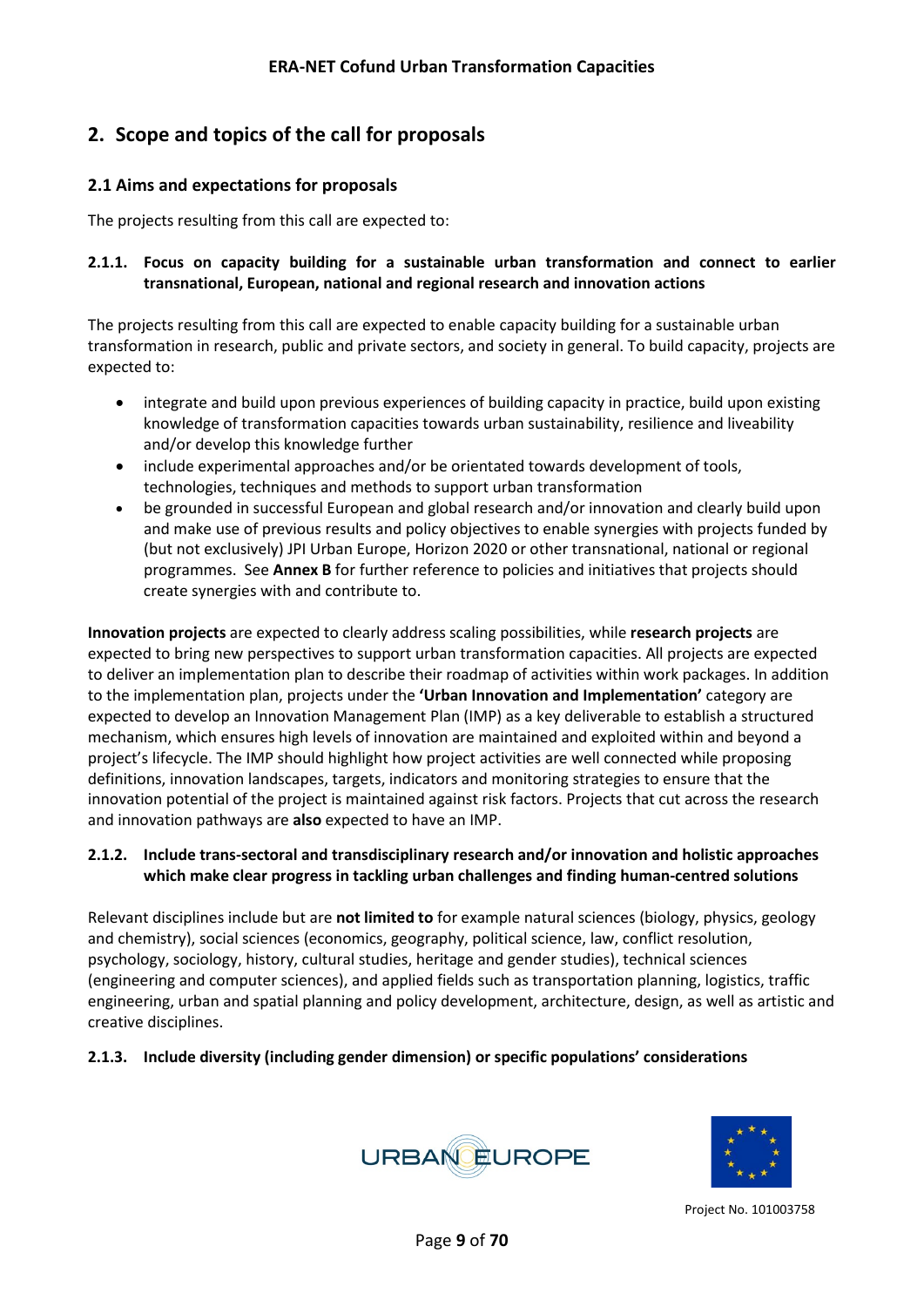## <span id="page-8-0"></span>**2. Scope and topics of the call for proposals**

#### <span id="page-8-1"></span>**2.1 Aims and expectations for proposals**

The projects resulting from this call are expected to:

#### **2.1.1. Focus on capacity building for a sustainable urban transformation and connect to earlier transnational, European, national and regional research and innovation actions**

The projects resulting from this call are expected to enable capacity building for a sustainable urban transformation in research, public and private sectors, and society in general. To build capacity, projects are expected to:

- integrate and build upon previous experiences of building capacity in practice, build upon existing knowledge of transformation capacities towards urban sustainability, resilience and liveability and/or develop this knowledge further
- include experimental approaches and/or be orientated towards development of tools, technologies, techniques and methods to support urban transformation
- be grounded in successful European and global research and/or innovation and clearly build upon and make use of previous results and policy objectives to enable synergies with projects funded by (but not exclusively) JPI Urban Europe, Horizon 2020 or other transnational, national or regional programmes. See **Annex B** for further reference to policies and initiatives that projects should create synergies with and contribute to.

**Innovation projects** are expected to clearly address scaling possibilities, while **research projects** are expected to bring new perspectives to support urban transformation capacities. All projects are expected to deliver an implementation plan to describe their roadmap of activities within work packages. In addition to the implementation plan, projects under the **'Urban Innovation and Implementation'** category are expected to develop an Innovation Management Plan (IMP) as a key deliverable to establish a structured mechanism, which ensures high levels of innovation are maintained and exploited within and beyond a project's lifecycle. The IMP should highlight how project activities are well connected while proposing definitions, innovation landscapes, targets, indicators and monitoring strategies to ensure that the innovation potential of the project is maintained against risk factors. Projects that cut across the research and innovation pathways are **also** expected to have an IMP.

#### **2.1.2. Include trans-sectoral and transdisciplinary research and/or innovation and holistic approaches which make clear progress in tackling urban challenges and finding human-centred solutions**

Relevant disciplines include but are **not limited to** for example natural sciences (biology, physics, geology and chemistry), social sciences (economics, geography, political science, law, conflict resolution, psychology, sociology, history, cultural studies, heritage and gender studies), technical sciences (engineering and computer sciences), and applied fields such as transportation planning, logistics, traffic engineering, urban and spatial planning and policy development, architecture, design, as well as artistic and creative disciplines.

#### **2.1.3. Include diversity (including gender dimension) or specific populations' considerations**



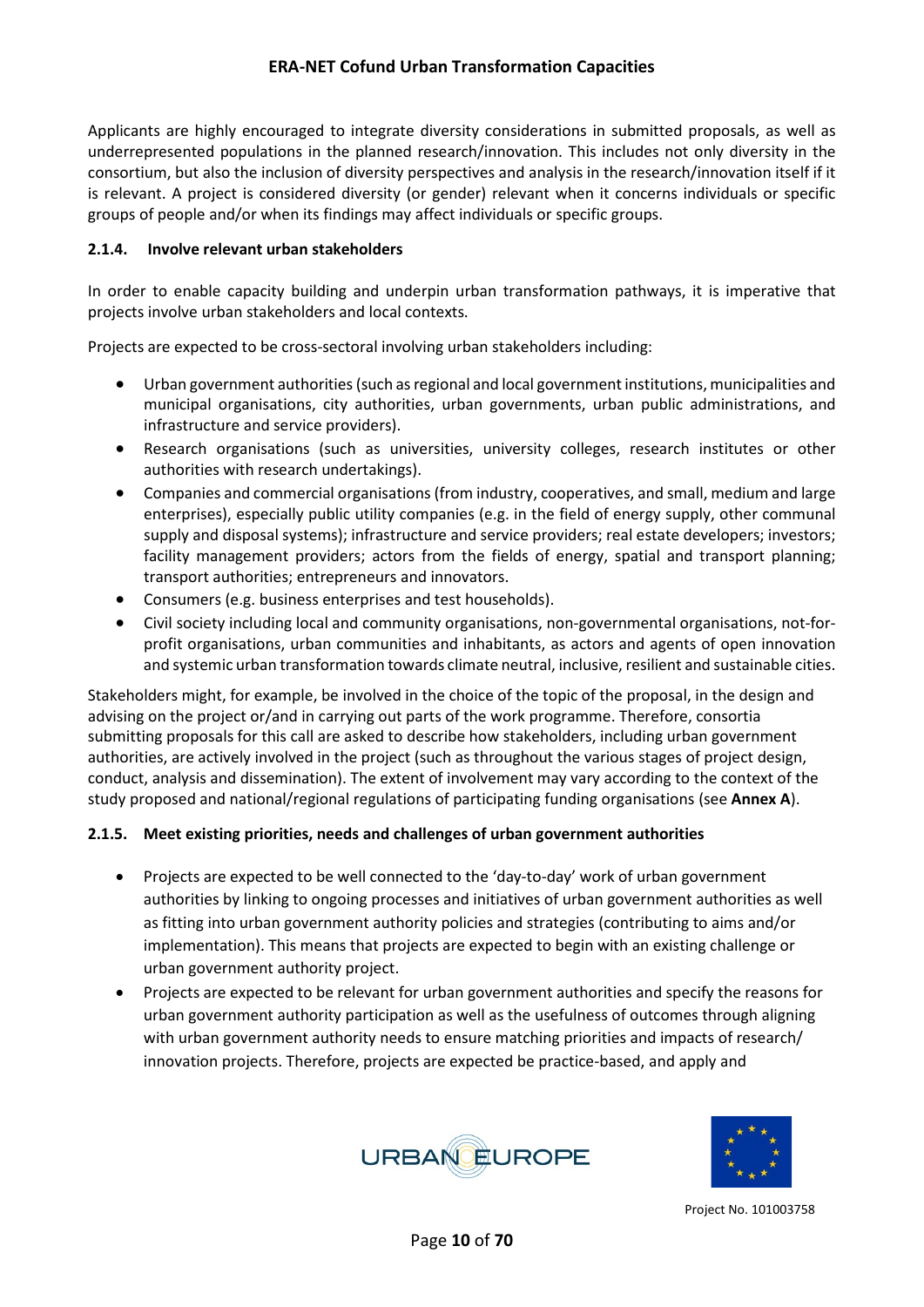Applicants are highly encouraged to integrate diversity considerations in submitted proposals, as well as underrepresented populations in the planned research/innovation. This includes not only diversity in the consortium, but also the inclusion of diversity perspectives and analysis in the research/innovation itself if it is relevant. A project is considered diversity (or gender) relevant when it concerns individuals or specific groups of people and/or when its findings may affect individuals or specific groups.

#### **2.1.4. Involve relevant urban stakeholders**

In order to enable capacity building and underpin urban transformation pathways, it is imperative that projects involve urban stakeholders and local contexts.

Projects are expected to be cross-sectoral involving urban stakeholders including:

- Urban government authorities (such as regional and local government institutions, municipalities and municipal organisations, city authorities, urban governments, urban public administrations, and infrastructure and service providers).
- Research organisations (such as universities, university colleges, research institutes or other authorities with research undertakings).
- Companies and commercial organisations (from industry, cooperatives, and small, medium and large enterprises), especially public utility companies (e.g. in the field of energy supply, other communal supply and disposal systems); infrastructure and service providers; real estate developers; investors; facility management providers; actors from the fields of energy, spatial and transport planning; transport authorities; entrepreneurs and innovators.
- Consumers (e.g. business enterprises and test households).
- Civil society including local and community organisations, non-governmental organisations, not-forprofit organisations, urban communities and inhabitants, as actors and agents of open innovation and systemic urban transformation towards climate neutral, inclusive, resilient and sustainable cities.

Stakeholders might, for example, be involved in the choice of the topic of the proposal, in the design and advising on the project or/and in carrying out parts of the work programme. Therefore, consortia submitting proposals for this call are asked to describe how stakeholders, including urban government authorities, are actively involved in the project (such as throughout the various stages of project design, conduct, analysis and dissemination). The extent of involvement may vary according to the context of the study proposed and national/regional regulations of participating funding organisations (see **Annex A**).

#### **2.1.5. Meet existing priorities, needs and challenges of urban government authorities**

- Projects are expected to be well connected to the 'day-to-day' work of urban government authorities by linking to ongoing processes and initiatives of urban government authorities as well as fitting into urban government authority policies and strategies (contributing to aims and/or implementation). This means that projects are expected to begin with an existing challenge or urban government authority project.
- Projects are expected to be relevant for urban government authorities and specify the reasons for urban government authority participation as well as the usefulness of outcomes through aligning with urban government authority needs to ensure matching priorities and impacts of research/ innovation projects. Therefore, projects are expected be practice-based, and apply and



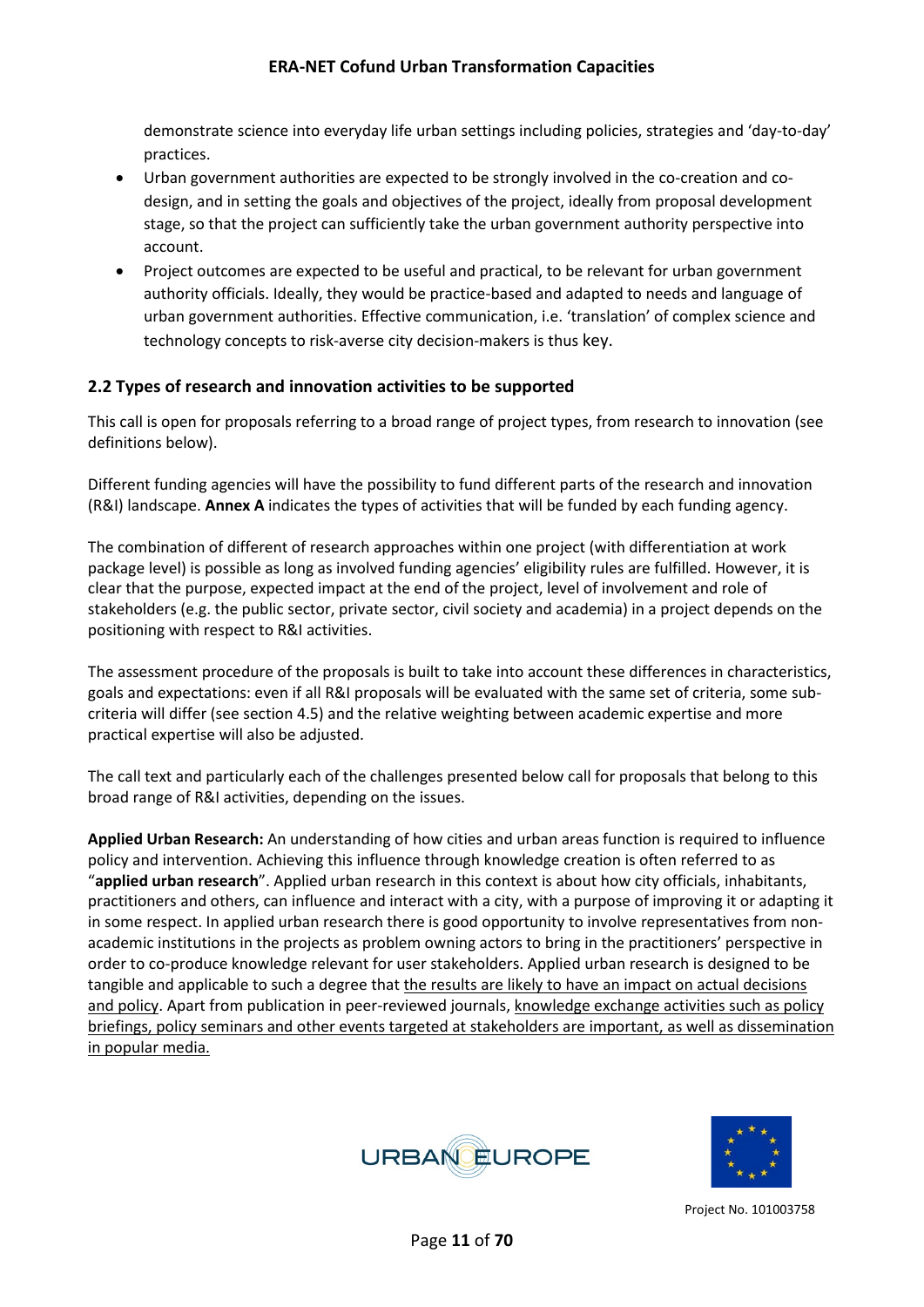demonstrate science into everyday life urban settings including policies, strategies and 'day-to-day' practices.

- Urban government authorities are expected to be strongly involved in the co-creation and codesign, and in setting the goals and objectives of the project, ideally from proposal development stage, so that the project can sufficiently take the urban government authority perspective into account.
- Project outcomes are expected to be useful and practical, to be relevant for urban government authority officials. Ideally, they would be practice-based and adapted to needs and language of urban government authorities. Effective communication, i.e. 'translation' of complex science and technology concepts to risk-averse city decision-makers is thus key.

#### <span id="page-10-0"></span>**2.2 Types of research and innovation activities to be supported**

This call is open for proposals referring to a broad range of project types, from research to innovation (see definitions below).

Different funding agencies will have the possibility to fund different parts of the research and innovation (R&I) landscape. **Annex A** indicates the types of activities that will be funded by each funding agency.

The combination of different of research approaches within one project (with differentiation at work package level) is possible as long as involved funding agencies' eligibility rules are fulfilled. However, it is clear that the purpose, expected impact at the end of the project, level of involvement and role of stakeholders (e.g. the public sector, private sector, civil society and academia) in a project depends on the positioning with respect to R&I activities.

The assessment procedure of the proposals is built to take into account these differences in characteristics, goals and expectations: even if all R&I proposals will be evaluated with the same set of criteria, some subcriteria will differ (see section 4.5) and the relative weighting between academic expertise and more practical expertise will also be adjusted.

The call text and particularly each of the challenges presented below call for proposals that belong to this broad range of R&I activities, depending on the issues.

**Applied Urban Research:** An understanding of how cities and urban areas function is required to influence policy and intervention. Achieving this influence through knowledge creation is often referred to as "**applied urban research**". Applied urban research in this context is about how city officials, inhabitants, practitioners and others, can influence and interact with a city, with a purpose of improving it or adapting it in some respect. In applied urban research there is good opportunity to involve representatives from nonacademic institutions in the projects as problem owning actors to bring in the practitioners' perspective in order to co-produce knowledge relevant for user stakeholders. Applied urban research is designed to be tangible and applicable to such a degree that the results are likely to have an impact on actual decisions and policy. Apart from publication in peer-reviewed journals, knowledge exchange activities such as policy briefings, policy seminars and other events targeted at stakeholders are important, as well as dissemination in popular media.



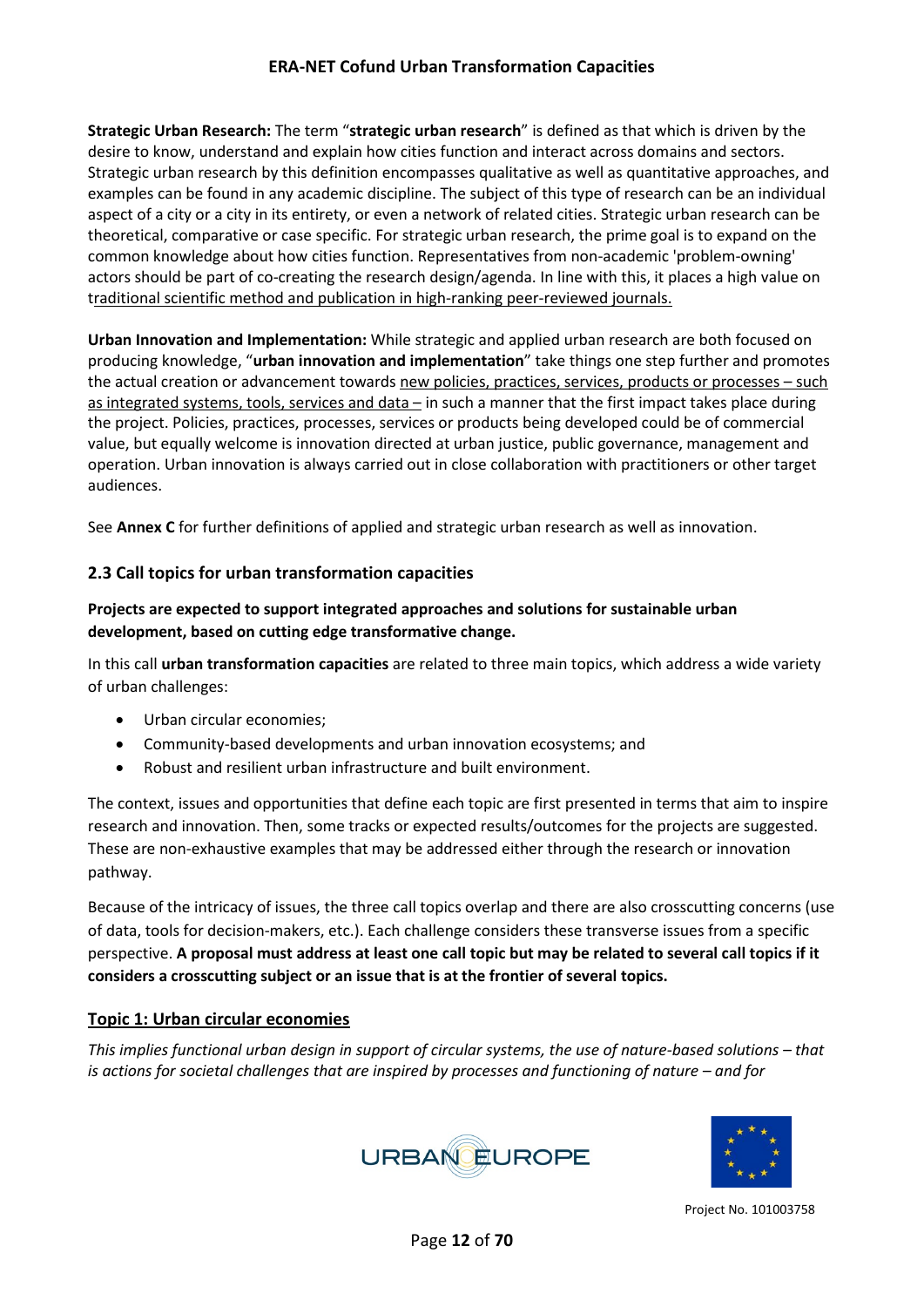**Strategic Urban Research:** The term "**strategic urban research**" is defined as that which is driven by the desire to know, understand and explain how cities function and interact across domains and sectors. Strategic urban research by this definition encompasses qualitative as well as quantitative approaches, and examples can be found in any academic discipline. The subject of this type of research can be an individual aspect of a city or a city in its entirety, or even a network of related cities. Strategic urban research can be theoretical, comparative or case specific. For strategic urban research, the prime goal is to expand on the common knowledge about how cities function. Representatives from non-academic 'problem-owning' actors should be part of co-creating the research design/agenda. In line with this, it places a high value on traditional scientific method and publication in high-ranking peer-reviewed journals.

**Urban Innovation and Implementation:** While strategic and applied urban research are both focused on producing knowledge, "**urban innovation and implementation**" take things one step further and promotes the actual creation or advancement towards new policies, practices, services, products or processes - such as integrated systems, tools, services and data – in such a manner that the first impact takes place during the project. Policies, practices, processes, services or products being developed could be of commercial value, but equally welcome is innovation directed at urban justice, public governance, management and operation. Urban innovation is always carried out in close collaboration with practitioners or other target audiences.

See **Annex C** for further definitions of applied and strategic urban research as well as innovation.

#### <span id="page-11-0"></span>**2.3 Call topics for urban transformation capacities**

#### **Projects are expected to support integrated approaches and solutions for sustainable urban development, based on cutting edge transformative change.**

In this call **urban transformation capacities** are related to three main topics, which address a wide variety of urban challenges:

- Urban circular economies;
- Community-based developments and urban innovation ecosystems; and
- Robust and resilient urban infrastructure and built environment.

The context, issues and opportunities that define each topic are first presented in terms that aim to inspire research and innovation. Then, some tracks or expected results/outcomes for the projects are suggested. These are non-exhaustive examples that may be addressed either through the research or innovation pathway.

Because of the intricacy of issues, the three call topics overlap and there are also crosscutting concerns (use of data, tools for decision-makers, etc.). Each challenge considers these transverse issues from a specific perspective. **A proposal must address at least one call topic but may be related to several call topics if it considers a crosscutting subject or an issue that is at the frontier of several topics.**

#### <span id="page-11-1"></span>**Topic 1: Urban circular economies**

*This implies functional urban design in support of circular systems, the use of nature-based solutions – that is actions for societal challenges that are inspired by processes and functioning of nature – and for* 



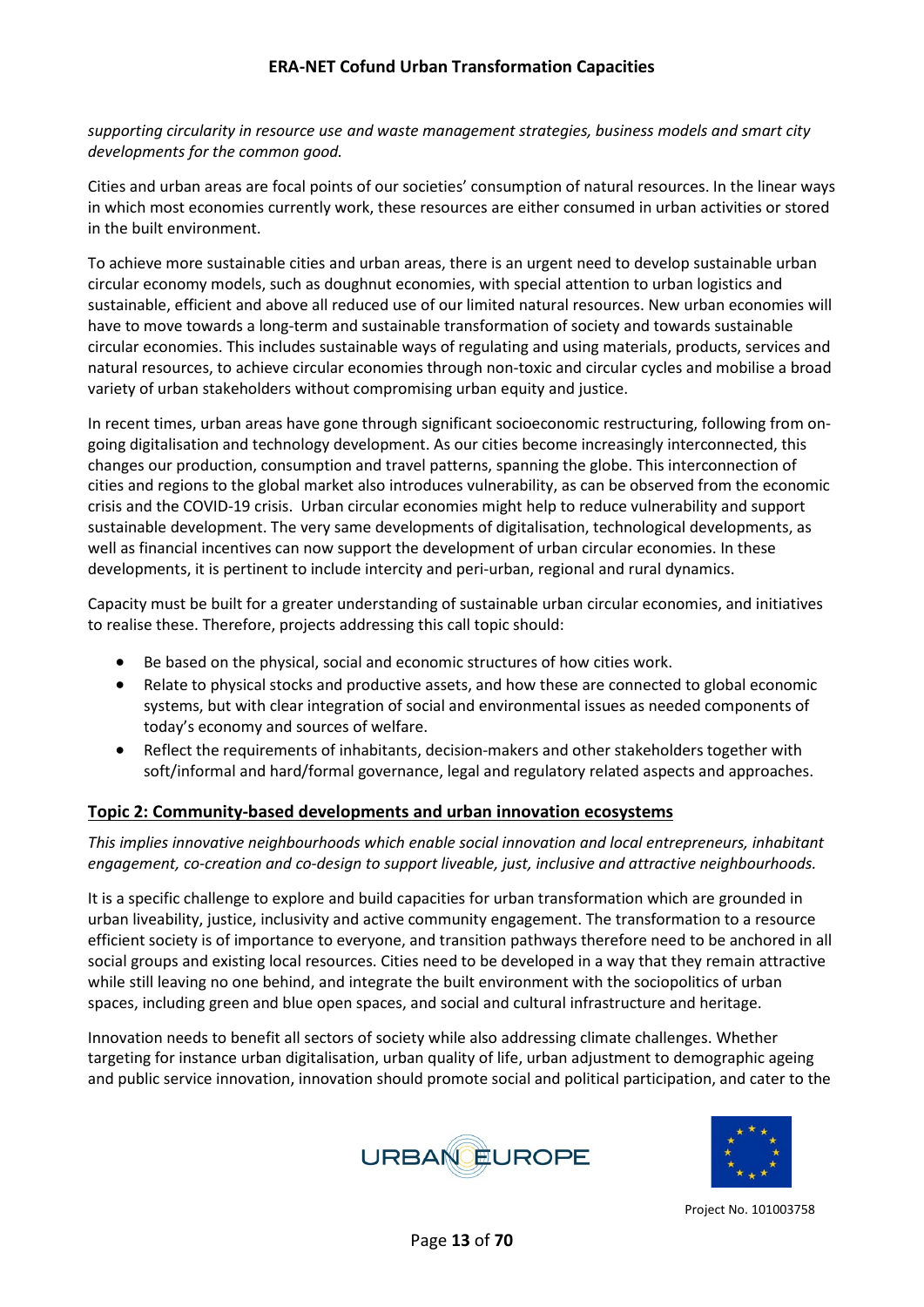*supporting circularity in resource use and waste management strategies, business models and smart city developments for the common good.*

Cities and urban areas are focal points of our societies' consumption of natural resources. In the linear ways in which most economies currently work, these resources are either consumed in urban activities or stored in the built environment.

To achieve more sustainable cities and urban areas, there is an urgent need to develop sustainable urban circular economy models, such as doughnut economies, with special attention to urban logistics and sustainable, efficient and above all reduced use of our limited natural resources. New urban economies will have to move towards a long-term and sustainable transformation of society and towards sustainable circular economies. This includes sustainable ways of regulating and using materials, products, services and natural resources, to achieve circular economies through non-toxic and circular cycles and mobilise a broad variety of urban stakeholders without compromising urban equity and justice.

In recent times, urban areas have gone through significant socioeconomic restructuring, following from ongoing digitalisation and technology development. As our cities become increasingly interconnected, this changes our production, consumption and travel patterns, spanning the globe. This interconnection of cities and regions to the global market also introduces vulnerability, as can be observed from the economic crisis and the COVID-19 crisis. Urban circular economies might help to reduce vulnerability and support sustainable development. The very same developments of digitalisation, technological developments, as well as financial incentives can now support the development of urban circular economies. In these developments, it is pertinent to include intercity and peri-urban, regional and rural dynamics.

Capacity must be built for a greater understanding of sustainable urban circular economies, and initiatives to realise these. Therefore, projects addressing this call topic should:

- Be based on the physical, social and economic structures of how cities work.
- Relate to physical stocks and productive assets, and how these are connected to global economic systems, but with clear integration of social and environmental issues as needed components of today's economy and sources of welfare.
- Reflect the requirements of inhabitants, decision-makers and other stakeholders together with soft/informal and hard/formal governance, legal and regulatory related aspects and approaches.

#### <span id="page-12-0"></span>**Topic 2: Community-based developments and urban innovation ecosystems**

*This implies innovative neighbourhoods which enable social innovation and local entrepreneurs, inhabitant engagement, co-creation and co-design to support liveable, just, inclusive and attractive neighbourhoods.*

It is a specific challenge to explore and build capacities for urban transformation which are grounded in urban liveability, justice, inclusivity and active community engagement. The transformation to a resource efficient society is of importance to everyone, and transition pathways therefore need to be anchored in all social groups and existing local resources. Cities need to be developed in a way that they remain attractive while still leaving no one behind, and integrate the built environment with the sociopolitics of urban spaces, including green and blue open spaces, and social and cultural infrastructure and heritage.

Innovation needs to benefit all sectors of society while also addressing climate challenges. Whether targeting for instance urban digitalisation, urban quality of life, urban adjustment to demographic ageing and public service innovation, innovation should promote social and political participation, and cater to the



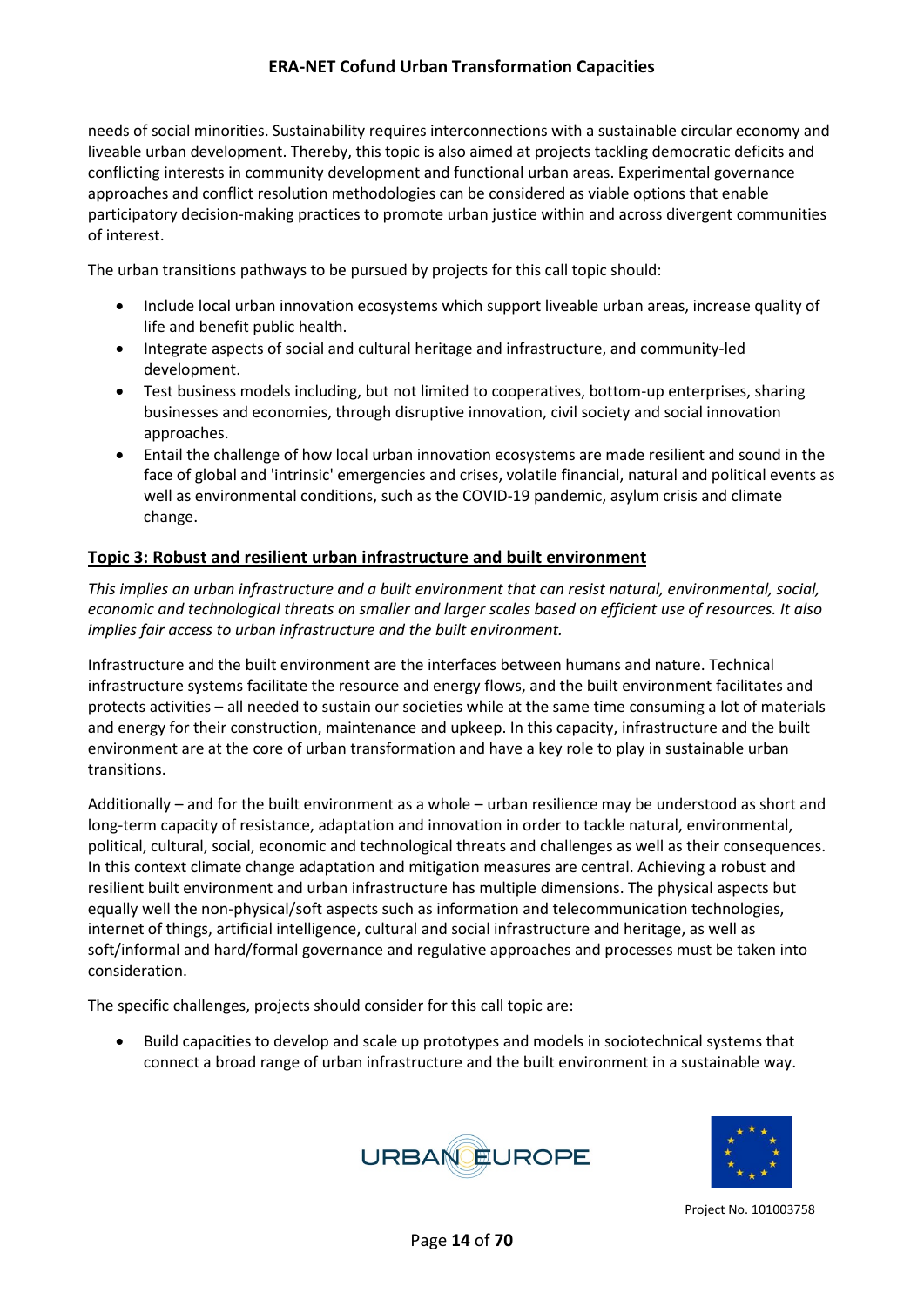needs of social minorities. Sustainability requires interconnections with a sustainable circular economy and liveable urban development. Thereby, this topic is also aimed at projects tackling democratic deficits and conflicting interests in community development and functional urban areas. Experimental governance approaches and conflict resolution methodologies can be considered as viable options that enable participatory decision-making practices to promote urban justice within and across divergent communities of interest.

The urban transitions pathways to be pursued by projects for this call topic should:

- Include local urban innovation ecosystems which support liveable urban areas, increase quality of life and benefit public health.
- Integrate aspects of social and cultural heritage and infrastructure, and community-led development.
- Test business models including, but not limited to cooperatives, bottom-up enterprises, sharing businesses and economies, through disruptive innovation, civil society and social innovation approaches.
- Entail the challenge of how local urban innovation ecosystems are made resilient and sound in the face of global and 'intrinsic' emergencies and crises, volatile financial, natural and political events as well as environmental conditions, such as the COVID-19 pandemic, asylum crisis and climate change.

#### <span id="page-13-0"></span>**Topic 3: Robust and resilient urban infrastructure and built environment**

*This implies an urban infrastructure and a built environment that can resist natural, environmental, social, economic and technological threats on smaller and larger scales based on efficient use of resources. It also implies fair access to urban infrastructure and the built environment.*

Infrastructure and the built environment are the interfaces between humans and nature. Technical infrastructure systems facilitate the resource and energy flows, and the built environment facilitates and protects activities – all needed to sustain our societies while at the same time consuming a lot of materials and energy for their construction, maintenance and upkeep. In this capacity, infrastructure and the built environment are at the core of urban transformation and have a key role to play in sustainable urban transitions.

Additionally – and for the built environment as a whole – urban resilience may be understood as short and long-term capacity of resistance, adaptation and innovation in order to tackle natural, environmental, political, cultural, social, economic and technological threats and challenges as well as their consequences. In this context climate change adaptation and mitigation measures are central. Achieving a robust and resilient built environment and urban infrastructure has multiple dimensions. The physical aspects but equally well the non-physical/soft aspects such as information and telecommunication technologies, internet of things, artificial intelligence, cultural and social infrastructure and heritage, as well as soft/informal and hard/formal governance and regulative approaches and processes must be taken into consideration.

The specific challenges, projects should consider for this call topic are:

• Build capacities to develop and scale up prototypes and models in sociotechnical systems that connect a broad range of urban infrastructure and the built environment in a sustainable way.



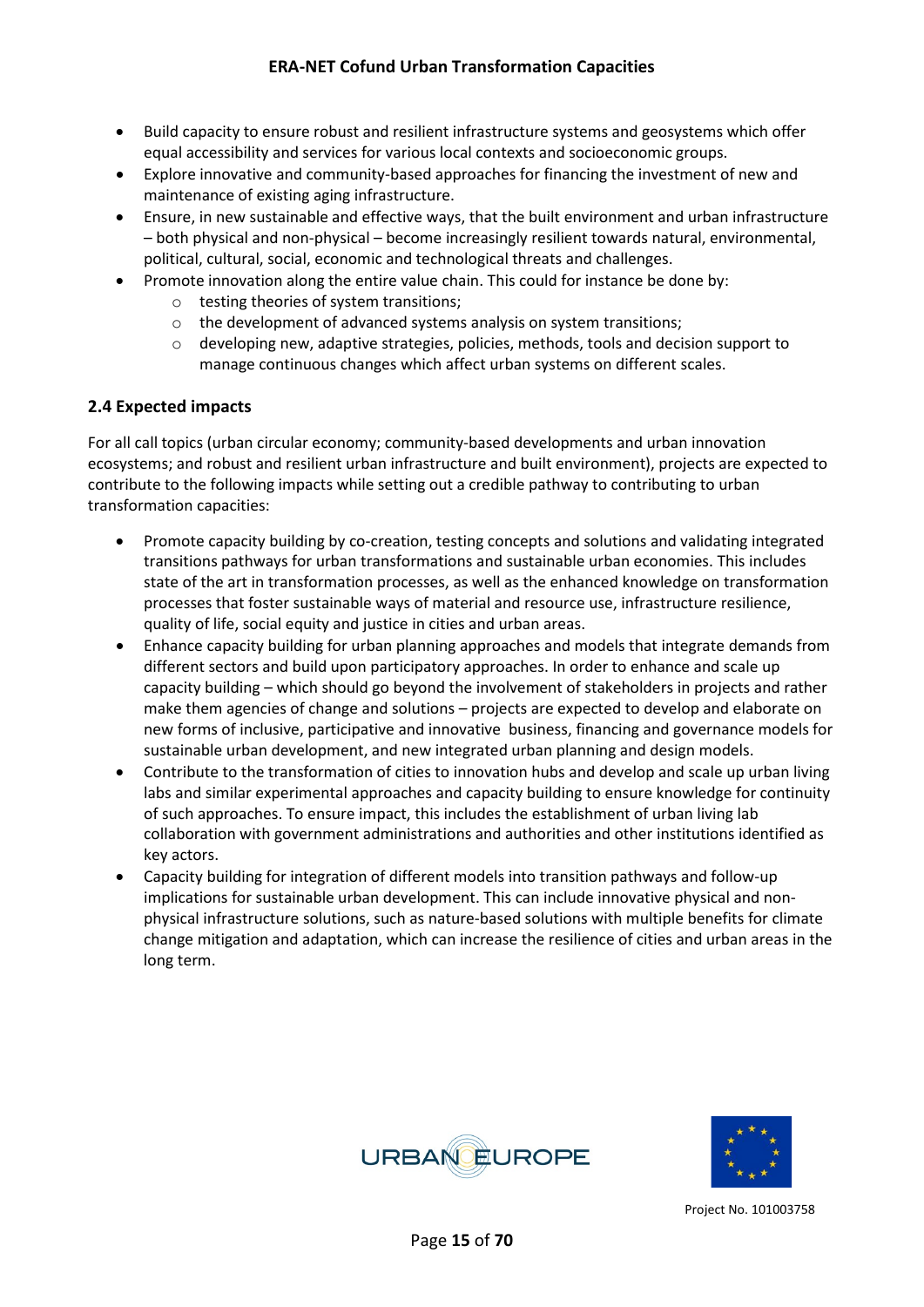- Build capacity to ensure robust and resilient infrastructure systems and geosystems which offer equal accessibility and services for various local contexts and socioeconomic groups.
- Explore innovative and community-based approaches for financing the investment of new and maintenance of existing aging infrastructure.
- Ensure, in new sustainable and effective ways, that the built environment and urban infrastructure – both physical and non-physical – become increasingly resilient towards natural, environmental, political, cultural, social, economic and technological threats and challenges.
- Promote innovation along the entire value chain. This could for instance be done by:
	- o testing theories of system transitions;
	- o the development of advanced systems analysis on system transitions;
	- o developing new, adaptive strategies, policies, methods, tools and decision support to manage continuous changes which affect urban systems on different scales.

#### <span id="page-14-0"></span>**2.4 Expected impacts**

For all call topics (urban circular economy; community-based developments and urban innovation ecosystems; and robust and resilient urban infrastructure and built environment), projects are expected to contribute to the following impacts while setting out a credible pathway to contributing to urban transformation capacities:

- Promote capacity building by co-creation, testing concepts and solutions and validating integrated transitions pathways for urban transformations and sustainable urban economies. This includes state of the art in transformation processes, as well as the enhanced knowledge on transformation processes that foster sustainable ways of material and resource use, infrastructure resilience, quality of life, social equity and justice in cities and urban areas.
- Enhance capacity building for urban planning approaches and models that integrate demands from different sectors and build upon participatory approaches. In order to enhance and scale up capacity building – which should go beyond the involvement of stakeholders in projects and rather make them agencies of change and solutions – projects are expected to develop and elaborate on new forms of inclusive, participative and innovative business, financing and governance models for sustainable urban development, and new integrated urban planning and design models.
- Contribute to the transformation of cities to innovation hubs and develop and scale up urban living labs and similar experimental approaches and capacity building to ensure knowledge for continuity of such approaches. To ensure impact, this includes the establishment of urban living lab collaboration with government administrations and authorities and other institutions identified as key actors.
- Capacity building for integration of different models into transition pathways and follow-up implications for sustainable urban development. This can include innovative physical and nonphysical infrastructure solutions, such as nature-based solutions with multiple benefits for climate change mitigation and adaptation, which can increase the resilience of cities and urban areas in the long term.



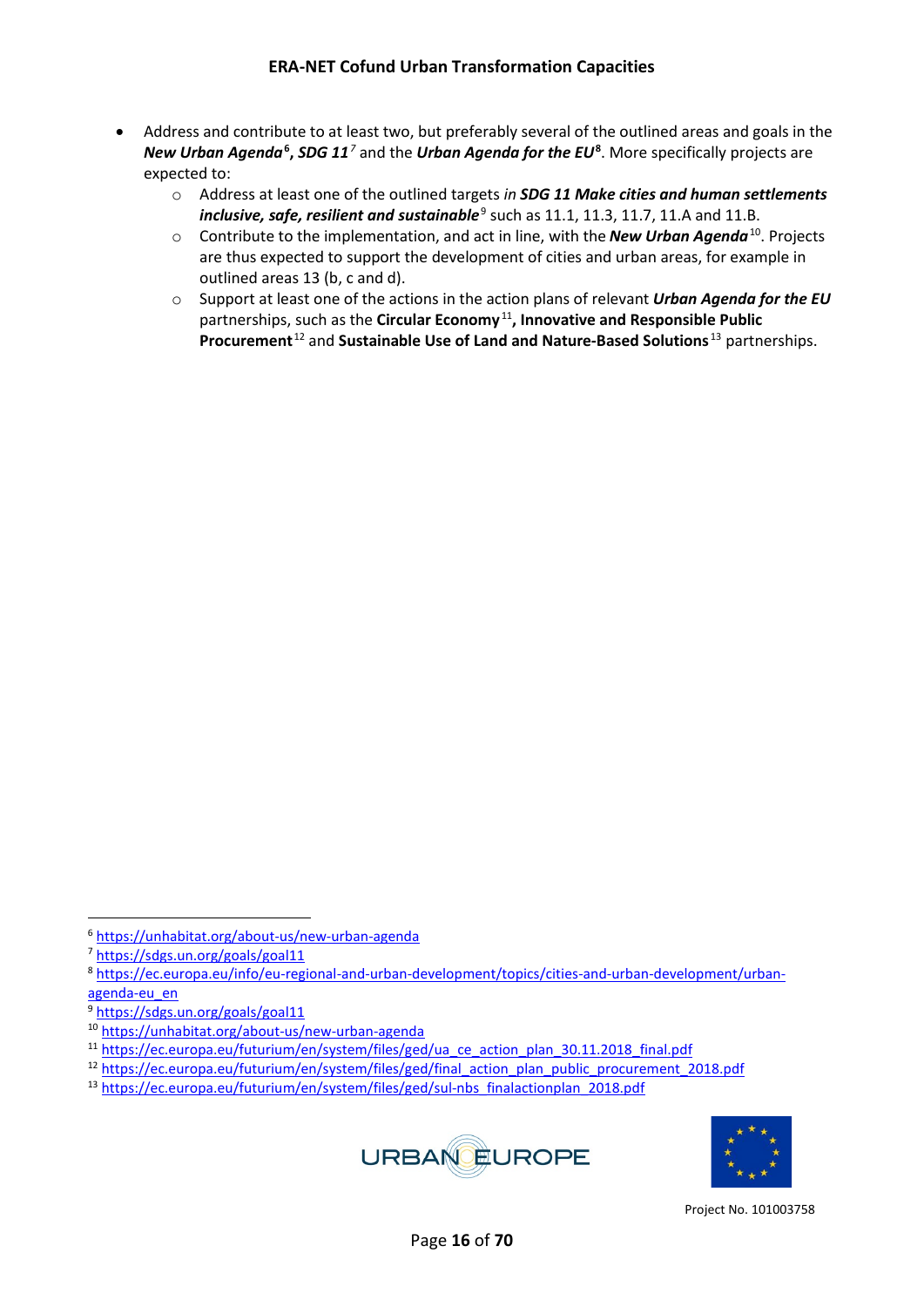- Address and contribute to at least two, but preferably several of the outlined areas and goals in the *New Urban Agenda***[6](#page-15-0) ,** *SDG 11[7](#page-15-1)* and the *Urban Agenda for the EU***[8](#page-15-2)** . More specifically projects are expected to:
	- o Address at least one of the outlined targets *in SDG 11 Make cities and human settlements inclusive, safe, resilient and sustainable*<sup>[9](#page-15-3)</sup> such as 11.1, 11.3, 11.7, 11.A and 11.B.
	- o Contribute to the implementation, and act in line, with the *New Urban Agenda*[10](#page-15-4). Projects are thus expected to support the development of cities and urban areas, for example in outlined areas 13 (b, c and d).
	- o Support at least one of the actions in the action plans of relevant *Urban Agenda for the EU* partnerships, such as the **Circular Economy** [11](#page-15-5)**, Innovative and Responsible Public Procurement**[12](#page-15-6) and **Sustainable Use of Land and Nature-Based Solutions** [13](#page-15-7) partnerships.

<span id="page-15-7"></span><sup>13</sup> [https://ec.europa.eu/futurium/en/system/files/ged/sul-nbs\\_finalactionplan\\_2018.pdf](https://ec.europa.eu/futurium/en/system/files/ged/sul-nbs_finalactionplan_2018.pdf)





<span id="page-15-0"></span><sup>6</sup> <https://unhabitat.org/about-us/new-urban-agenda>

<span id="page-15-1"></span><sup>7</sup> <https://sdgs.un.org/goals/goal11>

<span id="page-15-2"></span><sup>8</sup> [https://ec.europa.eu/info/eu-regional-and-urban-development/topics/cities-and-urban-development/urban](https://ec.europa.eu/info/eu-regional-and-urban-development/topics/cities-and-urban-development/urban-agenda-eu_en)agenda-eu en

<span id="page-15-3"></span><sup>9</sup> <https://sdgs.un.org/goals/goal11>

<span id="page-15-4"></span><sup>10</sup> <https://unhabitat.org/about-us/new-urban-agenda>

<span id="page-15-5"></span><sup>&</sup>lt;sup>11</sup> [https://ec.europa.eu/futurium/en/system/files/ged/ua\\_ce\\_action\\_plan\\_30.11.2018\\_final.pdf](https://ec.europa.eu/futurium/en/system/files/ged/ua_ce_action_plan_30.11.2018_final.pdf)

<span id="page-15-6"></span><sup>&</sup>lt;sup>12</sup> [https://ec.europa.eu/futurium/en/system/files/ged/final\\_action\\_plan\\_public\\_procurement\\_2018.pdf](https://ec.europa.eu/futurium/en/system/files/ged/final_action_plan_public_procurement_2018.pdf)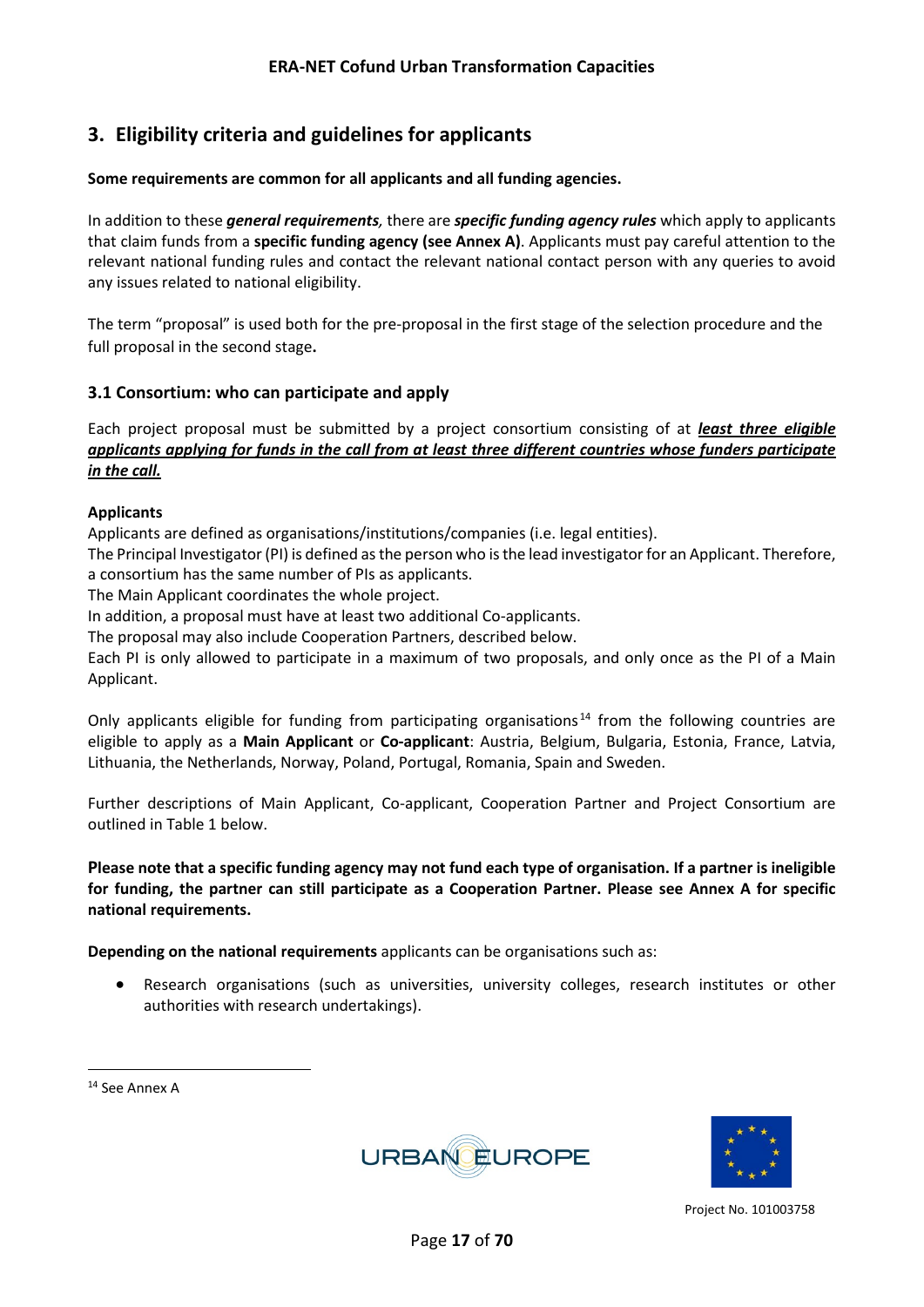## <span id="page-16-0"></span>**3. Eligibility criteria and guidelines for applicants**

#### **Some requirements are common for all applicants and all funding agencies.**

In addition to these *general requirements,* there are *specific funding agency rules* which apply to applicants that claim funds from a **specific funding agency (see Annex A)**. Applicants must pay careful attention to the relevant national funding rules and contact the relevant national contact person with any queries to avoid any issues related to national eligibility.

The term "proposal" is used both for the pre-proposal in the first stage of the selection procedure and the full proposal in the second stage**.** 

#### <span id="page-16-1"></span>**3.1 Consortium: who can participate and apply**

Each project proposal must be submitted by a project consortium consisting of at *least three eligible applicants applying for funds in the call from at least three different countries whose funders participate in the call.* 

#### **Applicants**

Applicants are defined as organisations/institutions/companies (i.e. legal entities).

The Principal Investigator (PI) is defined as the person who is the lead investigator for an Applicant. Therefore, a consortium has the same number of PIs as applicants.

The Main Applicant coordinates the whole project.

In addition, a proposal must have at least two additional Co-applicants.

The proposal may also include Cooperation Partners, described below.

Each PI is only allowed to participate in a maximum of two proposals, and only once as the PI of a Main Applicant.

Only applicants eligible for funding from participating organisations<sup>[14](#page-16-2)</sup> from the following countries are eligible to apply as a **Main Applicant** or **Co-applicant**: Austria, Belgium, Bulgaria, Estonia, France, Latvia, Lithuania, the Netherlands, Norway, Poland, Portugal, Romania, Spain and Sweden.

Further descriptions of Main Applicant, Co-applicant, Cooperation Partner and Project Consortium are outlined in Table 1 below.

**Please note that a specific funding agency may not fund each type of organisation. If a partner is ineligible for funding, the partner can still participate as a Cooperation Partner. Please see Annex A for specific national requirements.** 

**Depending on the national requirements** applicants can be organisations such as:

• Research organisations (such as universities, university colleges, research institutes or other authorities with research undertakings).





<span id="page-16-2"></span><sup>14</sup> See Annex A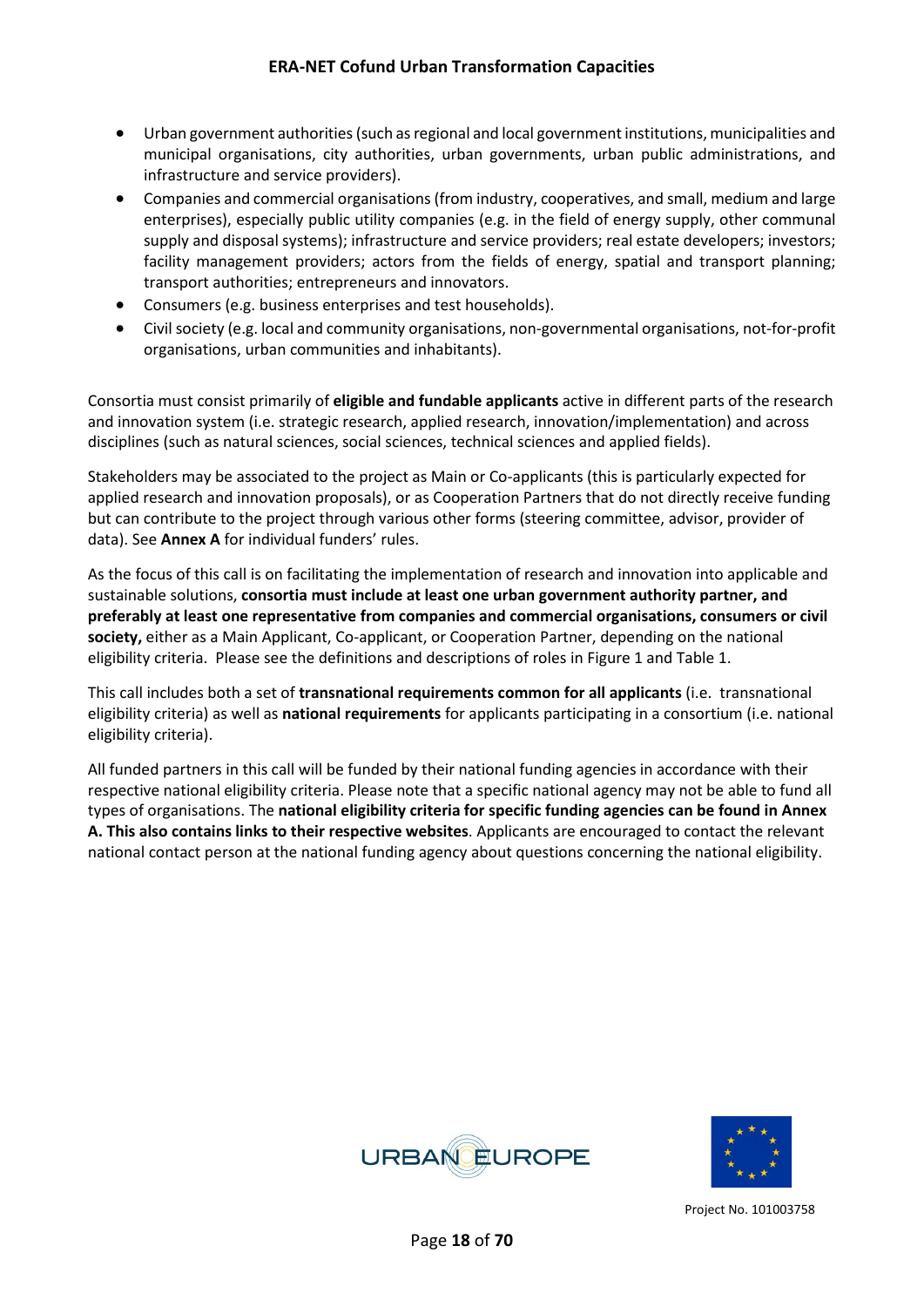- Urban government authorities (such as regional and local government institutions, municipalities and municipal organisations, city authorities, urban governments, urban public administrations, and infrastructure and service providers).
- Companies and commercial organisations (from industry, cooperatives, and small, medium and large enterprises), especially public utility companies (e.g. in the field of energy supply, other communal supply and disposal systems); infrastructure and service providers; real estate developers; investors; facility management providers; actors from the fields of energy, spatial and transport planning; transport authorities; entrepreneurs and innovators.
- Consumers (e.g. business enterprises and test households).
- Civil society (e.g. local and community organisations, non-governmental organisations, not-for-profit organisations, urban communities and inhabitants).

Consortia must consist primarily of **eligible and fundable applicants** active in different parts of the research and innovation system (i.e. strategic research, applied research, innovation/implementation) and across disciplines (such as natural sciences, social sciences, technical sciences and applied fields).

Stakeholders may be associated to the project as Main or Co-applicants (this is particularly expected for applied research and innovation proposals), or as Cooperation Partners that do not directly receive funding but can contribute to the project through various other forms (steering committee, advisor, provider of data). See **Annex A** for individual funders' rules.

As the focus of this call is on facilitating the implementation of research and innovation into applicable and sustainable solutions, **consortia must include at least one urban government authority partner, and preferably at least one representative from companies and commercial organisations, consumers or civil society,** either as a Main Applicant, Co-applicant, or Cooperation Partner, depending on the national eligibility criteria. Please see the definitions and descriptions of roles in Figure 1 and Table 1.

This call includes both a set of **transnational requirements common for all applicants** (i.e. transnational eligibility criteria) as well as **national requirements** for applicants participating in a consortium (i.e. national eligibility criteria).

All funded partners in this call will be funded by their national funding agencies in accordance with their respective national eligibility criteria. Please note that a specific national agency may not be able to fund all types of organisations. The **national eligibility criteria for specific funding agencies can be found in Annex A. This also contains links to their respective websites**. Applicants are encouraged to contact the relevant national contact person at the national funding agency about questions concerning the national eligibility.



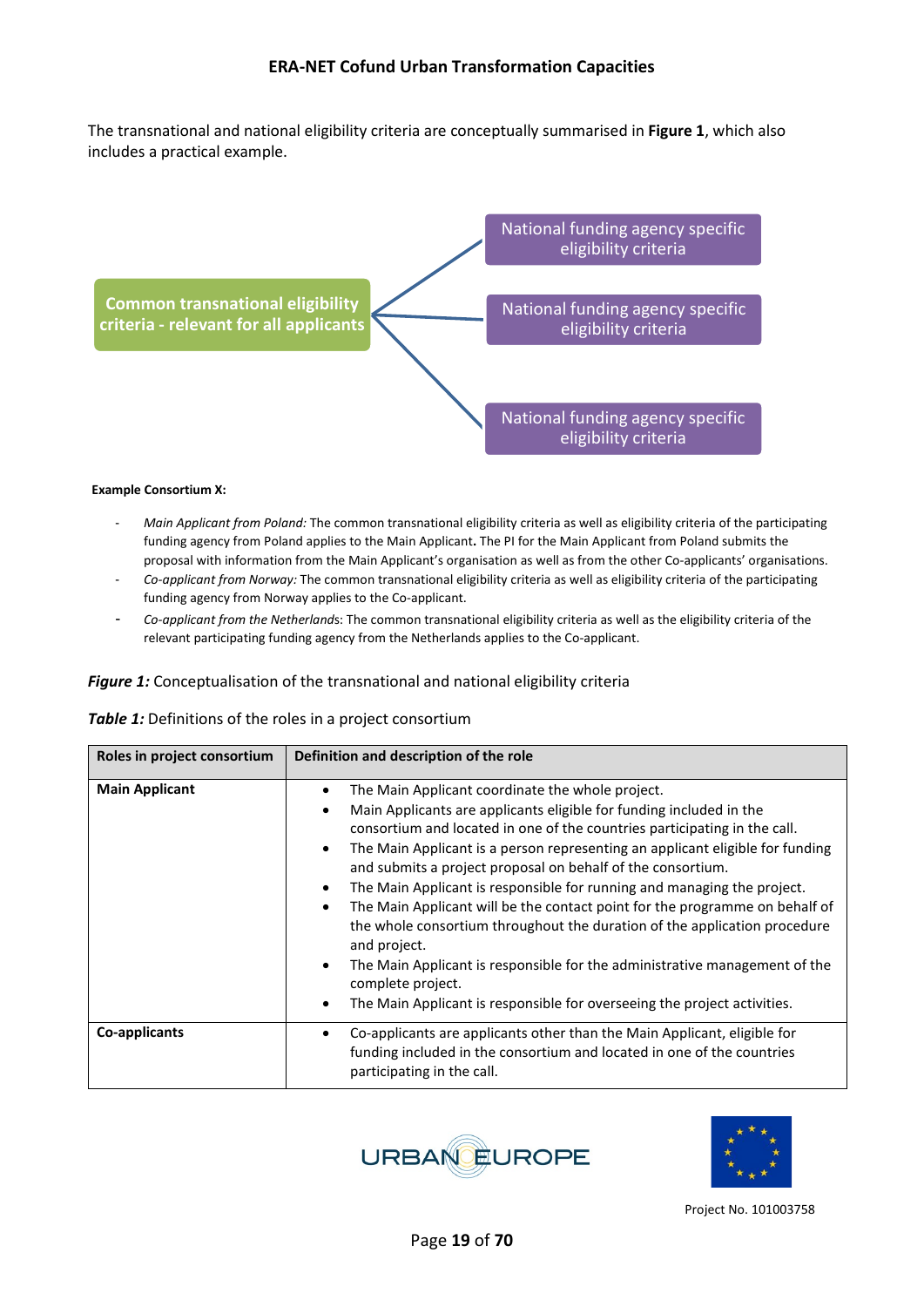The transnational and national eligibility criteria are conceptually summarised in **Figure 1**, which also includes a practical example.



#### **Example Consortium X:**

- *Main Applicant from Poland:* The common transnational eligibility criteria as well as eligibility criteria of the participating funding agency from Poland applies to the Main Applicant**.** The PI for the Main Applicant from Poland submits the proposal with information from the Main Applicant's organisation as well as from the other Co-applicants' organisations.
- *Co-applicant from Norway:* The common transnational eligibility criteria as well as eligibility criteria of the participating funding agency from Norway applies to the Co-applicant.
- *Co-applicant from the Netherland*s: The common transnational eligibility criteria as well as the eligibility criteria of the relevant participating funding agency from the Netherlands applies to the Co-applicant.

#### *Figure 1:* Conceptualisation of the transnational and national eligibility criteria

| Table 1: Definitions of the roles in a project consortium |  |  |  |  |
|-----------------------------------------------------------|--|--|--|--|
|-----------------------------------------------------------|--|--|--|--|

| Roles in project consortium | Definition and description of the role                                                                                                                                                                                                                                                                                                                                                                                                                                                                                                                                                                                                                                                                                                                                                                                                                                        |
|-----------------------------|-------------------------------------------------------------------------------------------------------------------------------------------------------------------------------------------------------------------------------------------------------------------------------------------------------------------------------------------------------------------------------------------------------------------------------------------------------------------------------------------------------------------------------------------------------------------------------------------------------------------------------------------------------------------------------------------------------------------------------------------------------------------------------------------------------------------------------------------------------------------------------|
| <b>Main Applicant</b>       | The Main Applicant coordinate the whole project.<br>٠<br>Main Applicants are applicants eligible for funding included in the<br>$\bullet$<br>consortium and located in one of the countries participating in the call.<br>The Main Applicant is a person representing an applicant eligible for funding<br>$\bullet$<br>and submits a project proposal on behalf of the consortium.<br>The Main Applicant is responsible for running and managing the project.<br>$\bullet$<br>The Main Applicant will be the contact point for the programme on behalf of<br>$\bullet$<br>the whole consortium throughout the duration of the application procedure<br>and project.<br>The Main Applicant is responsible for the administrative management of the<br>$\bullet$<br>complete project.<br>The Main Applicant is responsible for overseeing the project activities.<br>$\bullet$ |
| Co-applicants               | Co-applicants are applicants other than the Main Applicant, eligible for<br>٠<br>funding included in the consortium and located in one of the countries<br>participating in the call.                                                                                                                                                                                                                                                                                                                                                                                                                                                                                                                                                                                                                                                                                         |



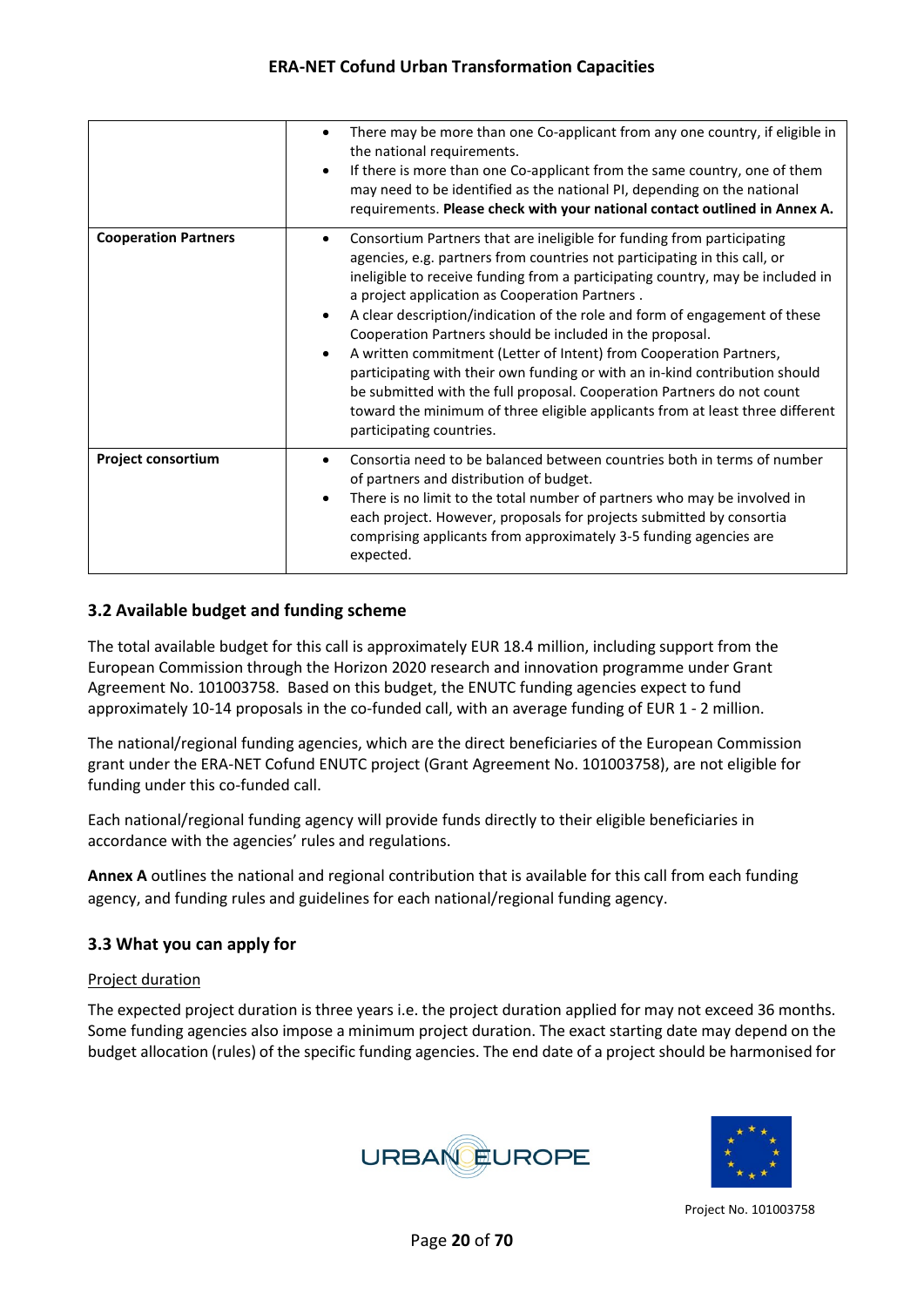|                             | There may be more than one Co-applicant from any one country, if eligible in<br>$\bullet$<br>the national requirements.<br>If there is more than one Co-applicant from the same country, one of them<br>$\bullet$<br>may need to be identified as the national PI, depending on the national<br>requirements. Please check with your national contact outlined in Annex A.                                                                                                                                                                                                                                                                                                                                                                                                                                           |
|-----------------------------|----------------------------------------------------------------------------------------------------------------------------------------------------------------------------------------------------------------------------------------------------------------------------------------------------------------------------------------------------------------------------------------------------------------------------------------------------------------------------------------------------------------------------------------------------------------------------------------------------------------------------------------------------------------------------------------------------------------------------------------------------------------------------------------------------------------------|
| <b>Cooperation Partners</b> | Consortium Partners that are ineligible for funding from participating<br>$\bullet$<br>agencies, e.g. partners from countries not participating in this call, or<br>ineligible to receive funding from a participating country, may be included in<br>a project application as Cooperation Partners.<br>A clear description/indication of the role and form of engagement of these<br>$\bullet$<br>Cooperation Partners should be included in the proposal.<br>A written commitment (Letter of Intent) from Cooperation Partners,<br>$\bullet$<br>participating with their own funding or with an in-kind contribution should<br>be submitted with the full proposal. Cooperation Partners do not count<br>toward the minimum of three eligible applicants from at least three different<br>participating countries. |
| <b>Project consortium</b>   | Consortia need to be balanced between countries both in terms of number<br>٠<br>of partners and distribution of budget.<br>There is no limit to the total number of partners who may be involved in<br>$\bullet$<br>each project. However, proposals for projects submitted by consortia<br>comprising applicants from approximately 3-5 funding agencies are<br>expected.                                                                                                                                                                                                                                                                                                                                                                                                                                           |

#### <span id="page-19-0"></span>**3.2 Available budget and funding scheme**

The total available budget for this call is approximately EUR 18.4 million, including support from the European Commission through the Horizon 2020 research and innovation programme under Grant Agreement No. 101003758. Based on this budget, the ENUTC funding agencies expect to fund approximately 10-14 proposals in the co-funded call, with an average funding of EUR 1 - 2 million.

The national/regional funding agencies, which are the direct beneficiaries of the European Commission grant under the ERA-NET Cofund ENUTC project (Grant Agreement No. 101003758), are not eligible for funding under this co-funded call.

Each national/regional funding agency will provide funds directly to their eligible beneficiaries in accordance with the agencies' rules and regulations.

**Annex A** outlines the national and regional contribution that is available for this call from each funding agency, and funding rules and guidelines for each national/regional funding agency.

#### <span id="page-19-1"></span>**3.3 What you can apply for**

#### Project duration

The expected project duration is three years i.e. the project duration applied for may not exceed 36 months. Some funding agencies also impose a minimum project duration. The exact starting date may depend on the budget allocation (rules) of the specific funding agencies. The end date of a project should be harmonised for



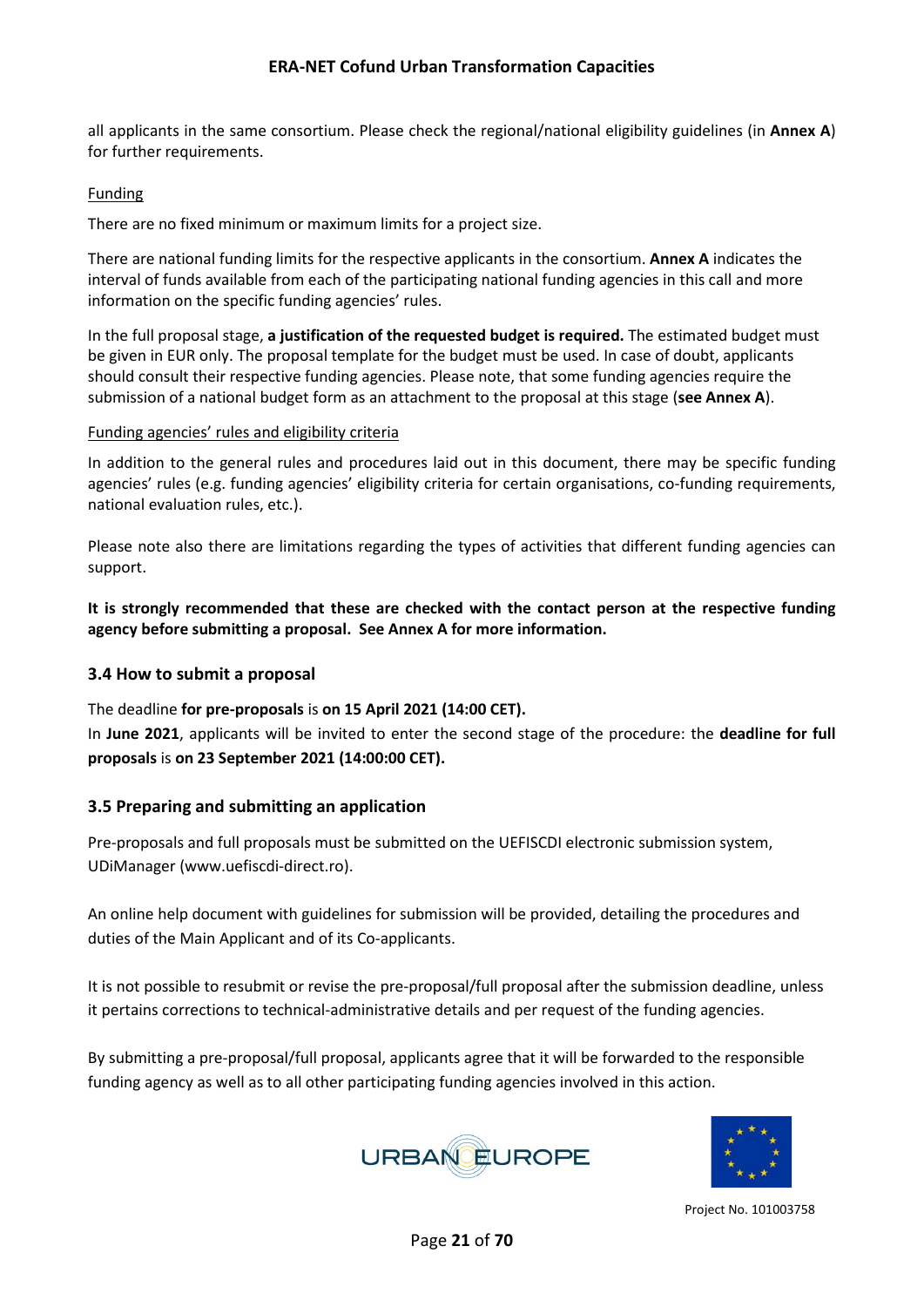all applicants in the same consortium. Please check the regional/national eligibility guidelines (in **Annex A**) for further requirements.

#### Funding

There are no fixed minimum or maximum limits for a project size.

There are national funding limits for the respective applicants in the consortium. **Annex A** indicates the interval of funds available from each of the participating national funding agencies in this call and more information on the specific funding agencies' rules.

In the full proposal stage, **a justification of the requested budget is required.** The estimated budget must be given in EUR only. The proposal template for the budget must be used. In case of doubt, applicants should consult their respective funding agencies. Please note, that some funding agencies require the submission of a national budget form as an attachment to the proposal at this stage (**see Annex A**).

#### Funding agencies' rules and eligibility criteria

In addition to the general rules and procedures laid out in this document, there may be specific funding agencies' rules (e.g. funding agencies' eligibility criteria for certain organisations, co-funding requirements, national evaluation rules, etc.).

Please note also there are limitations regarding the types of activities that different funding agencies can support.

**It is strongly recommended that these are checked with the contact person at the respective funding agency before submitting a proposal. See Annex A for more information.** 

#### <span id="page-20-0"></span>**3.4 How to submit a proposal**

The deadline **for pre-proposals** is **on 15 April 2021 (14:00 CET).** In **June 2021**, applicants will be invited to enter the second stage of the procedure: the **deadline for full proposals** is **on 23 September 2021 (14:00:00 CET).**

#### <span id="page-20-1"></span>**3.5 Preparing and submitting an application**

Pre-proposals and full proposals must be submitted on the UEFISCDI electronic submission system, UDiManager [\(www.uefiscdi-direct.ro\)](https://www.uefiscdi-direct.ro/).

An online help document with guidelines for submission will be provided, detailing the procedures and duties of the Main Applicant and of its Co-applicants.

It is not possible to resubmit or revise the pre-proposal/full proposal after the submission deadline, unless it pertains corrections to technical-administrative details and per request of the funding agencies.

By submitting a pre-proposal/full proposal, applicants agree that it will be forwarded to the responsible funding agency as well as to all other participating funding agencies involved in this action.



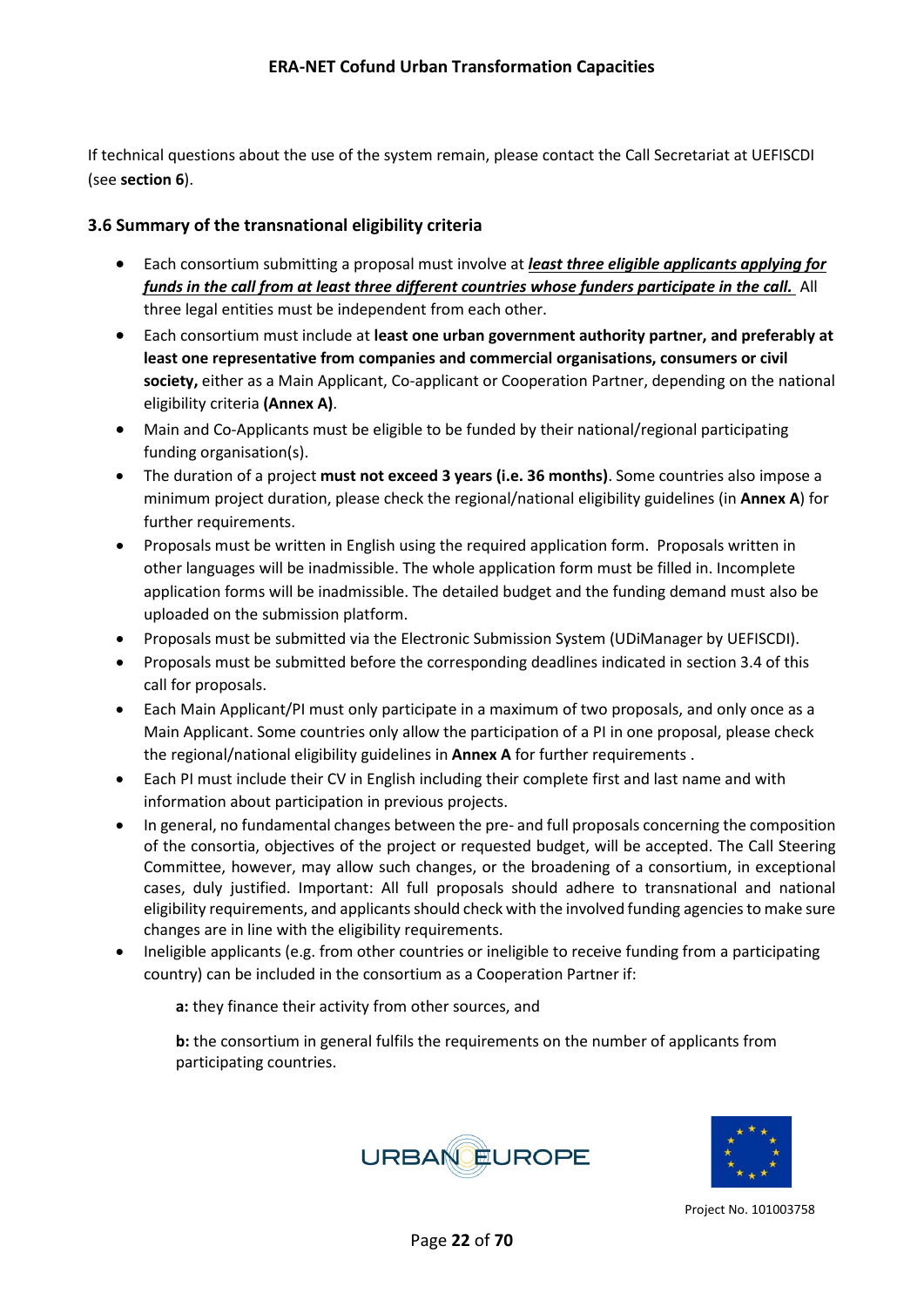If technical questions about the use of the system remain, please contact the Call Secretariat at UEFISCDI (see **section 6**).

#### <span id="page-21-0"></span>**3.6 Summary of the transnational eligibility criteria**

- Each consortium submitting a proposal must involve at *least three eligible applicants applying for funds in the call from at least three different countries whose funders participate in the call.* All three legal entities must be independent from each other.
- Each consortium must include at **least one urban government authority partner, and preferably at least one representative from companies and commercial organisations, consumers or civil society,** either as a Main Applicant, Co-applicant or Cooperation Partner, depending on the national eligibility criteria **(Annex A)**.
- Main and Co-Applicants must be eligible to be funded by their national/regional participating funding organisation(s).
- The duration of a project **must not exceed 3 years (i.e. 36 months)**. Some countries also impose a minimum project duration, please check the regional/national eligibility guidelines (in **Annex A**) for further requirements.
- Proposals must be written in English using the required application form. Proposals written in other languages will be inadmissible. The whole application form must be filled in. Incomplete application forms will be inadmissible. The detailed budget and the funding demand must also be uploaded on the submission platform.
- Proposals must be submitted via the Electronic Submission System (UDiManager by UEFISCDI).
- Proposals must be submitted before the corresponding deadlines indicated in section 3.4 of this call for proposals.
- Each Main Applicant/PI must only participate in a maximum of two proposals, and only once as a Main Applicant. Some countries only allow the participation of a PI in one proposal, please check the regional/national eligibility guidelines in **Annex A** for further requirements .
- Each PI must include their CV in English including their complete first and last name and with information about participation in previous projects.
- In general, no fundamental changes between the pre- and full proposals concerning the composition of the consortia, objectives of the project or requested budget, will be accepted. The Call Steering Committee, however, may allow such changes, or the broadening of a consortium, in exceptional cases, duly justified. Important: All full proposals should adhere to transnational and national eligibility requirements, and applicants should check with the involved funding agencies to make sure changes are in line with the eligibility requirements.
- Ineligible applicants (e.g. from other countries or ineligible to receive funding from a participating country) can be included in the consortium as a Cooperation Partner if:

**a:** they finance their activity from other sources, and

**b:** the consortium in general fulfils the requirements on the number of applicants from participating countries.



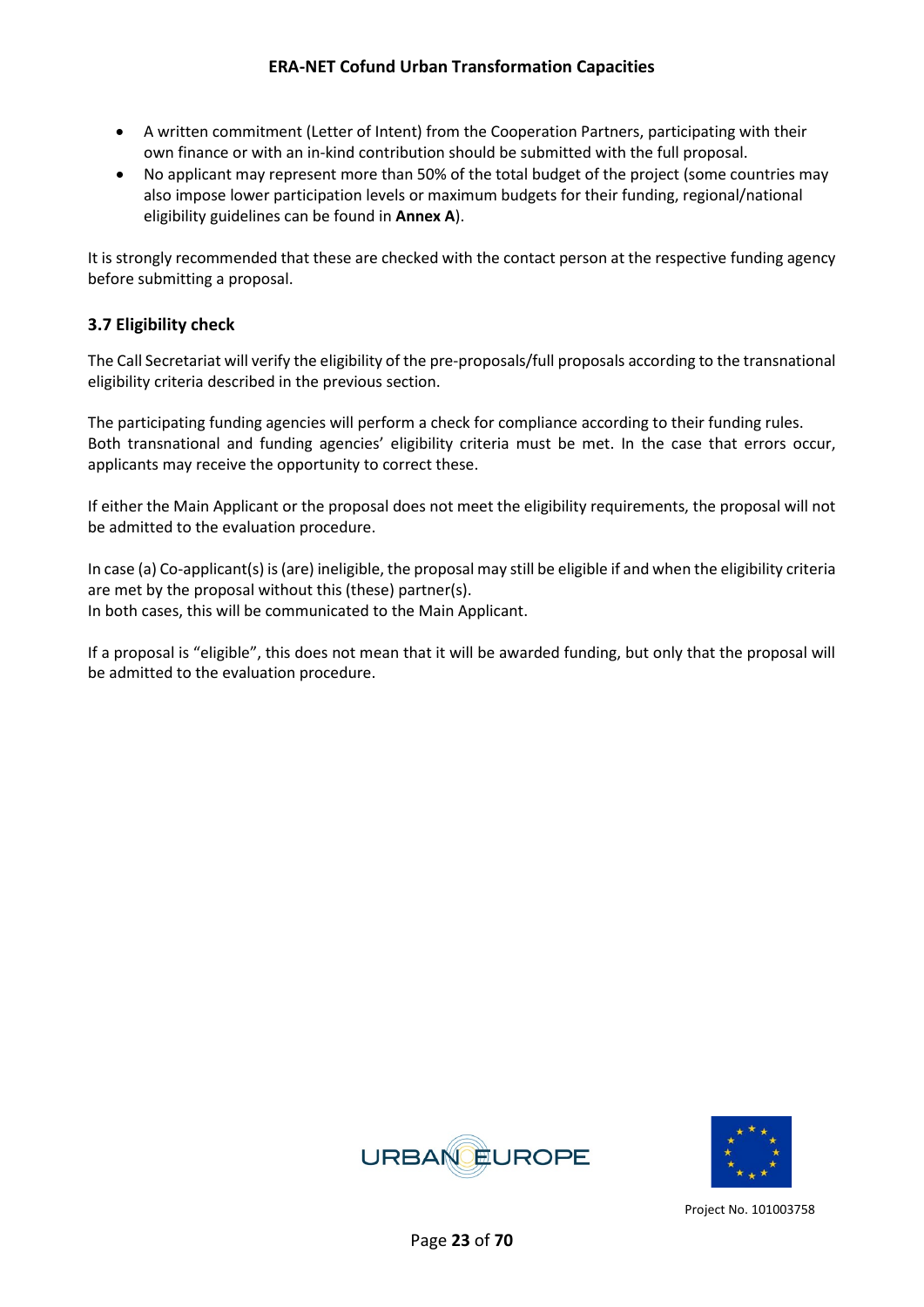- A written commitment (Letter of Intent) from the Cooperation Partners, participating with their own finance or with an in-kind contribution should be submitted with the full proposal.
- No applicant may represent more than 50% of the total budget of the project (some countries may also impose lower participation levels or maximum budgets for their funding, regional/national eligibility guidelines can be found in **Annex A**).

It is strongly recommended that these are checked with the contact person at the respective funding agency before submitting a proposal.

#### <span id="page-22-0"></span>**3.7 Eligibility check**

The Call Secretariat will verify the eligibility of the pre-proposals/full proposals according to the transnational eligibility criteria described in the previous section.

The participating funding agencies will perform a check for compliance according to their funding rules. Both transnational and funding agencies' eligibility criteria must be met. In the case that errors occur, applicants may receive the opportunity to correct these.

If either the Main Applicant or the proposal does not meet the eligibility requirements, the proposal will not be admitted to the evaluation procedure.

In case (a) Co-applicant(s) is (are) ineligible, the proposal may still be eligible if and when the eligibility criteria are met by the proposal without this (these) partner(s). In both cases, this will be communicated to the Main Applicant.

If a proposal is "eligible", this does not mean that it will be awarded funding, but only that the proposal will be admitted to the evaluation procedure.



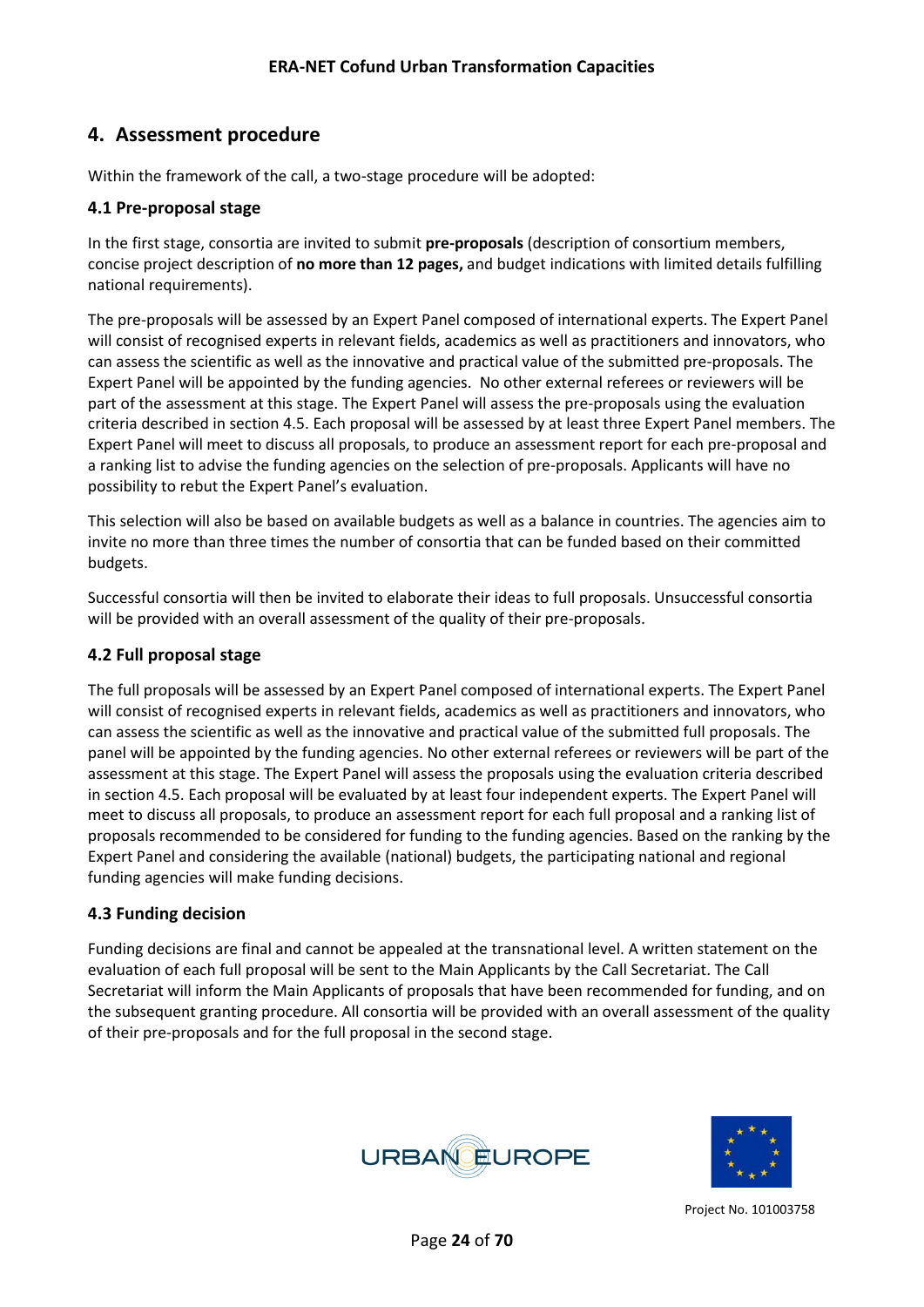## <span id="page-23-0"></span>**4. Assessment procedure**

Within the framework of the call, a two-stage procedure will be adopted:

#### <span id="page-23-1"></span>**4.1 Pre-proposal stage**

In the first stage, consortia are invited to submit **pre-proposals** (description of consortium members, concise project description of **no more than 12 pages,** and budget indications with limited details fulfilling national requirements).

The pre-proposals will be assessed by an Expert Panel composed of international experts. The Expert Panel will consist of recognised experts in relevant fields, academics as well as practitioners and innovators, who can assess the scientific as well as the innovative and practical value of the submitted pre-proposals. The Expert Panel will be appointed by the funding agencies. No other external referees or reviewers will be part of the assessment at this stage. The Expert Panel will assess the pre-proposals using the evaluation criteria described in section 4.5. Each proposal will be assessed by at least three Expert Panel members. The Expert Panel will meet to discuss all proposals, to produce an assessment report for each pre-proposal and a ranking list to advise the funding agencies on the selection of pre-proposals. Applicants will have no possibility to rebut the Expert Panel's evaluation.

This selection will also be based on available budgets as well as a balance in countries. The agencies aim to invite no more than three times the number of consortia that can be funded based on their committed budgets.

Successful consortia will then be invited to elaborate their ideas to full proposals. Unsuccessful consortia will be provided with an overall assessment of the quality of their pre-proposals.

#### <span id="page-23-2"></span>**4.2 Full proposal stage**

The full proposals will be assessed by an Expert Panel composed of international experts. The Expert Panel will consist of recognised experts in relevant fields, academics as well as practitioners and innovators, who can assess the scientific as well as the innovative and practical value of the submitted full proposals. The panel will be appointed by the funding agencies. No other external referees or reviewers will be part of the assessment at this stage. The Expert Panel will assess the proposals using the evaluation criteria described in section 4.5. Each proposal will be evaluated by at least four independent experts. The Expert Panel will meet to discuss all proposals, to produce an assessment report for each full proposal and a ranking list of proposals recommended to be considered for funding to the funding agencies. Based on the ranking by the Expert Panel and considering the available (national) budgets, the participating national and regional funding agencies will make funding decisions.

#### <span id="page-23-3"></span>**4.3 Funding decision**

Funding decisions are final and cannot be appealed at the transnational level. A written statement on the evaluation of each full proposal will be sent to the Main Applicants by the Call Secretariat. The Call Secretariat will inform the Main Applicants of proposals that have been recommended for funding, and on the subsequent granting procedure. All consortia will be provided with an overall assessment of the quality of their pre-proposals and for the full proposal in the second stage.



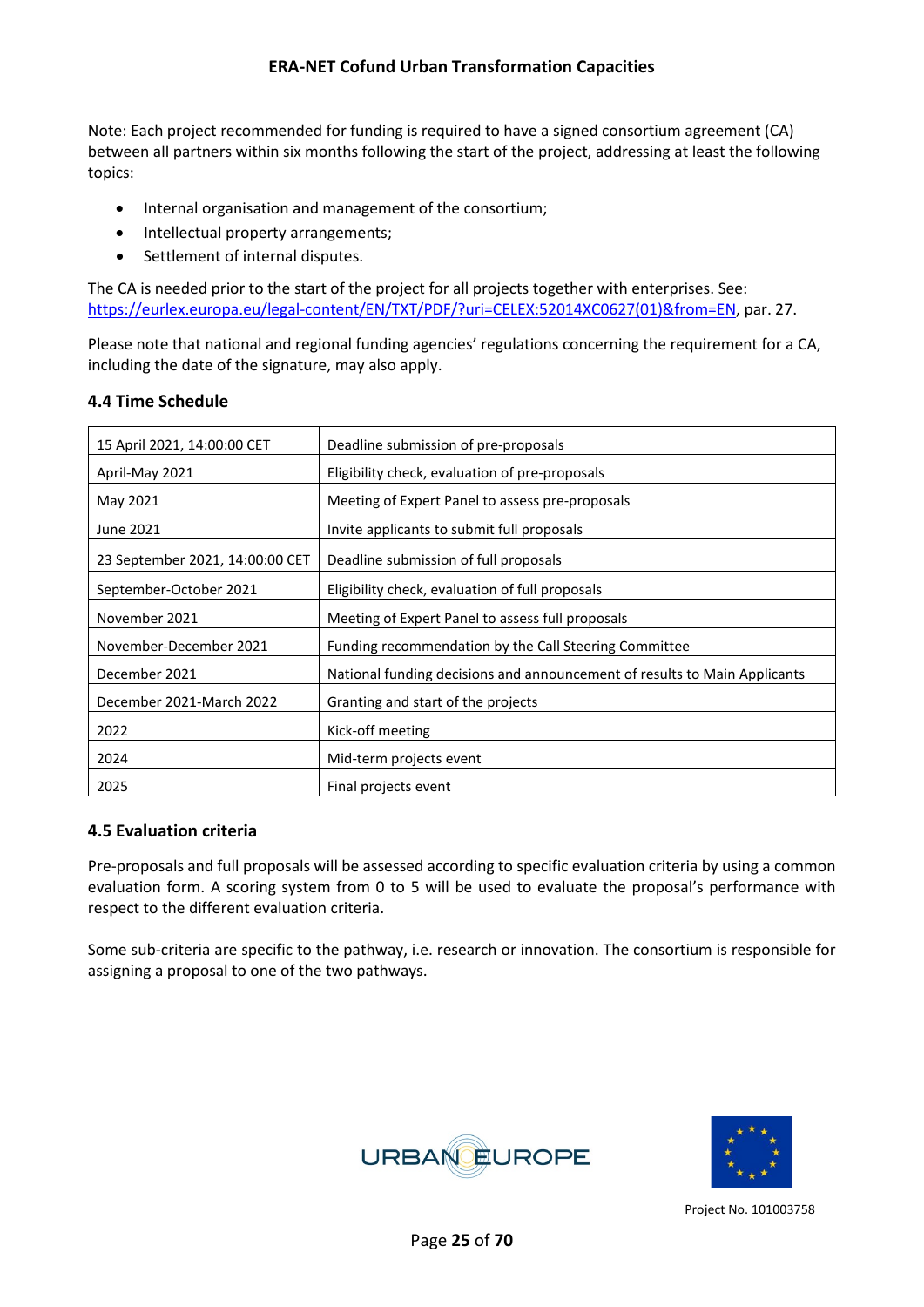Note: Each project recommended for funding is required to have a signed consortium agreement (CA) between all partners within six months following the start of the project, addressing at least the following topics:

- Internal organisation and management of the consortium;
- Intellectual property arrangements;
- Settlement of internal disputes.

The CA is needed prior to the start of the project for all projects together with enterprises. See: [https://eurlex.europa.eu/legal-content/EN/TXT/PDF/?uri=CELEX:52014XC0627\(01\)&from=EN,](https://eurlex.europa.eu/legal-content/EN/TXT/PDF/?uri=CELEX:52014XC0627(01)&from=EN) par. 27.

Please note that national and regional funding agencies' regulations concerning the requirement for a CA, including the date of the signature, may also apply.

#### <span id="page-24-0"></span>**4.4 Time Schedule**

| 15 April 2021, 14:00:00 CET     | Deadline submission of pre-proposals                                      |
|---------------------------------|---------------------------------------------------------------------------|
| April-May 2021                  | Eligibility check, evaluation of pre-proposals                            |
| May 2021                        | Meeting of Expert Panel to assess pre-proposals                           |
| June 2021                       | Invite applicants to submit full proposals                                |
| 23 September 2021, 14:00:00 CET | Deadline submission of full proposals                                     |
| September-October 2021          | Eligibility check, evaluation of full proposals                           |
| November 2021                   | Meeting of Expert Panel to assess full proposals                          |
| November-December 2021          | Funding recommendation by the Call Steering Committee                     |
| December 2021                   | National funding decisions and announcement of results to Main Applicants |
| December 2021-March 2022        | Granting and start of the projects                                        |
| 2022                            | Kick-off meeting                                                          |
| 2024                            | Mid-term projects event                                                   |
| 2025                            | Final projects event                                                      |

#### <span id="page-24-1"></span>**4.5 Evaluation criteria**

Pre-proposals and full proposals will be assessed according to specific evaluation criteria by using a common evaluation form. A scoring system from 0 to 5 will be used to evaluate the proposal's performance with respect to the different evaluation criteria.

Some sub-criteria are specific to the pathway, i.e. research or innovation. The consortium is responsible for assigning a proposal to one of the two pathways.



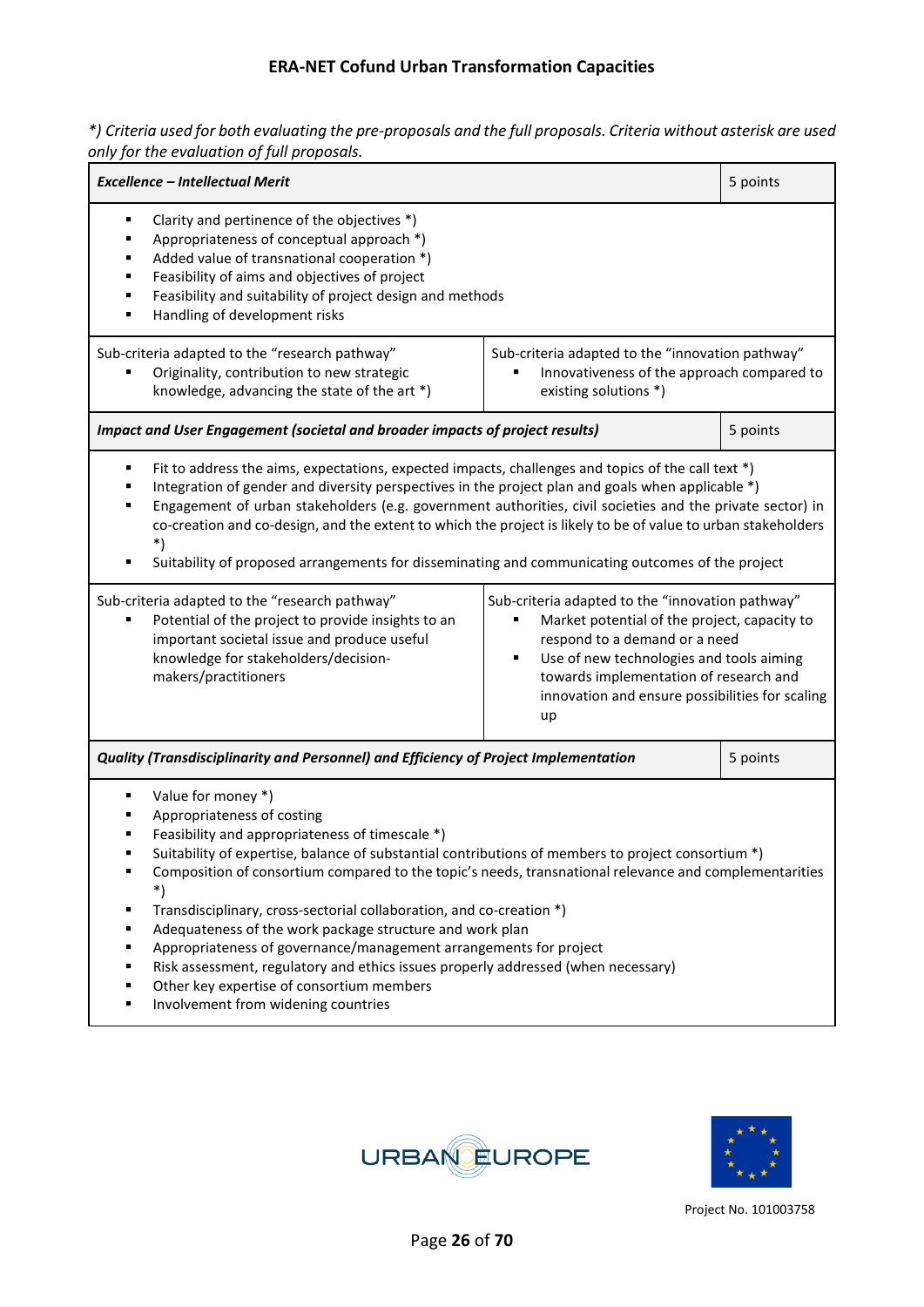*\*) Criteria used for both evaluating the pre-proposals and the full proposals. Criteria without asterisk are used only for the evaluation of full proposals.*

| <b>Excellence - Intellectual Merit</b>                                                                                                                                                                                                                                                                                                                                                                                                                                                                                                                                                                                                                                                  |                                                                                                                                                                                                                                                                                                                                                                                                                                                                                                                                           | 5 points |  |  |  |  |  |
|-----------------------------------------------------------------------------------------------------------------------------------------------------------------------------------------------------------------------------------------------------------------------------------------------------------------------------------------------------------------------------------------------------------------------------------------------------------------------------------------------------------------------------------------------------------------------------------------------------------------------------------------------------------------------------------------|-------------------------------------------------------------------------------------------------------------------------------------------------------------------------------------------------------------------------------------------------------------------------------------------------------------------------------------------------------------------------------------------------------------------------------------------------------------------------------------------------------------------------------------------|----------|--|--|--|--|--|
| Clarity and pertinence of the objectives *)<br>٠<br>Appropriateness of conceptual approach *)<br>٠<br>Added value of transnational cooperation *)<br>Feasibility of aims and objectives of project<br>Feasibility and suitability of project design and methods<br>٠<br>Handling of development risks<br>٠                                                                                                                                                                                                                                                                                                                                                                              |                                                                                                                                                                                                                                                                                                                                                                                                                                                                                                                                           |          |  |  |  |  |  |
| Sub-criteria adapted to the "research pathway"<br>Originality, contribution to new strategic<br>knowledge, advancing the state of the art *)                                                                                                                                                                                                                                                                                                                                                                                                                                                                                                                                            | Sub-criteria adapted to the "innovation pathway"<br>Innovativeness of the approach compared to<br>existing solutions *)                                                                                                                                                                                                                                                                                                                                                                                                                   |          |  |  |  |  |  |
| Impact and User Engagement (societal and broader impacts of project results)                                                                                                                                                                                                                                                                                                                                                                                                                                                                                                                                                                                                            |                                                                                                                                                                                                                                                                                                                                                                                                                                                                                                                                           | 5 points |  |  |  |  |  |
| ٠<br>٠<br>$\ast$                                                                                                                                                                                                                                                                                                                                                                                                                                                                                                                                                                                                                                                                        | Fit to address the aims, expectations, expected impacts, challenges and topics of the call text *)<br>Integration of gender and diversity perspectives in the project plan and goals when applicable *)<br>Engagement of urban stakeholders (e.g. government authorities, civil societies and the private sector) in<br>co-creation and co-design, and the extent to which the project is likely to be of value to urban stakeholders<br>Suitability of proposed arrangements for disseminating and communicating outcomes of the project |          |  |  |  |  |  |
| Sub-criteria adapted to the "research pathway"<br>Sub-criteria adapted to the "innovation pathway"<br>Potential of the project to provide insights to an<br>Market potential of the project, capacity to<br>important societal issue and produce useful<br>respond to a demand or a need<br>knowledge for stakeholders/decision-<br>Use of new technologies and tools aiming<br>٠<br>makers/practitioners<br>towards implementation of research and<br>innovation and ensure possibilities for scaling<br>up                                                                                                                                                                            |                                                                                                                                                                                                                                                                                                                                                                                                                                                                                                                                           |          |  |  |  |  |  |
| Quality (Transdisciplinarity and Personnel) and Efficiency of Project Implementation                                                                                                                                                                                                                                                                                                                                                                                                                                                                                                                                                                                                    |                                                                                                                                                                                                                                                                                                                                                                                                                                                                                                                                           | 5 points |  |  |  |  |  |
| Value for money *)<br>Appropriateness of costing<br>Feasibility and appropriateness of timescale *)<br>Suitability of expertise, balance of substantial contributions of members to project consortium *)<br>Composition of consortium compared to the topic's needs, transnational relevance and complementarities<br>٠<br>Transdisciplinary, cross-sectorial collaboration, and co-creation *)<br>٠<br>Adequateness of the work package structure and work plan<br>Appropriateness of governance/management arrangements for project<br>٠<br>Risk assessment, regulatory and ethics issues properly addressed (when necessary)<br>٠<br>Other key expertise of consortium members<br>٠ |                                                                                                                                                                                                                                                                                                                                                                                                                                                                                                                                           |          |  |  |  |  |  |

**Involvement from widening countries** 



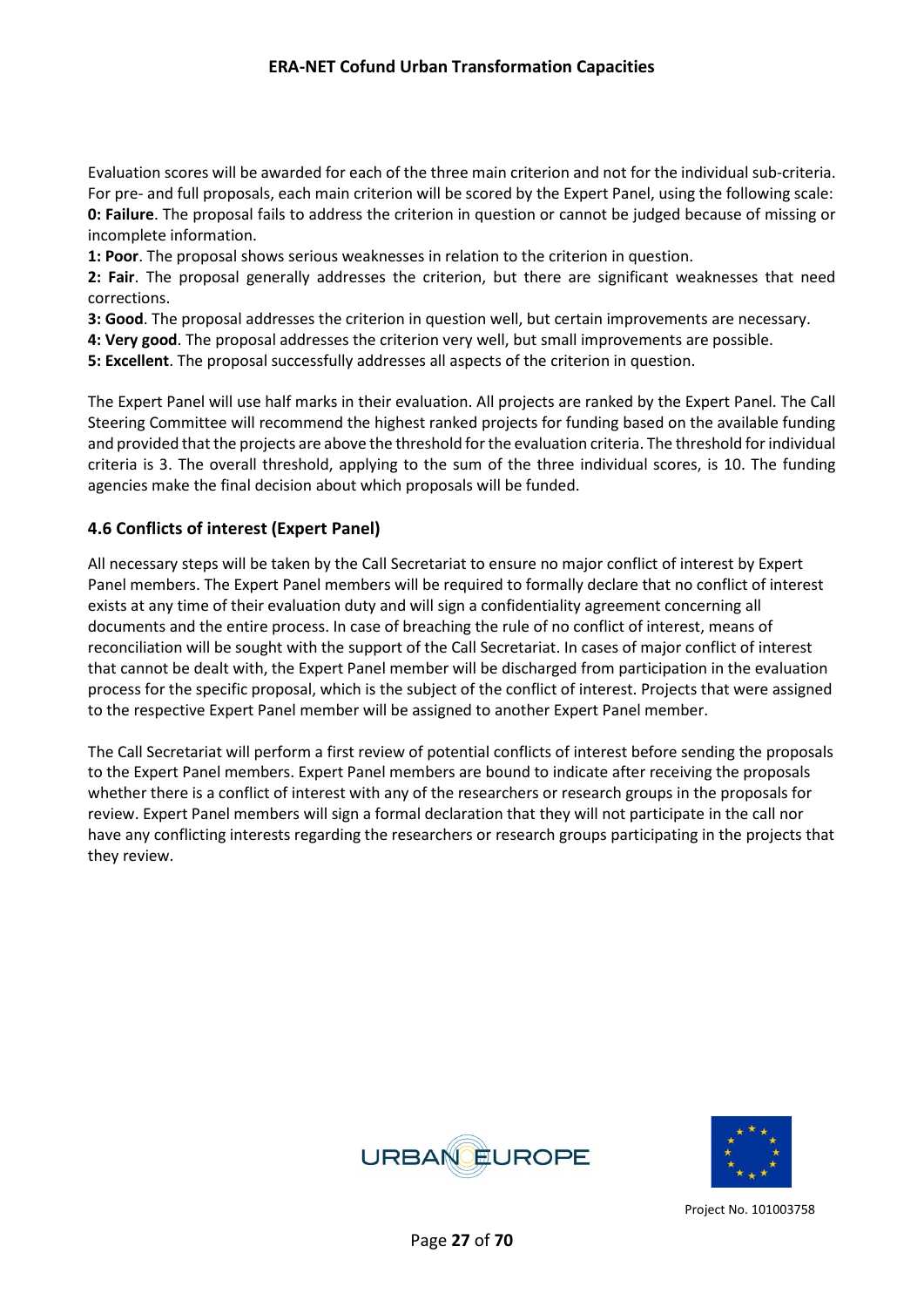Evaluation scores will be awarded for each of the three main criterion and not for the individual sub-criteria. For pre- and full proposals, each main criterion will be scored by the Expert Panel, using the following scale: **0: Failure**. The proposal fails to address the criterion in question or cannot be judged because of missing or incomplete information.

**1: Poor**. The proposal shows serious weaknesses in relation to the criterion in question.

**2: Fair**. The proposal generally addresses the criterion, but there are significant weaknesses that need corrections.

**3: Good**. The proposal addresses the criterion in question well, but certain improvements are necessary.

- **4: Very good**. The proposal addresses the criterion very well, but small improvements are possible.
- **5: Excellent**. The proposal successfully addresses all aspects of the criterion in question.

The Expert Panel will use half marks in their evaluation. All projects are ranked by the Expert Panel. The Call Steering Committee will recommend the highest ranked projects for funding based on the available funding and provided that the projects are above the threshold for the evaluation criteria. The threshold for individual criteria is 3. The overall threshold, applying to the sum of the three individual scores, is 10. The funding agencies make the final decision about which proposals will be funded.

#### <span id="page-26-0"></span>**4.6 Conflicts of interest (Expert Panel)**

All necessary steps will be taken by the Call Secretariat to ensure no major conflict of interest by Expert Panel members. The Expert Panel members will be required to formally declare that no conflict of interest exists at any time of their evaluation duty and will sign a confidentiality agreement concerning all documents and the entire process. In case of breaching the rule of no conflict of interest, means of reconciliation will be sought with the support of the Call Secretariat. In cases of major conflict of interest that cannot be dealt with, the Expert Panel member will be discharged from participation in the evaluation process for the specific proposal, which is the subject of the conflict of interest. Projects that were assigned to the respective Expert Panel member will be assigned to another Expert Panel member.

The Call Secretariat will perform a first review of potential conflicts of interest before sending the proposals to the Expert Panel members. Expert Panel members are bound to indicate after receiving the proposals whether there is a conflict of interest with any of the researchers or research groups in the proposals for review. Expert Panel members will sign a formal declaration that they will not participate in the call nor have any conflicting interests regarding the researchers or research groups participating in the projects that they review.



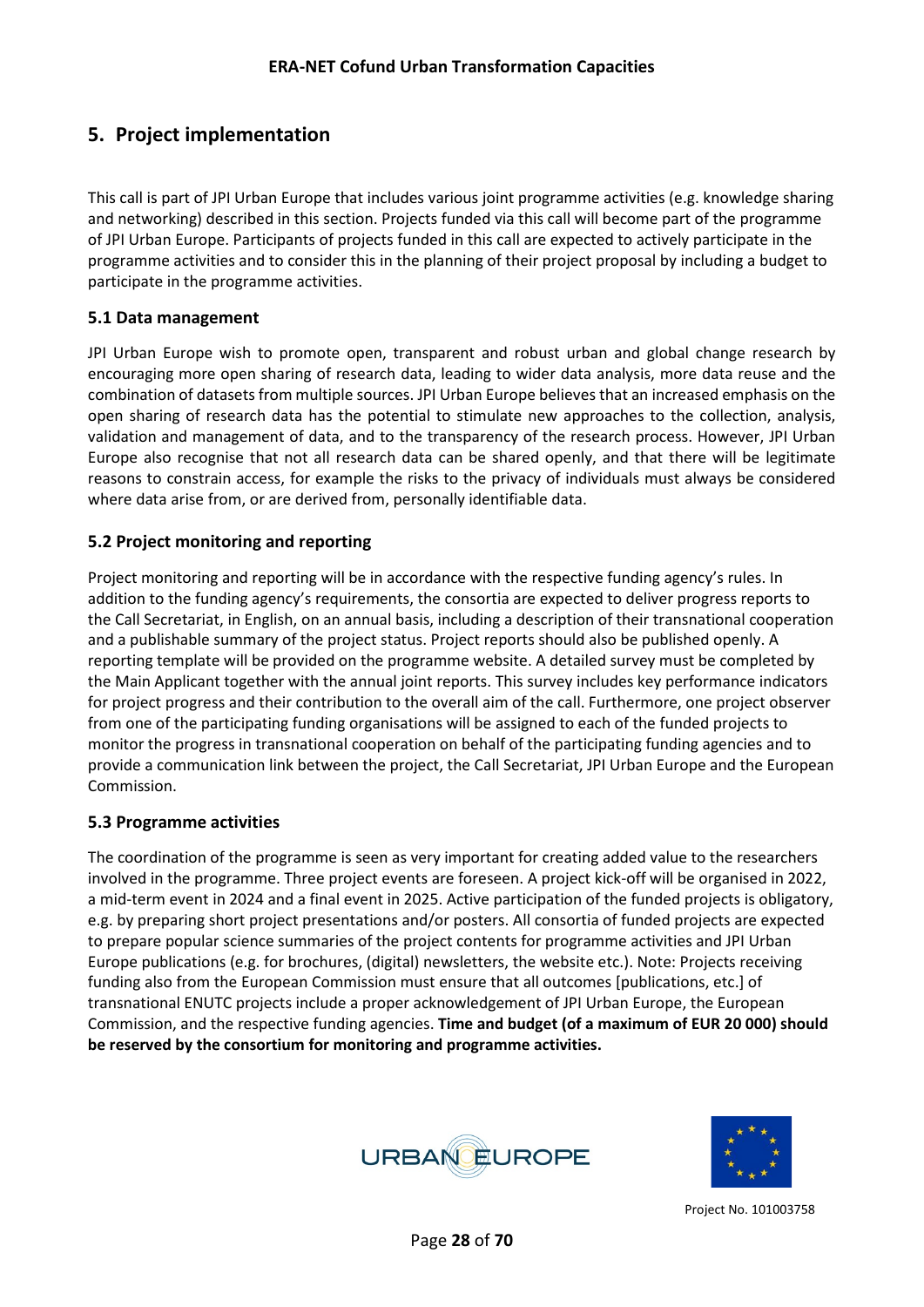## <span id="page-27-0"></span>**5. Project implementation**

This call is part of JPI Urban Europe that includes various joint programme activities (e.g. knowledge sharing and networking) described in this section. Projects funded via this call will become part of the programme of JPI Urban Europe. Participants of projects funded in this call are expected to actively participate in the programme activities and to consider this in the planning of their project proposal by including a budget to participate in the programme activities.

#### <span id="page-27-1"></span>**5.1 Data management**

JPI Urban Europe wish to promote open, transparent and robust urban and global change research by encouraging more open sharing of research data, leading to wider data analysis, more data reuse and the combination of datasets from multiple sources. JPI Urban Europe believes that an increased emphasis on the open sharing of research data has the potential to stimulate new approaches to the collection, analysis, validation and management of data, and to the transparency of the research process. However, JPI Urban Europe also recognise that not all research data can be shared openly, and that there will be legitimate reasons to constrain access, for example the risks to the privacy of individuals must always be considered where data arise from, or are derived from, personally identifiable data.

#### <span id="page-27-2"></span>**5.2 Project monitoring and reporting**

Project monitoring and reporting will be in accordance with the respective funding agency's rules. In addition to the funding agency's requirements, the consortia are expected to deliver progress reports to the Call Secretariat, in English, on an annual basis, including a description of their transnational cooperation and a publishable summary of the project status. Project reports should also be published openly. A reporting template will be provided on the programme website. A detailed survey must be completed by the Main Applicant together with the annual joint reports. This survey includes key performance indicators for project progress and their contribution to the overall aim of the call. Furthermore, one project observer from one of the participating funding organisations will be assigned to each of the funded projects to monitor the progress in transnational cooperation on behalf of the participating funding agencies and to provide a communication link between the project, the Call Secretariat, JPI Urban Europe and the European Commission.

#### <span id="page-27-3"></span>**5.3 Programme activities**

The coordination of the programme is seen as very important for creating added value to the researchers involved in the programme. Three project events are foreseen. A project kick-off will be organised in 2022, a mid-term event in 2024 and a final event in 2025. Active participation of the funded projects is obligatory, e.g. by preparing short project presentations and/or posters. All consortia of funded projects are expected to prepare popular science summaries of the project contents for programme activities and JPI Urban Europe publications (e.g. for brochures, (digital) newsletters, the website etc.). Note: Projects receiving funding also from the European Commission must ensure that all outcomes [publications, etc.] of transnational ENUTC projects include a proper acknowledgement of JPI Urban Europe, the European Commission, and the respective funding agencies. **Time and budget (of a maximum of EUR 20 000) should be reserved by the consortium for monitoring and programme activities.**



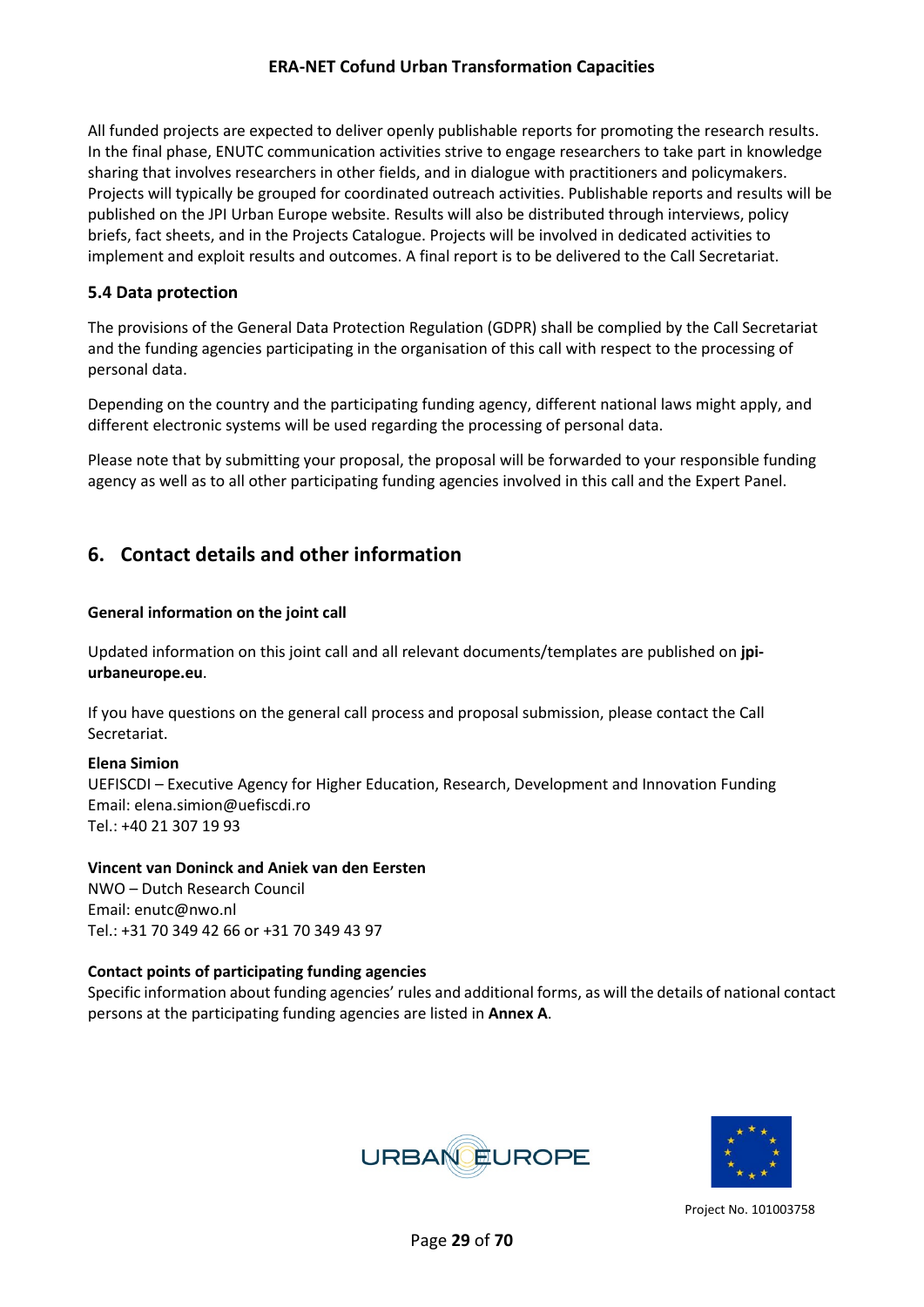All funded projects are expected to deliver openly publishable reports for promoting the research results. In the final phase, ENUTC communication activities strive to engage researchers to take part in knowledge sharing that involves researchers in other fields, and in dialogue with practitioners and policymakers. Projects will typically be grouped for coordinated outreach activities. Publishable reports and results will be published on the JPI Urban Europe website. Results will also be distributed through interviews, policy briefs, fact sheets, and in the Projects Catalogue. Projects will be involved in dedicated activities to implement and exploit results and outcomes. A final report is to be delivered to the Call Secretariat.

#### <span id="page-28-0"></span>**5.4 Data protection**

The provisions of the General Data Protection Regulation (GDPR) shall be complied by the Call Secretariat and the funding agencies participating in the organisation of this call with respect to the processing of personal data.

Depending on the country and the participating funding agency, different national laws might apply, and different electronic systems will be used regarding the processing of personal data.

Please note that by submitting your proposal, the proposal will be forwarded to your responsible funding agency as well as to all other participating funding agencies involved in this call and the Expert Panel.

## <span id="page-28-1"></span>**6. Contact details and other information**

#### **General information on the joint call**

Updated information on this joint call and all relevant documents/templates are published on **[jpi](https://jpi-urbaneurope.eu/)[urbaneurope.eu](https://jpi-urbaneurope.eu/)**.

If you have questions on the general call process and proposal submission, please contact the Call Secretariat.

#### **Elena Simion**

UEFISCDI – Executive Agency for Higher Education, Research, Development and Innovation Funding Email[: elena.simion@uefiscdi.ro](mailto:elena.simion@uefiscdi.ro) Tel.: +40 21 307 19 93

#### **Vincent van Doninck and Aniek van den Eersten**

NWO – Dutch Research Council Email: [enutc@nwo.nl](mailto:enutc@nwo.nl) Tel.: +31 70 349 42 66 or +31 70 349 43 97

#### **Contact points of participating funding agencies**

Specific information about funding agencies' rules and additional forms, as will the details of national contact persons at the participating funding agencies are listed in **Annex A**.



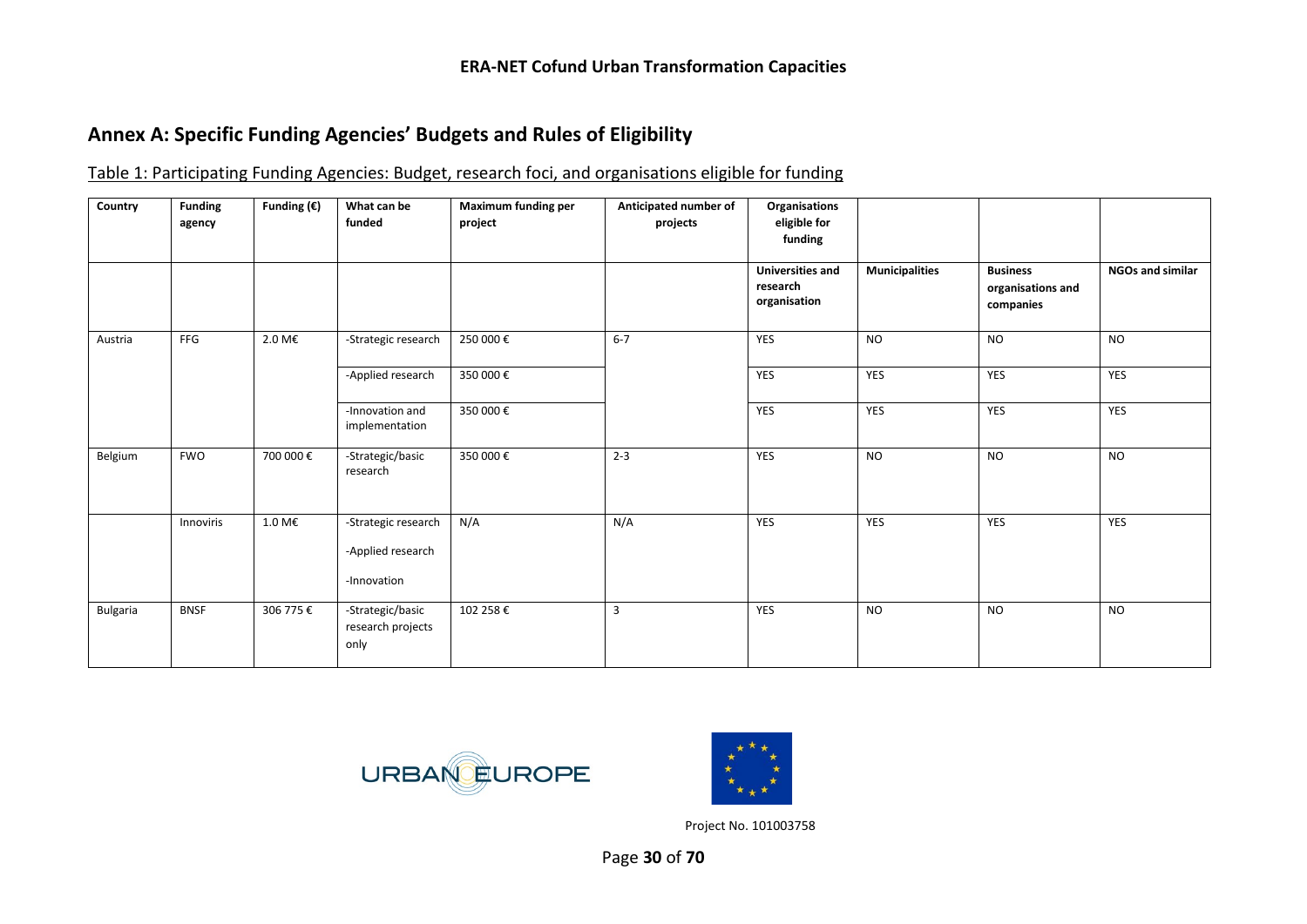## **Annex A: Specific Funding Agencies' Budgets and Rules of Eligibility**

| Table 1: Participating Funding Agencies: Budget, research foci, and organisations eligible for funding |
|--------------------------------------------------------------------------------------------------------|
|--------------------------------------------------------------------------------------------------------|

<span id="page-29-0"></span>

| Country  | <b>Funding</b><br>agency | Funding $(\epsilon)$ | What can be<br>funded                                   | Maximum funding per<br>project | Anticipated number of<br>projects | Organisations<br>eligible for<br>funding            |                       |                                                   |                         |
|----------|--------------------------|----------------------|---------------------------------------------------------|--------------------------------|-----------------------------------|-----------------------------------------------------|-----------------------|---------------------------------------------------|-------------------------|
|          |                          |                      |                                                         |                                |                                   | <b>Universities and</b><br>research<br>organisation | <b>Municipalities</b> | <b>Business</b><br>organisations and<br>companies | <b>NGOs and similar</b> |
| Austria  | FFG                      | 2.0 M€               | -Strategic research                                     | 250 000€                       | $6 - 7$                           | <b>YES</b>                                          | <b>NO</b>             | <b>NO</b>                                         | <b>NO</b>               |
|          |                          |                      | -Applied research                                       | 350 000€                       |                                   | YES                                                 | YES                   | YES                                               | YES                     |
|          |                          |                      | -Innovation and<br>implementation                       | 350 000€                       |                                   | YES                                                 | YES                   | YES                                               | YES                     |
| Belgium  | <b>FWO</b>               | 700 000€             | -Strategic/basic<br>research                            | 350 000€                       | $2 - 3$                           | <b>YES</b>                                          | <b>NO</b>             | <b>NO</b>                                         | <b>NO</b>               |
|          | Innoviris                | 1.0 M€               | -Strategic research<br>-Applied research<br>-Innovation | N/A                            | N/A                               | YES                                                 | YES                   | YES                                               | YES                     |
| Bulgaria | <b>BNSF</b>              | 306 775 €            | -Strategic/basic<br>research projects<br>only           | 102 258 €                      | $\overline{3}$                    | YES                                                 | <b>NO</b>             | <b>NO</b>                                         | <b>NO</b>               |



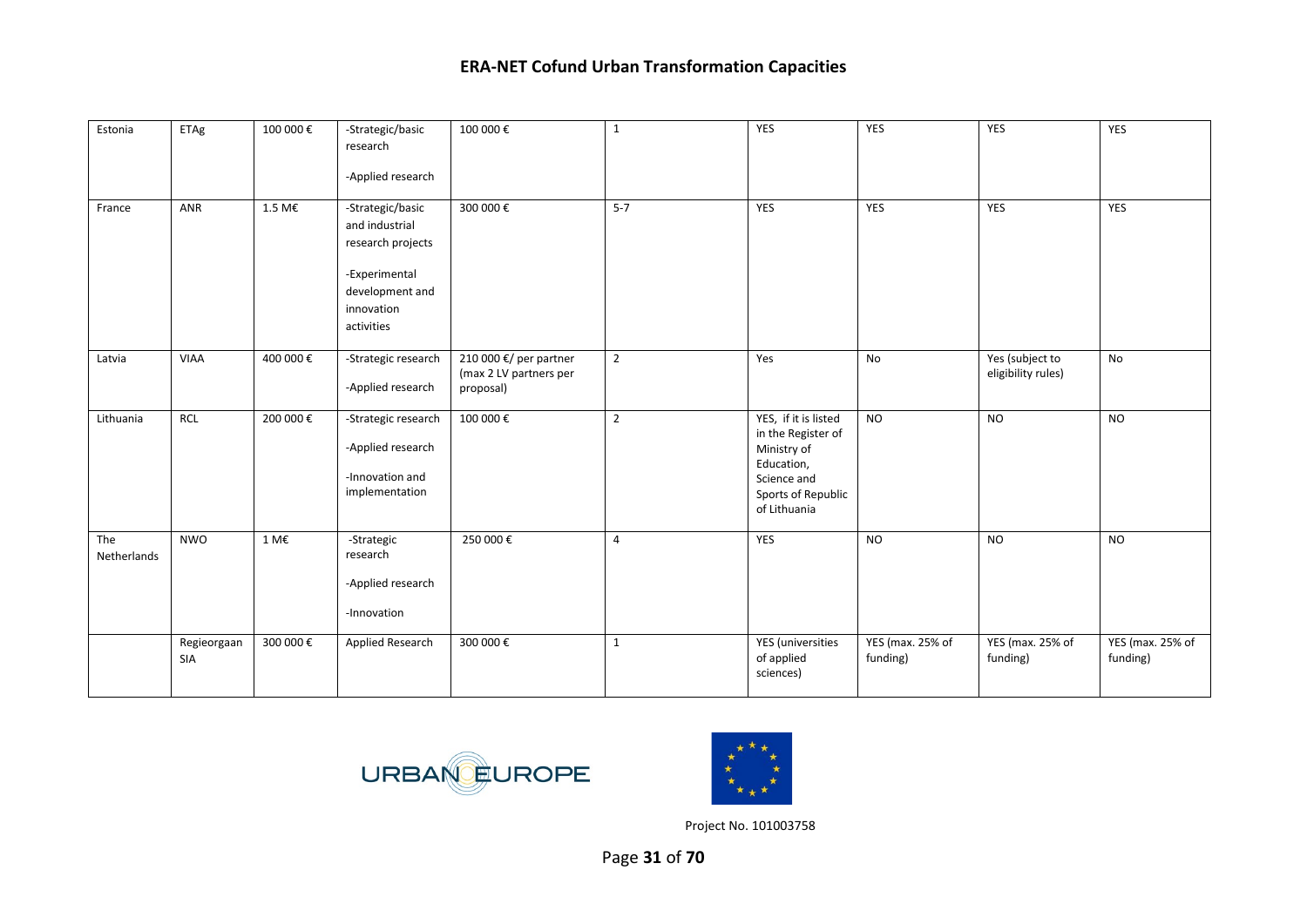| Estonia            | ETAg               | 100 000€      | -Strategic/basic<br>research                                                                                            | 100 000€                                                      | $\mathbf{1}$   | YES                                                                                                                          | YES                                 | YES                                   | YES                          |
|--------------------|--------------------|---------------|-------------------------------------------------------------------------------------------------------------------------|---------------------------------------------------------------|----------------|------------------------------------------------------------------------------------------------------------------------------|-------------------------------------|---------------------------------------|------------------------------|
|                    |                    |               | -Applied research                                                                                                       |                                                               |                |                                                                                                                              |                                     |                                       |                              |
| France             | ANR                | 1.5 M€        | -Strategic/basic<br>and industrial<br>research projects<br>-Experimental<br>development and<br>innovation<br>activities | 300 000€                                                      | $5 - 7$        | YES                                                                                                                          | YES                                 | <b>YES</b>                            | YES                          |
| Latvia             | VIAA               | 400 000€      | -Strategic research<br>-Applied research                                                                                | 210 000 €/ per partner<br>(max 2 LV partners per<br>proposal) | $\overline{2}$ | Yes                                                                                                                          | No                                  | Yes (subject to<br>eligibility rules) | No                           |
| Lithuania          | <b>RCL</b>         | 200 000 €     | -Strategic research<br>-Applied research<br>-Innovation and<br>implementation                                           | 100 000€                                                      | $\overline{2}$ | YES, if it is listed<br>in the Register of<br>Ministry of<br>Education,<br>Science and<br>Sports of Republic<br>of Lithuania | <b>NO</b>                           | <b>NO</b>                             | <b>NO</b>                    |
| The<br>Netherlands | <b>NWO</b>         | $1 M\epsilon$ | -Strategic<br>research<br>-Applied research<br>-Innovation                                                              | 250 000€                                                      | $\overline{4}$ | <b>YES</b>                                                                                                                   | <b>NO</b>                           | <b>NO</b>                             | <b>NO</b>                    |
|                    | Regieorgaan<br>SIA | 300 000 €     | Applied Research                                                                                                        | 300 000€                                                      | $\mathbf{1}$   | <b>YES</b> (universities<br>of applied<br>sciences)                                                                          | <b>YES</b> (max. 25% of<br>funding) | YES (max. 25% of<br>funding)          | YES (max. 25% of<br>funding) |



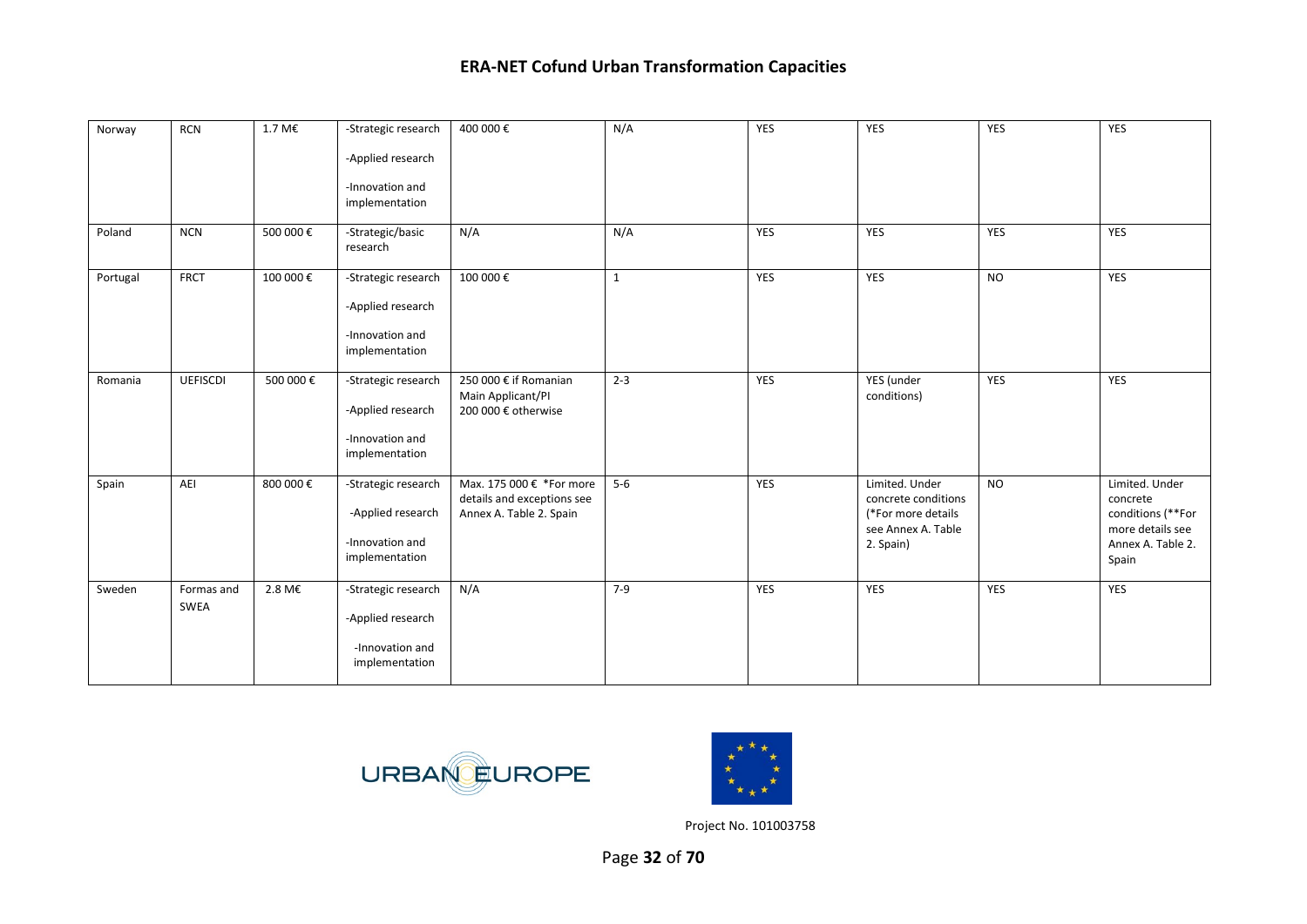| Norway   | <b>RCN</b>         | $1.7\ \text{M}\epsilon$ | -Strategic research<br>-Applied research<br>-Innovation and<br>implementation | 400 000€                                                                          | N/A          | <b>YES</b> | YES                                                                                            | <b>YES</b> | YES                                                                                               |
|----------|--------------------|-------------------------|-------------------------------------------------------------------------------|-----------------------------------------------------------------------------------|--------------|------------|------------------------------------------------------------------------------------------------|------------|---------------------------------------------------------------------------------------------------|
| Poland   | <b>NCN</b>         | 500 000€                | -Strategic/basic<br>research                                                  | N/A                                                                               | N/A          | <b>YES</b> | YES                                                                                            | YES        | YES                                                                                               |
| Portugal | <b>FRCT</b>        | 100 000€                | -Strategic research<br>-Applied research<br>-Innovation and<br>implementation | 100 000€                                                                          | $\mathbf{1}$ | <b>YES</b> | YES                                                                                            | <b>NO</b>  | YES                                                                                               |
| Romania  | <b>UEFISCDI</b>    | 500 000 €               | -Strategic research<br>-Applied research<br>-Innovation and<br>implementation | 250 000 € if Romanian<br>Main Applicant/PI<br>200 000 € otherwise                 | $2 - 3$      | <b>YES</b> | YES (under<br>conditions)                                                                      | <b>YES</b> | <b>YES</b>                                                                                        |
| Spain    | AEI                | 800 000 €               | -Strategic research<br>-Applied research<br>-Innovation and<br>implementation | Max. 175 000 € *For more<br>details and exceptions see<br>Annex A. Table 2. Spain | $5-6$        | <b>YES</b> | Limited. Under<br>concrete conditions<br>(*For more details<br>see Annex A. Table<br>2. Spain) | <b>NO</b>  | Limited. Under<br>concrete<br>conditions (**For<br>more details see<br>Annex A. Table 2.<br>Spain |
| Sweden   | Formas and<br>SWEA | 2.8 M€                  | -Strategic research<br>-Applied research<br>-Innovation and<br>implementation | N/A                                                                               | $7-9$        | <b>YES</b> | <b>YES</b>                                                                                     | <b>YES</b> | YES                                                                                               |



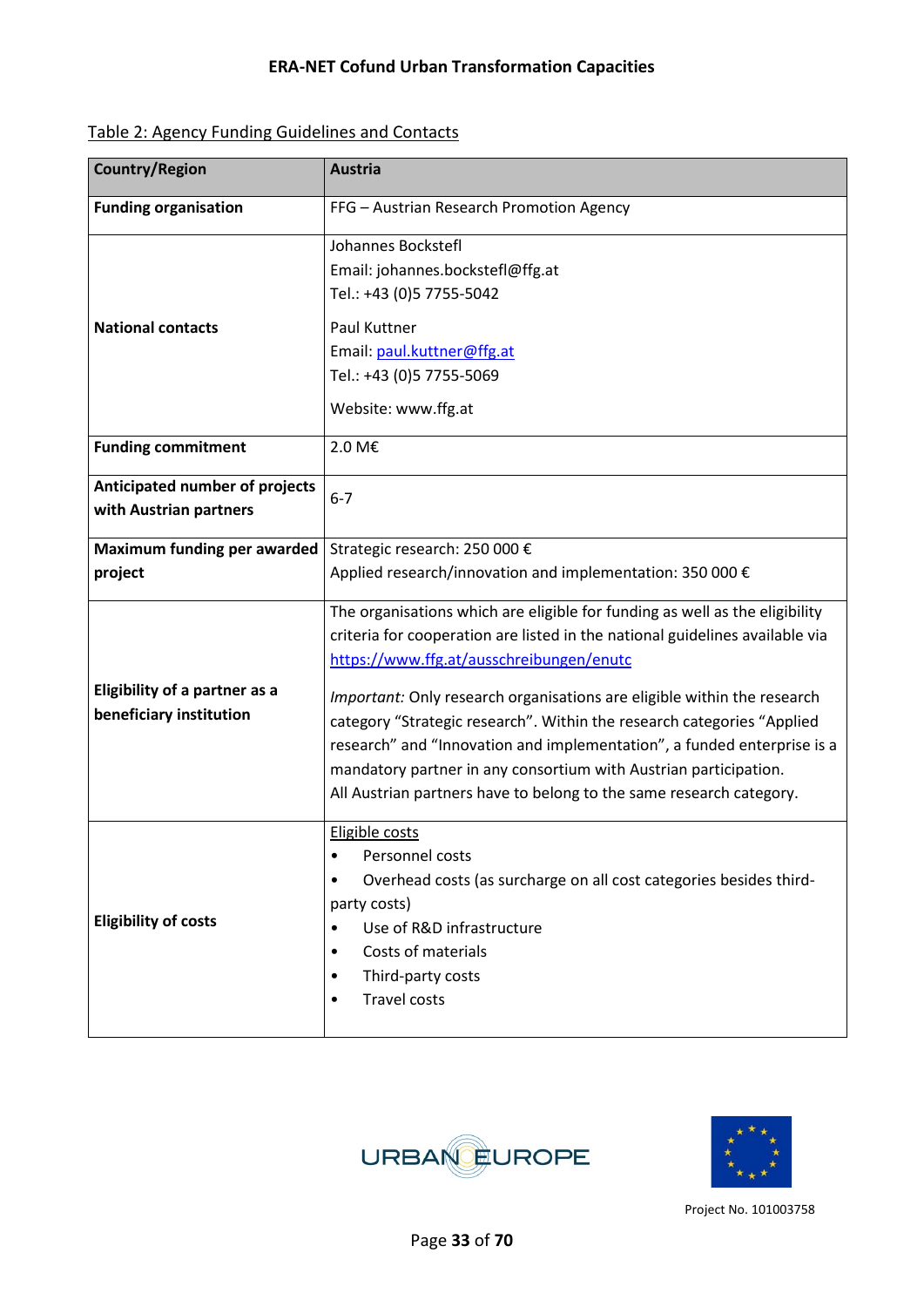| Table 2: Agency Funding Guidelines and Contacts |
|-------------------------------------------------|
|-------------------------------------------------|

| <b>Country/Region</b>                                           | <b>Austria</b>                                                                                                                                                                                                                                                                                                                                                                                                                                                                                                                                                                     |  |  |
|-----------------------------------------------------------------|------------------------------------------------------------------------------------------------------------------------------------------------------------------------------------------------------------------------------------------------------------------------------------------------------------------------------------------------------------------------------------------------------------------------------------------------------------------------------------------------------------------------------------------------------------------------------------|--|--|
| <b>Funding organisation</b>                                     | FFG - Austrian Research Promotion Agency                                                                                                                                                                                                                                                                                                                                                                                                                                                                                                                                           |  |  |
| <b>National contacts</b>                                        | Johannes Bockstefl<br>Email: johannes.bockstefl@ffg.at<br>Tel.: +43 (0)5 7755-5042<br>Paul Kuttner<br>Email: paul.kuttner@ffg.at<br>Tel.: +43 (0)5 7755-5069<br>Website: www.ffg.at                                                                                                                                                                                                                                                                                                                                                                                                |  |  |
| <b>Funding commitment</b>                                       | 2.0 M€                                                                                                                                                                                                                                                                                                                                                                                                                                                                                                                                                                             |  |  |
| Anticipated number of projects<br>with Austrian partners        | $6 - 7$                                                                                                                                                                                                                                                                                                                                                                                                                                                                                                                                                                            |  |  |
| <b>Maximum funding per awarded</b>                              | Strategic research: 250 000 €                                                                                                                                                                                                                                                                                                                                                                                                                                                                                                                                                      |  |  |
| project                                                         | Applied research/innovation and implementation: 350 000 €                                                                                                                                                                                                                                                                                                                                                                                                                                                                                                                          |  |  |
| <b>Eligibility of a partner as a</b><br>beneficiary institution | The organisations which are eligible for funding as well as the eligibility<br>criteria for cooperation are listed in the national guidelines available via<br>https://www.ffg.at/ausschreibungen/enutc<br>Important: Only research organisations are eligible within the research<br>category "Strategic research". Within the research categories "Applied<br>research" and "Innovation and implementation", a funded enterprise is a<br>mandatory partner in any consortium with Austrian participation.<br>All Austrian partners have to belong to the same research category. |  |  |
| <b>Eligibility of costs</b>                                     | Eligible costs<br>Personnel costs<br>$\bullet$<br>Overhead costs (as surcharge on all cost categories besides third-<br>٠<br>party costs)<br>Use of R&D infrastructure<br>٠<br>Costs of materials<br>٠<br>Third-party costs<br>٠<br><b>Travel costs</b><br>$\bullet$                                                                                                                                                                                                                                                                                                               |  |  |



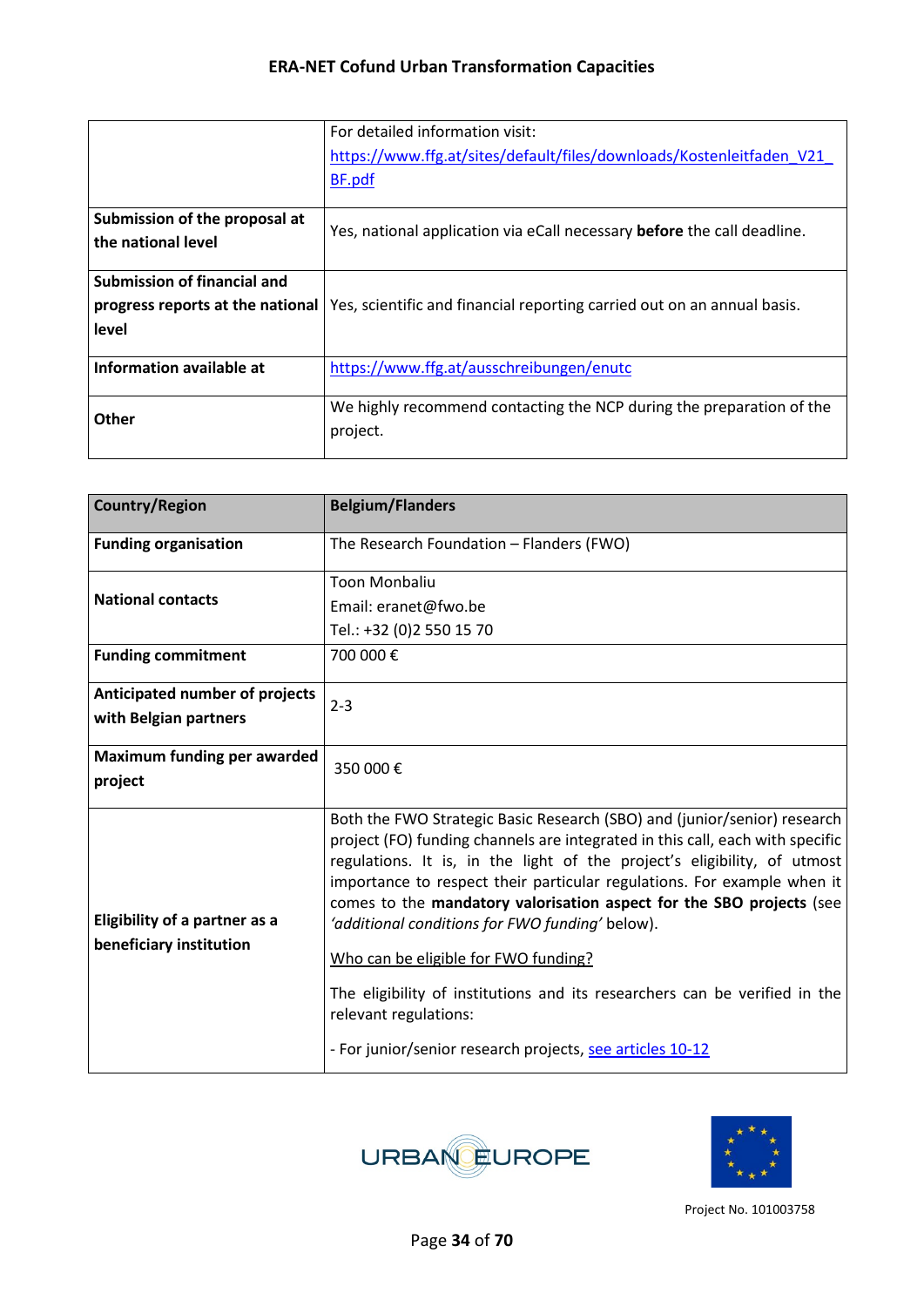|                               | For detailed information visit:                                                                                   |
|-------------------------------|-------------------------------------------------------------------------------------------------------------------|
|                               | https://www.ffg.at/sites/default/files/downloads/Kostenleitfaden V21                                              |
|                               | BF.pdf                                                                                                            |
| Submission of the proposal at | Yes, national application via eCall necessary before the call deadline.                                           |
| the national level            |                                                                                                                   |
| Submission of financial and   |                                                                                                                   |
|                               | <b>progress reports at the national</b>   Yes, scientific and financial reporting carried out on an annual basis. |
| level                         |                                                                                                                   |
| Information available at      | https://www.ffg.at/ausschreibungen/enutc                                                                          |
| Other                         | We highly recommend contacting the NCP during the preparation of the                                              |
|                               | project.                                                                                                          |

| <b>Country/Region</b>                                           | <b>Belgium/Flanders</b>                                                                                                                                                                                                                                                                                                                                                                                                                                                                                                                                                                                                                                 |  |  |  |  |
|-----------------------------------------------------------------|---------------------------------------------------------------------------------------------------------------------------------------------------------------------------------------------------------------------------------------------------------------------------------------------------------------------------------------------------------------------------------------------------------------------------------------------------------------------------------------------------------------------------------------------------------------------------------------------------------------------------------------------------------|--|--|--|--|
| <b>Funding organisation</b>                                     | The Research Foundation - Flanders (FWO)                                                                                                                                                                                                                                                                                                                                                                                                                                                                                                                                                                                                                |  |  |  |  |
| <b>National contacts</b><br><b>Funding commitment</b>           | <b>Toon Monbaliu</b><br>Email: eranet@fwo.be<br>Tel.: +32 (0)2 550 15 70<br>700 000€                                                                                                                                                                                                                                                                                                                                                                                                                                                                                                                                                                    |  |  |  |  |
| <b>Anticipated number of projects</b><br>with Belgian partners  | $2 - 3$                                                                                                                                                                                                                                                                                                                                                                                                                                                                                                                                                                                                                                                 |  |  |  |  |
| Maximum funding per awarded<br>project                          | 350 000€                                                                                                                                                                                                                                                                                                                                                                                                                                                                                                                                                                                                                                                |  |  |  |  |
| <b>Eligibility of a partner as a</b><br>beneficiary institution | Both the FWO Strategic Basic Research (SBO) and (junior/senior) research<br>project (FO) funding channels are integrated in this call, each with specific<br>regulations. It is, in the light of the project's eligibility, of utmost<br>importance to respect their particular regulations. For example when it<br>comes to the mandatory valorisation aspect for the SBO projects (see<br>'additional conditions for FWO funding' below).<br>Who can be eligible for FWO funding?<br>The eligibility of institutions and its researchers can be verified in the<br>relevant regulations:<br>- For junior/senior research projects, see articles 10-12 |  |  |  |  |



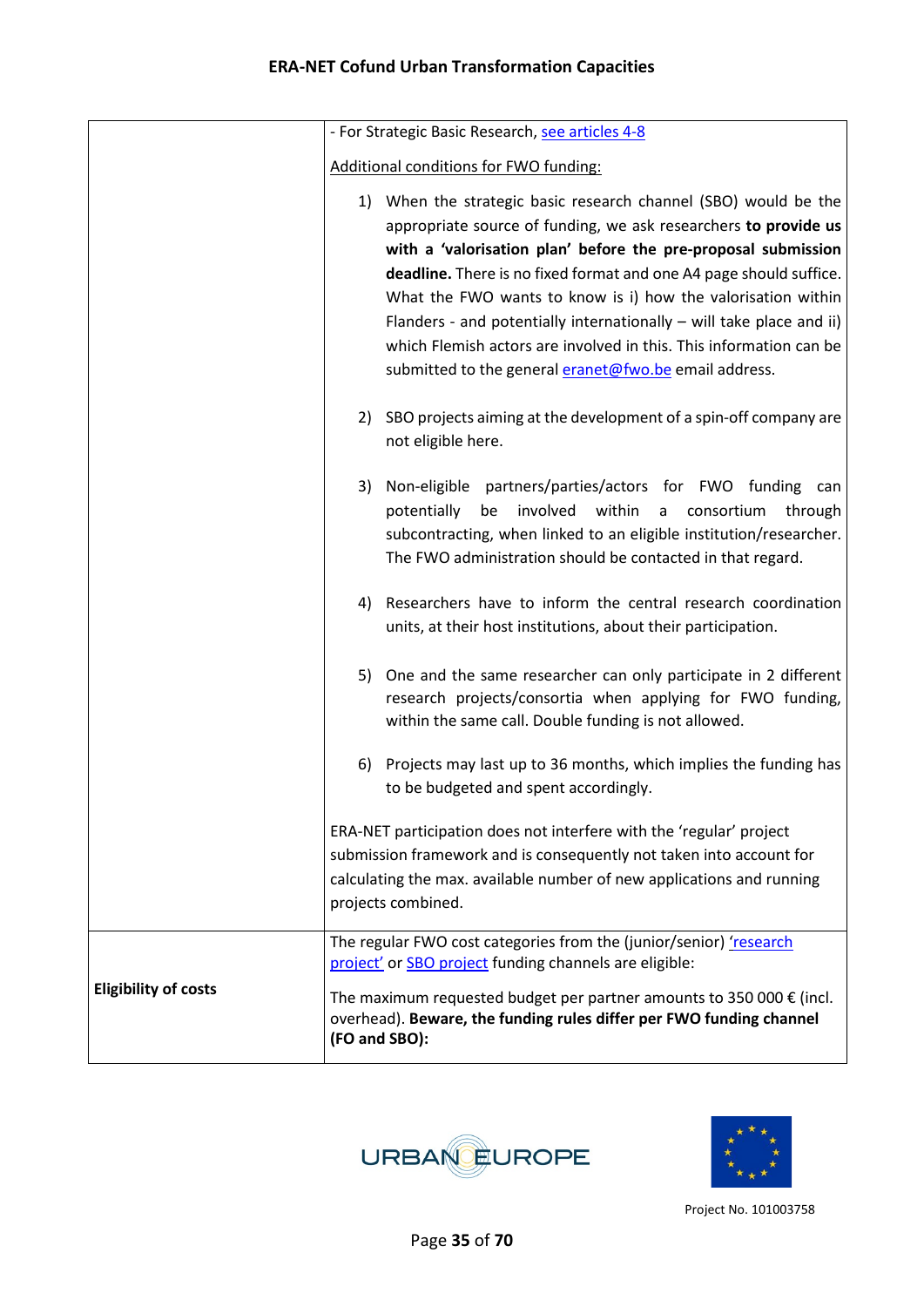|                             | - For Strategic Basic Research, see articles 4-8                                                                                                                                                                                                                                                                                                                                                                                                                                                                                                 |
|-----------------------------|--------------------------------------------------------------------------------------------------------------------------------------------------------------------------------------------------------------------------------------------------------------------------------------------------------------------------------------------------------------------------------------------------------------------------------------------------------------------------------------------------------------------------------------------------|
|                             | Additional conditions for FWO funding:                                                                                                                                                                                                                                                                                                                                                                                                                                                                                                           |
|                             | 1) When the strategic basic research channel (SBO) would be the<br>appropriate source of funding, we ask researchers to provide us<br>with a 'valorisation plan' before the pre-proposal submission<br>deadline. There is no fixed format and one A4 page should suffice.<br>What the FWO wants to know is i) how the valorisation within<br>Flanders - and potentially internationally – will take place and ii)<br>which Flemish actors are involved in this. This information can be<br>submitted to the general eranet@fwo.be email address. |
|                             | 2) SBO projects aiming at the development of a spin-off company are<br>not eligible here.                                                                                                                                                                                                                                                                                                                                                                                                                                                        |
|                             | 3) Non-eligible partners/parties/actors for FWO funding can<br>involved<br>within<br>potentially<br>consortium<br>be<br>through<br>a a<br>subcontracting, when linked to an eligible institution/researcher.<br>The FWO administration should be contacted in that regard.                                                                                                                                                                                                                                                                       |
|                             | Researchers have to inform the central research coordination<br>4)<br>units, at their host institutions, about their participation.                                                                                                                                                                                                                                                                                                                                                                                                              |
|                             | One and the same researcher can only participate in 2 different<br>5)<br>research projects/consortia when applying for FWO funding,<br>within the same call. Double funding is not allowed.                                                                                                                                                                                                                                                                                                                                                      |
|                             | Projects may last up to 36 months, which implies the funding has<br>6)<br>to be budgeted and spent accordingly.                                                                                                                                                                                                                                                                                                                                                                                                                                  |
|                             | ERA-NET participation does not interfere with the 'regular' project<br>submission framework and is consequently not taken into account for<br>calculating the max. available number of new applications and running<br>projects combined.                                                                                                                                                                                                                                                                                                        |
|                             | The regular FWO cost categories from the (junior/senior) 'research<br>project' or <b>SBO</b> project funding channels are eligible:                                                                                                                                                                                                                                                                                                                                                                                                              |
| <b>Eligibility of costs</b> | The maximum requested budget per partner amounts to 350 000 $\epsilon$ (incl.<br>overhead). Beware, the funding rules differ per FWO funding channel<br>(FO and SBO):                                                                                                                                                                                                                                                                                                                                                                            |



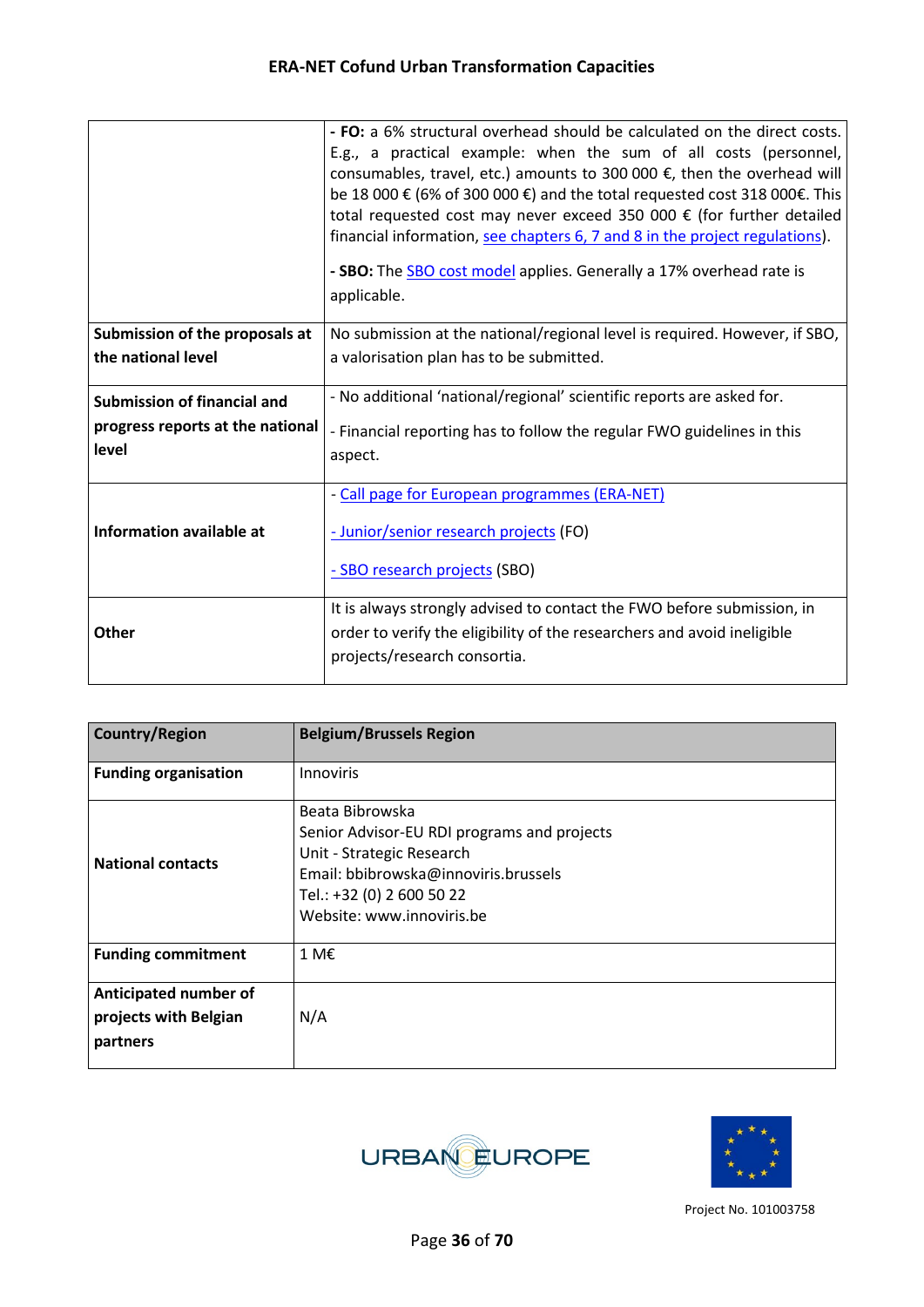|                                           | - FO: a 6% structural overhead should be calculated on the direct costs.<br>E.g., a practical example: when the sum of all costs (personnel,<br>consumables, travel, etc.) amounts to 300 000 $\epsilon$ , then the overhead will<br>be 18 000 € (6% of 300 000 €) and the total requested cost 318 000€. This<br>total requested cost may never exceed 350 000 € (for further detailed<br>financial information, see chapters 6, 7 and 8 in the project regulations).<br>- SBO: The SBO cost model applies. Generally a 17% overhead rate is<br>applicable. |
|-------------------------------------------|--------------------------------------------------------------------------------------------------------------------------------------------------------------------------------------------------------------------------------------------------------------------------------------------------------------------------------------------------------------------------------------------------------------------------------------------------------------------------------------------------------------------------------------------------------------|
| Submission of the proposals at            | No submission at the national/regional level is required. However, if SBO,                                                                                                                                                                                                                                                                                                                                                                                                                                                                                   |
| the national level                        | a valorisation plan has to be submitted.                                                                                                                                                                                                                                                                                                                                                                                                                                                                                                                     |
| <b>Submission of financial and</b>        | - No additional 'national/regional' scientific reports are asked for.                                                                                                                                                                                                                                                                                                                                                                                                                                                                                        |
| progress reports at the national<br>level | - Financial reporting has to follow the regular FWO guidelines in this<br>aspect.                                                                                                                                                                                                                                                                                                                                                                                                                                                                            |
|                                           | - Call page for European programmes (ERA-NET)                                                                                                                                                                                                                                                                                                                                                                                                                                                                                                                |
| Information available at                  | - Junior/senior research projects (FO)                                                                                                                                                                                                                                                                                                                                                                                                                                                                                                                       |
|                                           | - SBO research projects (SBO)                                                                                                                                                                                                                                                                                                                                                                                                                                                                                                                                |
| <b>Other</b>                              | It is always strongly advised to contact the FWO before submission, in<br>order to verify the eligibility of the researchers and avoid ineligible<br>projects/research consortia.                                                                                                                                                                                                                                                                                                                                                                            |

| <b>Country/Region</b>                                      | <b>Belgium/Brussels Region</b>                                                                                                                                                                |
|------------------------------------------------------------|-----------------------------------------------------------------------------------------------------------------------------------------------------------------------------------------------|
| <b>Funding organisation</b>                                | <b>Innoviris</b>                                                                                                                                                                              |
| <b>National contacts</b>                                   | Beata Bibrowska<br>Senior Advisor-EU RDI programs and projects<br>Unit - Strategic Research<br>Email: bbibrowska@innoviris.brussels<br>Tel.: +32 (0) 2 600 50 22<br>Website: www.innoviris.be |
| <b>Funding commitment</b>                                  | 1 M€                                                                                                                                                                                          |
| Anticipated number of<br>projects with Belgian<br>partners | N/A                                                                                                                                                                                           |



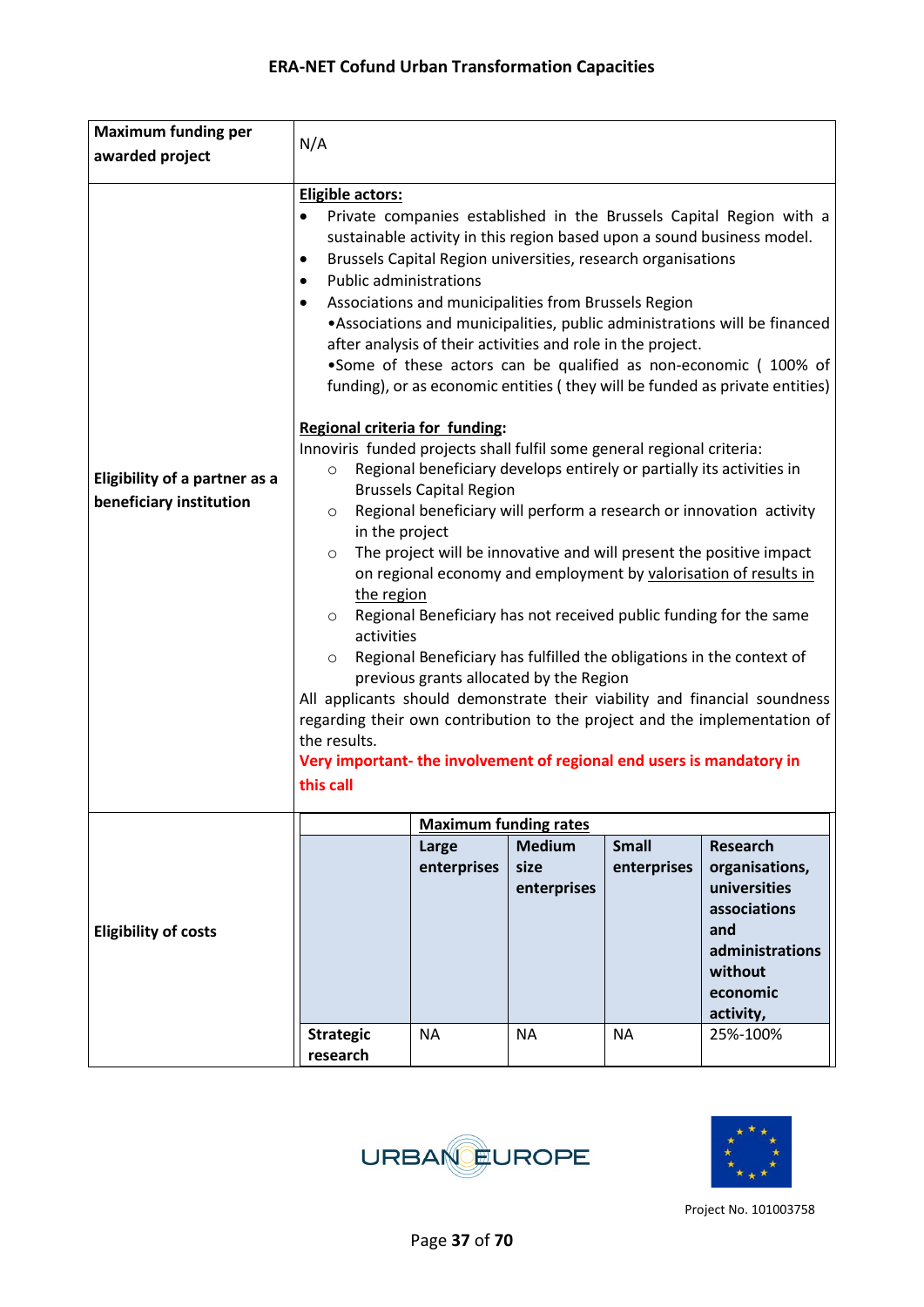| <b>Maximum funding per</b>                                      |                                                                                                                                                                                                                                                                                                                                                                                                                                                                                                                                                                                                                                                                                |                                                                                                                                                                                                                                                                                                                                                                                                                                                                                                                                                                                                                                                                                                                                                                                                                              |                                      |                             |                                                                                                                                 |
|-----------------------------------------------------------------|--------------------------------------------------------------------------------------------------------------------------------------------------------------------------------------------------------------------------------------------------------------------------------------------------------------------------------------------------------------------------------------------------------------------------------------------------------------------------------------------------------------------------------------------------------------------------------------------------------------------------------------------------------------------------------|------------------------------------------------------------------------------------------------------------------------------------------------------------------------------------------------------------------------------------------------------------------------------------------------------------------------------------------------------------------------------------------------------------------------------------------------------------------------------------------------------------------------------------------------------------------------------------------------------------------------------------------------------------------------------------------------------------------------------------------------------------------------------------------------------------------------------|--------------------------------------|-----------------------------|---------------------------------------------------------------------------------------------------------------------------------|
| awarded project                                                 | N/A                                                                                                                                                                                                                                                                                                                                                                                                                                                                                                                                                                                                                                                                            |                                                                                                                                                                                                                                                                                                                                                                                                                                                                                                                                                                                                                                                                                                                                                                                                                              |                                      |                             |                                                                                                                                 |
|                                                                 |                                                                                                                                                                                                                                                                                                                                                                                                                                                                                                                                                                                                                                                                                |                                                                                                                                                                                                                                                                                                                                                                                                                                                                                                                                                                                                                                                                                                                                                                                                                              |                                      |                             |                                                                                                                                 |
| <b>Eligibility of a partner as a</b><br>beneficiary institution | Eligible actors:<br>٠<br>٠<br>$\bullet$<br>$\bullet$<br>$\circ$<br>$\circ$                                                                                                                                                                                                                                                                                                                                                                                                                                                                                                                                                                                                     | Private companies established in the Brussels Capital Region with a<br>sustainable activity in this region based upon a sound business model.<br>Brussels Capital Region universities, research organisations<br><b>Public administrations</b><br>Associations and municipalities from Brussels Region<br>• Associations and municipalities, public administrations will be financed<br>after analysis of their activities and role in the project.<br>•Some of these actors can be qualified as non-economic (100% of<br>funding), or as economic entities (they will be funded as private entities)<br>Regional criteria for funding:<br>Innoviris funded projects shall fulfil some general regional criteria:<br>Regional beneficiary develops entirely or partially its activities in<br><b>Brussels Capital Region</b> |                                      |                             |                                                                                                                                 |
|                                                                 | in the project<br>The project will be innovative and will present the positive impact<br>$\circ$<br>on regional economy and employment by valorisation of results in<br>the region<br>Regional Beneficiary has not received public funding for the same<br>$\circ$<br>activities<br>Regional Beneficiary has fulfilled the obligations in the context of<br>$\circ$<br>previous grants allocated by the Region<br>All applicants should demonstrate their viability and financial soundness<br>regarding their own contribution to the project and the implementation of<br>the results.<br>Very important- the involvement of regional end users is mandatory in<br>this call |                                                                                                                                                                                                                                                                                                                                                                                                                                                                                                                                                                                                                                                                                                                                                                                                                              |                                      |                             | Regional beneficiary will perform a research or innovation activity                                                             |
|                                                                 |                                                                                                                                                                                                                                                                                                                                                                                                                                                                                                                                                                                                                                                                                | <b>Maximum funding rates</b>                                                                                                                                                                                                                                                                                                                                                                                                                                                                                                                                                                                                                                                                                                                                                                                                 |                                      |                             |                                                                                                                                 |
| <b>Eligibility of costs</b>                                     |                                                                                                                                                                                                                                                                                                                                                                                                                                                                                                                                                                                                                                                                                | Large<br>enterprises                                                                                                                                                                                                                                                                                                                                                                                                                                                                                                                                                                                                                                                                                                                                                                                                         | <b>Medium</b><br>size<br>enterprises | <b>Small</b><br>enterprises | <b>Research</b><br>organisations,<br>universities<br>associations<br>and<br>administrations<br>without<br>economic<br>activity, |
|                                                                 | <b>Strategic</b><br>research                                                                                                                                                                                                                                                                                                                                                                                                                                                                                                                                                                                                                                                   | <b>NA</b>                                                                                                                                                                                                                                                                                                                                                                                                                                                                                                                                                                                                                                                                                                                                                                                                                    | <b>NA</b>                            | <b>NA</b>                   | 25%-100%                                                                                                                        |



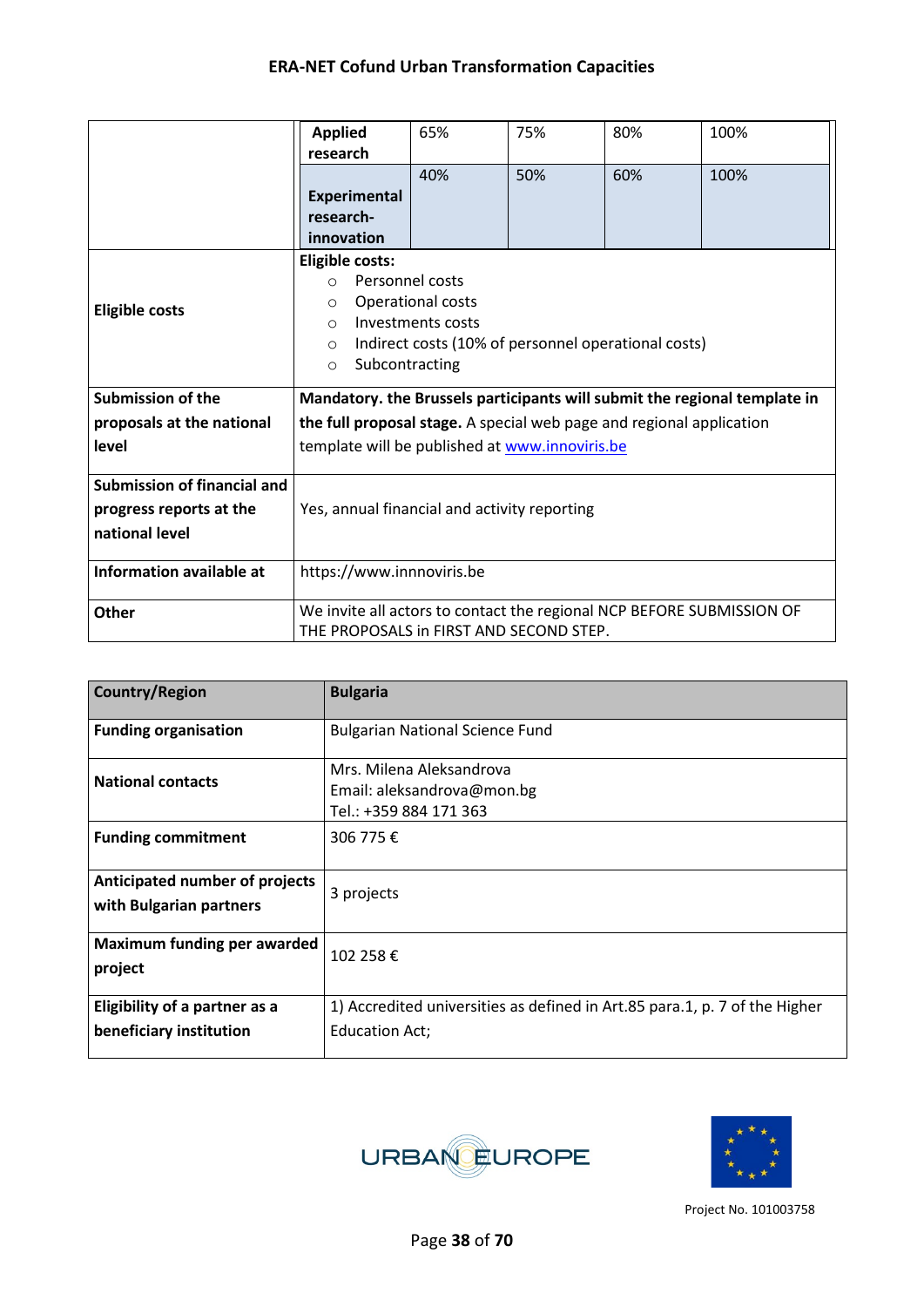|                                 | <b>Applied</b>                                                                                                   | 65%                                                                  | 75% | 80%                                                 | 100%                                                                      |  |
|---------------------------------|------------------------------------------------------------------------------------------------------------------|----------------------------------------------------------------------|-----|-----------------------------------------------------|---------------------------------------------------------------------------|--|
|                                 | research                                                                                                         |                                                                      |     |                                                     |                                                                           |  |
|                                 |                                                                                                                  | 40%                                                                  | 50% | 60%                                                 | 100%                                                                      |  |
|                                 | <b>Experimental</b>                                                                                              |                                                                      |     |                                                     |                                                                           |  |
|                                 | research-                                                                                                        |                                                                      |     |                                                     |                                                                           |  |
|                                 | innovation                                                                                                       |                                                                      |     |                                                     |                                                                           |  |
|                                 | <b>Eligible costs:</b>                                                                                           |                                                                      |     |                                                     |                                                                           |  |
|                                 | Personnel costs<br>$\Omega$                                                                                      |                                                                      |     |                                                     |                                                                           |  |
| <b>Eligible costs</b>           | $\circ$                                                                                                          | Operational costs                                                    |     |                                                     |                                                                           |  |
|                                 | Investments costs<br>$\circ$                                                                                     |                                                                      |     |                                                     |                                                                           |  |
|                                 | $\circ$                                                                                                          |                                                                      |     | Indirect costs (10% of personnel operational costs) |                                                                           |  |
|                                 | Subcontracting<br>$\circ$                                                                                        |                                                                      |     |                                                     |                                                                           |  |
| <b>Submission of the</b>        |                                                                                                                  |                                                                      |     |                                                     | Mandatory. the Brussels participants will submit the regional template in |  |
| proposals at the national       |                                                                                                                  | the full proposal stage. A special web page and regional application |     |                                                     |                                                                           |  |
| level                           | template will be published at www.innoviris.be                                                                   |                                                                      |     |                                                     |                                                                           |  |
|                                 |                                                                                                                  |                                                                      |     |                                                     |                                                                           |  |
| Submission of financial and     |                                                                                                                  |                                                                      |     |                                                     |                                                                           |  |
| progress reports at the         | Yes, annual financial and activity reporting                                                                     |                                                                      |     |                                                     |                                                                           |  |
| national level                  |                                                                                                                  |                                                                      |     |                                                     |                                                                           |  |
|                                 |                                                                                                                  |                                                                      |     |                                                     |                                                                           |  |
| <b>Information available at</b> | https://www.innnoviris.be                                                                                        |                                                                      |     |                                                     |                                                                           |  |
| <b>Other</b>                    | We invite all actors to contact the regional NCP BEFORE SUBMISSION OF<br>THE PROPOSALS in FIRST AND SECOND STEP. |                                                                      |     |                                                     |                                                                           |  |

| <b>Country/Region</b>                                     | <b>Bulgaria</b>                                                                                     |  |  |  |
|-----------------------------------------------------------|-----------------------------------------------------------------------------------------------------|--|--|--|
| <b>Funding organisation</b>                               | <b>Bulgarian National Science Fund</b>                                                              |  |  |  |
| <b>National contacts</b>                                  | Mrs. Milena Aleksandrova<br>Email: aleksandrova@mon.bg<br>Tel.: +359 884 171 363                    |  |  |  |
| <b>Funding commitment</b>                                 | 306 775€                                                                                            |  |  |  |
| Anticipated number of projects<br>with Bulgarian partners | 3 projects                                                                                          |  |  |  |
| <b>Maximum funding per awarded</b><br>project             | 102 258€                                                                                            |  |  |  |
| Eligibility of a partner as a<br>beneficiary institution  | 1) Accredited universities as defined in Art.85 para.1, p. 7 of the Higher<br><b>Education Act;</b> |  |  |  |



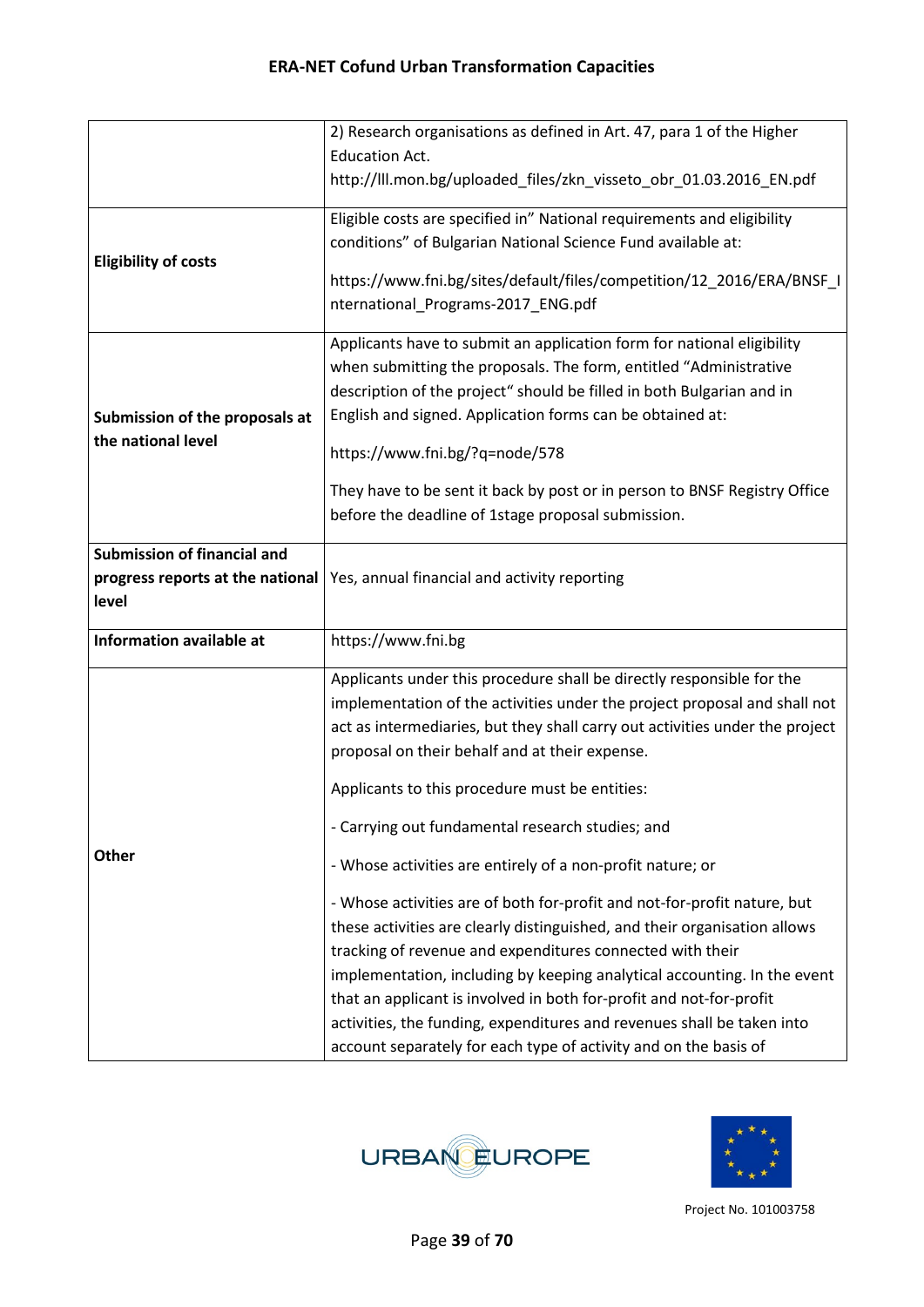|                                                      | 2) Research organisations as defined in Art. 47, para 1 of the Higher                                       |
|------------------------------------------------------|-------------------------------------------------------------------------------------------------------------|
|                                                      | <b>Education Act.</b>                                                                                       |
|                                                      | http://III.mon.bg/uploaded_files/zkn_visseto_obr_01.03.2016_EN.pdf                                          |
|                                                      | Eligible costs are specified in" National requirements and eligibility                                      |
|                                                      | conditions" of Bulgarian National Science Fund available at:                                                |
| <b>Eligibility of costs</b>                          | https://www.fni.bg/sites/default/files/competition/12_2016/ERA/BNSF_I<br>nternational_Programs-2017_ENG.pdf |
|                                                      | Applicants have to submit an application form for national eligibility                                      |
|                                                      | when submitting the proposals. The form, entitled "Administrative                                           |
|                                                      | description of the project" should be filled in both Bulgarian and in                                       |
| Submission of the proposals at<br>the national level | English and signed. Application forms can be obtained at:                                                   |
|                                                      | https://www.fni.bg/?q=node/578                                                                              |
|                                                      | They have to be sent it back by post or in person to BNSF Registry Office                                   |
|                                                      | before the deadline of 1stage proposal submission.                                                          |
|                                                      |                                                                                                             |
| <b>Submission of financial and</b>                   |                                                                                                             |
|                                                      | progress reports at the national   Yes, annual financial and activity reporting                             |
| level                                                |                                                                                                             |
| <b>Information available at</b>                      | https://www.fni.bg                                                                                          |
|                                                      | Applicants under this procedure shall be directly responsible for the                                       |
|                                                      | implementation of the activities under the project proposal and shall not                                   |
|                                                      | act as intermediaries, but they shall carry out activities under the project                                |
|                                                      | proposal on their behalf and at their expense.                                                              |
|                                                      | Applicants to this procedure must be entities:                                                              |
|                                                      | - Carrying out fundamental research studies; and                                                            |
| <b>Other</b>                                         | - Whose activities are entirely of a non-profit nature; or                                                  |
|                                                      | - Whose activities are of both for-profit and not-for-profit nature, but                                    |
|                                                      | these activities are clearly distinguished, and their organisation allows                                   |
|                                                      |                                                                                                             |
|                                                      | tracking of revenue and expenditures connected with their                                                   |
|                                                      | implementation, including by keeping analytical accounting. In the event                                    |
|                                                      | that an applicant is involved in both for-profit and not-for-profit                                         |
|                                                      | activities, the funding, expenditures and revenues shall be taken into                                      |



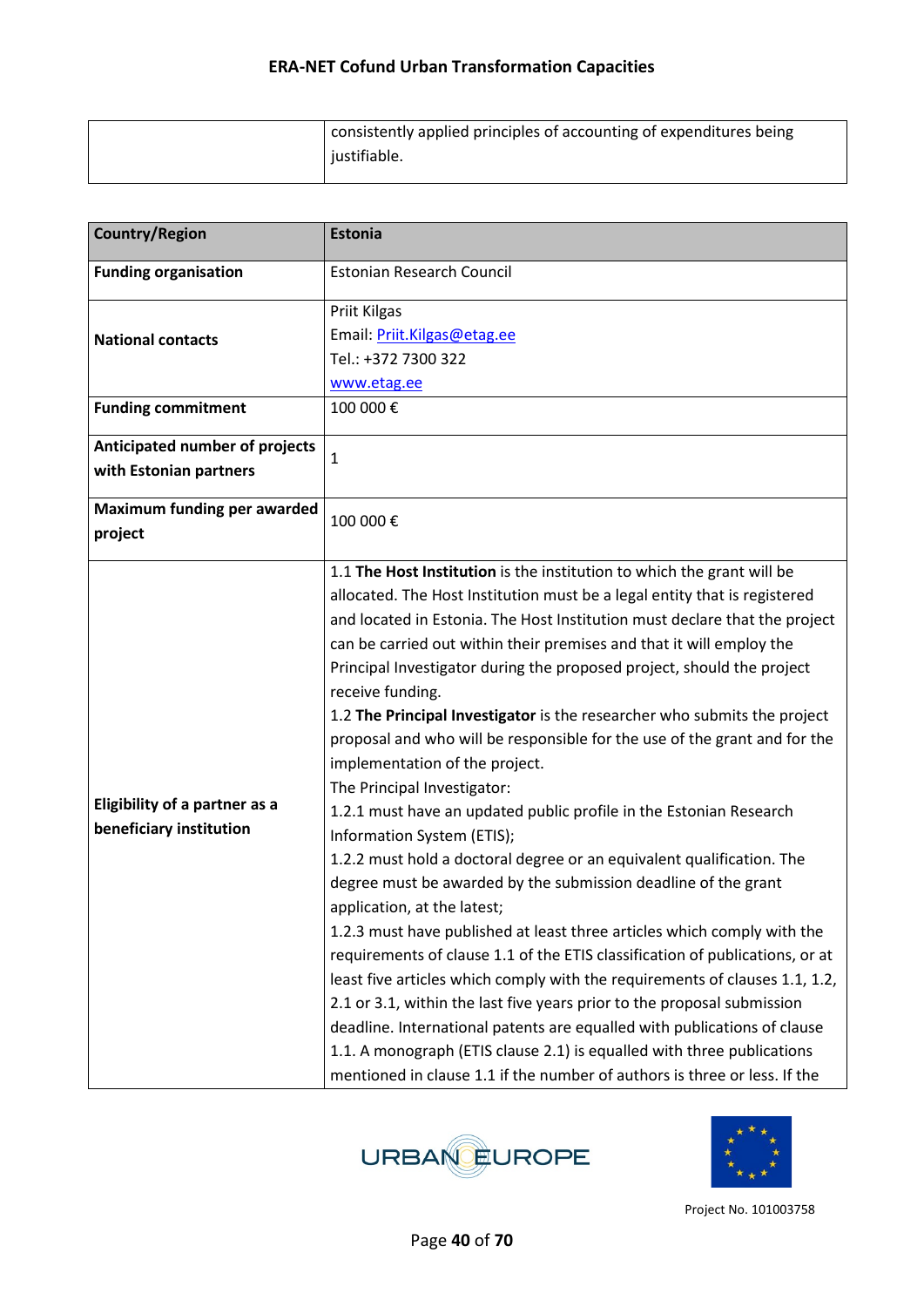| consistently applied principles of accounting of expenditures being |
|---------------------------------------------------------------------|
| justifiable.                                                        |

| <b>Country/Region</b>                                           | <b>Estonia</b>                                                                                                                                                                                                                                                                                                                                                                                                                                                                                                                                                                                                                                                                                                                                                                                                                                                                                                                                                                                                                                                                                                                                                                                                                                                                                                                                                                                                                                                          |
|-----------------------------------------------------------------|-------------------------------------------------------------------------------------------------------------------------------------------------------------------------------------------------------------------------------------------------------------------------------------------------------------------------------------------------------------------------------------------------------------------------------------------------------------------------------------------------------------------------------------------------------------------------------------------------------------------------------------------------------------------------------------------------------------------------------------------------------------------------------------------------------------------------------------------------------------------------------------------------------------------------------------------------------------------------------------------------------------------------------------------------------------------------------------------------------------------------------------------------------------------------------------------------------------------------------------------------------------------------------------------------------------------------------------------------------------------------------------------------------------------------------------------------------------------------|
| <b>Funding organisation</b>                                     | <b>Estonian Research Council</b>                                                                                                                                                                                                                                                                                                                                                                                                                                                                                                                                                                                                                                                                                                                                                                                                                                                                                                                                                                                                                                                                                                                                                                                                                                                                                                                                                                                                                                        |
| <b>National contacts</b>                                        | Priit Kilgas<br>Email: Priit.Kilgas@etag.ee<br>Tel.: +372 7300 322<br>www.etag.ee                                                                                                                                                                                                                                                                                                                                                                                                                                                                                                                                                                                                                                                                                                                                                                                                                                                                                                                                                                                                                                                                                                                                                                                                                                                                                                                                                                                       |
| <b>Funding commitment</b>                                       | 100 000€                                                                                                                                                                                                                                                                                                                                                                                                                                                                                                                                                                                                                                                                                                                                                                                                                                                                                                                                                                                                                                                                                                                                                                                                                                                                                                                                                                                                                                                                |
| Anticipated number of projects<br>with Estonian partners        | $\mathbf{1}$                                                                                                                                                                                                                                                                                                                                                                                                                                                                                                                                                                                                                                                                                                                                                                                                                                                                                                                                                                                                                                                                                                                                                                                                                                                                                                                                                                                                                                                            |
| Maximum funding per awarded<br>project                          | 100 000€                                                                                                                                                                                                                                                                                                                                                                                                                                                                                                                                                                                                                                                                                                                                                                                                                                                                                                                                                                                                                                                                                                                                                                                                                                                                                                                                                                                                                                                                |
| <b>Eligibility of a partner as a</b><br>beneficiary institution | 1.1 The Host Institution is the institution to which the grant will be<br>allocated. The Host Institution must be a legal entity that is registered<br>and located in Estonia. The Host Institution must declare that the project<br>can be carried out within their premises and that it will employ the<br>Principal Investigator during the proposed project, should the project<br>receive funding.<br>1.2 The Principal Investigator is the researcher who submits the project<br>proposal and who will be responsible for the use of the grant and for the<br>implementation of the project.<br>The Principal Investigator:<br>1.2.1 must have an updated public profile in the Estonian Research<br>Information System (ETIS);<br>1.2.2 must hold a doctoral degree or an equivalent qualification. The<br>degree must be awarded by the submission deadline of the grant<br>application, at the latest;<br>1.2.3 must have published at least three articles which comply with the<br>requirements of clause 1.1 of the ETIS classification of publications, or at<br>least five articles which comply with the requirements of clauses 1.1, 1.2,<br>2.1 or 3.1, within the last five years prior to the proposal submission<br>deadline. International patents are equalled with publications of clause<br>1.1. A monograph (ETIS clause 2.1) is equalled with three publications<br>mentioned in clause 1.1 if the number of authors is three or less. If the |



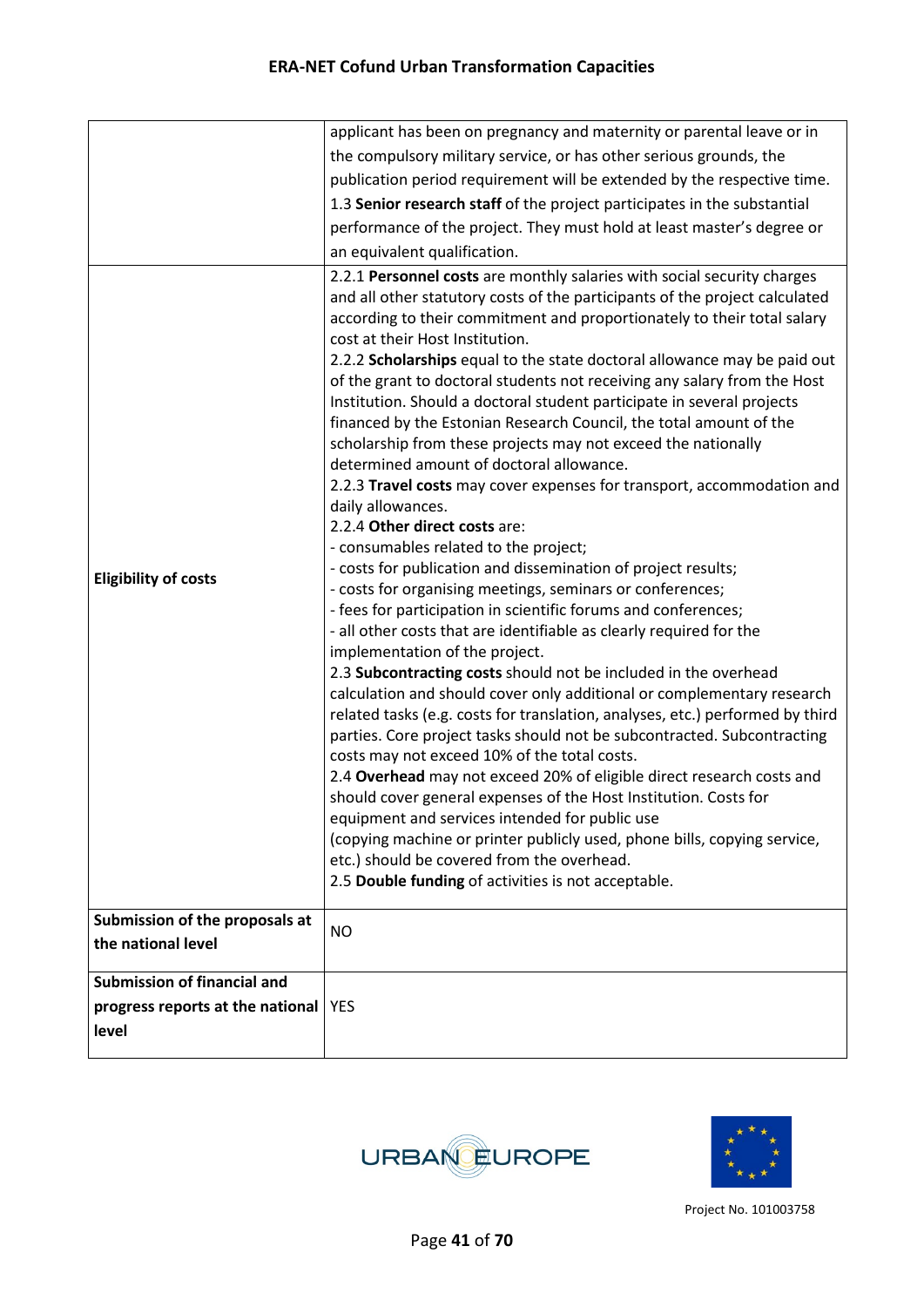|                                                                                 | applicant has been on pregnancy and maternity or parental leave or in                                                                                                                                                                                                                                                                                                                                                                                                                                                                                                                                                                                                                                                                                                                                                                                                                                                                                                                                                                                                                                                                                                                                                                                                                                                                                                                                                                                                                                                                                                                                                                                                                                                                                                                                                                                                                                                |
|---------------------------------------------------------------------------------|----------------------------------------------------------------------------------------------------------------------------------------------------------------------------------------------------------------------------------------------------------------------------------------------------------------------------------------------------------------------------------------------------------------------------------------------------------------------------------------------------------------------------------------------------------------------------------------------------------------------------------------------------------------------------------------------------------------------------------------------------------------------------------------------------------------------------------------------------------------------------------------------------------------------------------------------------------------------------------------------------------------------------------------------------------------------------------------------------------------------------------------------------------------------------------------------------------------------------------------------------------------------------------------------------------------------------------------------------------------------------------------------------------------------------------------------------------------------------------------------------------------------------------------------------------------------------------------------------------------------------------------------------------------------------------------------------------------------------------------------------------------------------------------------------------------------------------------------------------------------------------------------------------------------|
|                                                                                 | the compulsory military service, or has other serious grounds, the                                                                                                                                                                                                                                                                                                                                                                                                                                                                                                                                                                                                                                                                                                                                                                                                                                                                                                                                                                                                                                                                                                                                                                                                                                                                                                                                                                                                                                                                                                                                                                                                                                                                                                                                                                                                                                                   |
|                                                                                 | publication period requirement will be extended by the respective time.                                                                                                                                                                                                                                                                                                                                                                                                                                                                                                                                                                                                                                                                                                                                                                                                                                                                                                                                                                                                                                                                                                                                                                                                                                                                                                                                                                                                                                                                                                                                                                                                                                                                                                                                                                                                                                              |
|                                                                                 | 1.3 Senior research staff of the project participates in the substantial                                                                                                                                                                                                                                                                                                                                                                                                                                                                                                                                                                                                                                                                                                                                                                                                                                                                                                                                                                                                                                                                                                                                                                                                                                                                                                                                                                                                                                                                                                                                                                                                                                                                                                                                                                                                                                             |
|                                                                                 | performance of the project. They must hold at least master's degree or                                                                                                                                                                                                                                                                                                                                                                                                                                                                                                                                                                                                                                                                                                                                                                                                                                                                                                                                                                                                                                                                                                                                                                                                                                                                                                                                                                                                                                                                                                                                                                                                                                                                                                                                                                                                                                               |
|                                                                                 | an equivalent qualification.                                                                                                                                                                                                                                                                                                                                                                                                                                                                                                                                                                                                                                                                                                                                                                                                                                                                                                                                                                                                                                                                                                                                                                                                                                                                                                                                                                                                                                                                                                                                                                                                                                                                                                                                                                                                                                                                                         |
| <b>Eligibility of costs</b>                                                     | 2.2.1 Personnel costs are monthly salaries with social security charges<br>and all other statutory costs of the participants of the project calculated<br>according to their commitment and proportionately to their total salary<br>cost at their Host Institution.<br>2.2.2 Scholarships equal to the state doctoral allowance may be paid out<br>of the grant to doctoral students not receiving any salary from the Host<br>Institution. Should a doctoral student participate in several projects<br>financed by the Estonian Research Council, the total amount of the<br>scholarship from these projects may not exceed the nationally<br>determined amount of doctoral allowance.<br>2.2.3 Travel costs may cover expenses for transport, accommodation and<br>daily allowances.<br>2.2.4 Other direct costs are:<br>- consumables related to the project;<br>- costs for publication and dissemination of project results;<br>- costs for organising meetings, seminars or conferences;<br>- fees for participation in scientific forums and conferences;<br>- all other costs that are identifiable as clearly required for the<br>implementation of the project.<br>2.3 Subcontracting costs should not be included in the overhead<br>calculation and should cover only additional or complementary research<br>related tasks (e.g. costs for translation, analyses, etc.) performed by third<br>parties. Core project tasks should not be subcontracted. Subcontracting<br>costs may not exceed 10% of the total costs.<br>2.4 Overhead may not exceed 20% of eligible direct research costs and<br>should cover general expenses of the Host Institution. Costs for<br>equipment and services intended for public use<br>(copying machine or printer publicly used, phone bills, copying service,<br>etc.) should be covered from the overhead.<br>2.5 Double funding of activities is not acceptable. |
| Submission of the proposals at<br>the national level                            | <b>NO</b>                                                                                                                                                                                                                                                                                                                                                                                                                                                                                                                                                                                                                                                                                                                                                                                                                                                                                                                                                                                                                                                                                                                                                                                                                                                                                                                                                                                                                                                                                                                                                                                                                                                                                                                                                                                                                                                                                                            |
| <b>Submission of financial and</b><br>progress reports at the national<br>level | <b>YES</b>                                                                                                                                                                                                                                                                                                                                                                                                                                                                                                                                                                                                                                                                                                                                                                                                                                                                                                                                                                                                                                                                                                                                                                                                                                                                                                                                                                                                                                                                                                                                                                                                                                                                                                                                                                                                                                                                                                           |



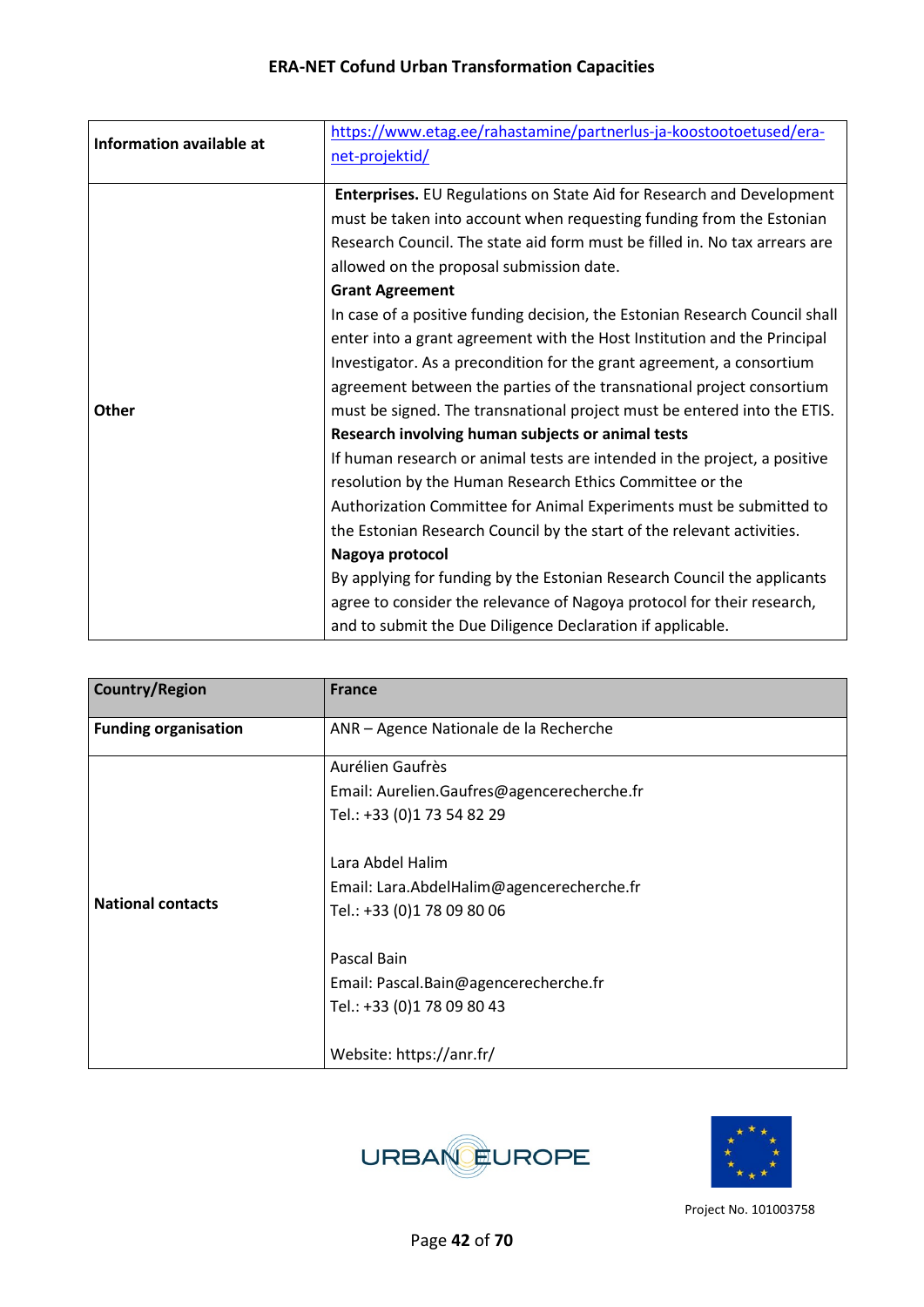| Information available at | https://www.etag.ee/rahastamine/partnerlus-ja-koostootoetused/era-<br>net-projektid/ |
|--------------------------|--------------------------------------------------------------------------------------|
|                          |                                                                                      |
|                          | Enterprises. EU Regulations on State Aid for Research and Development                |
|                          | must be taken into account when requesting funding from the Estonian                 |
|                          | Research Council. The state aid form must be filled in. No tax arrears are           |
|                          | allowed on the proposal submission date.                                             |
|                          | <b>Grant Agreement</b>                                                               |
|                          | In case of a positive funding decision, the Estonian Research Council shall          |
|                          | enter into a grant agreement with the Host Institution and the Principal             |
|                          | Investigator. As a precondition for the grant agreement, a consortium                |
|                          | agreement between the parties of the transnational project consortium                |
| <b>Other</b>             | must be signed. The transnational project must be entered into the ETIS.             |
|                          | Research involving human subjects or animal tests                                    |
|                          | If human research or animal tests are intended in the project, a positive            |
|                          | resolution by the Human Research Ethics Committee or the                             |
|                          | Authorization Committee for Animal Experiments must be submitted to                  |
|                          | the Estonian Research Council by the start of the relevant activities.               |
|                          | Nagoya protocol                                                                      |
|                          | By applying for funding by the Estonian Research Council the applicants              |
|                          | agree to consider the relevance of Nagoya protocol for their research,               |
|                          | and to submit the Due Diligence Declaration if applicable.                           |

| <b>Country/Region</b>       | <b>France</b>                                                                               |
|-----------------------------|---------------------------------------------------------------------------------------------|
| <b>Funding organisation</b> | ANR - Agence Nationale de la Recherche                                                      |
|                             | Aurélien Gaufrès                                                                            |
|                             | Email: Aurelien.Gaufres@agencerecherche.fr                                                  |
|                             | Tel.: +33 (0)1 73 54 82 29                                                                  |
| <b>National contacts</b>    | Lara Abdel Halim<br>Email: Lara.AbdelHalim@agencerecherche.fr<br>Tel.: +33 (0)1 78 09 80 06 |
|                             | Pascal Bain                                                                                 |
|                             | Email: Pascal.Bain@agencerecherche.fr                                                       |
|                             | Tel.: +33 (0)1 78 09 80 43                                                                  |
|                             |                                                                                             |
|                             | Website: https://anr.fr/                                                                    |



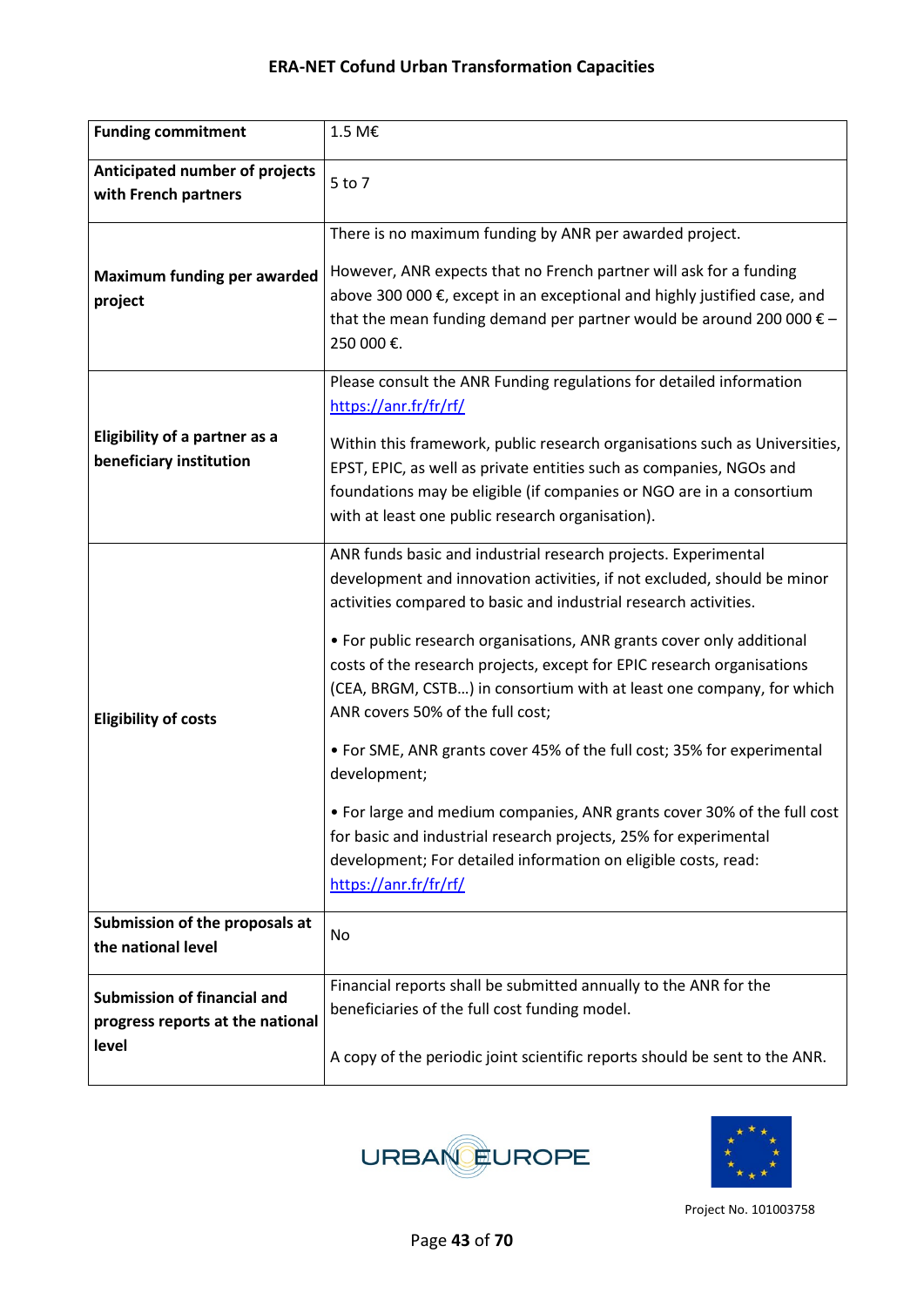| <b>Funding commitment</b>                                                       | 1.5 M€                                                                                                                                                                                                                                                                                                                                                                                                                                                                                                                                                                                                                                                                                                                                                                                                           |
|---------------------------------------------------------------------------------|------------------------------------------------------------------------------------------------------------------------------------------------------------------------------------------------------------------------------------------------------------------------------------------------------------------------------------------------------------------------------------------------------------------------------------------------------------------------------------------------------------------------------------------------------------------------------------------------------------------------------------------------------------------------------------------------------------------------------------------------------------------------------------------------------------------|
| Anticipated number of projects<br>with French partners                          | 5 to 7                                                                                                                                                                                                                                                                                                                                                                                                                                                                                                                                                                                                                                                                                                                                                                                                           |
| Maximum funding per awarded<br>project                                          | There is no maximum funding by ANR per awarded project.<br>However, ANR expects that no French partner will ask for a funding<br>above 300 000 €, except in an exceptional and highly justified case, and<br>that the mean funding demand per partner would be around 200 000 $\epsilon$ -<br>250 000€.                                                                                                                                                                                                                                                                                                                                                                                                                                                                                                          |
| <b>Eligibility of a partner as a</b><br>beneficiary institution                 | Please consult the ANR Funding regulations for detailed information<br>https://anr.fr/fr/rf/<br>Within this framework, public research organisations such as Universities,<br>EPST, EPIC, as well as private entities such as companies, NGOs and<br>foundations may be eligible (if companies or NGO are in a consortium<br>with at least one public research organisation).                                                                                                                                                                                                                                                                                                                                                                                                                                    |
| <b>Eligibility of costs</b>                                                     | ANR funds basic and industrial research projects. Experimental<br>development and innovation activities, if not excluded, should be minor<br>activities compared to basic and industrial research activities.<br>• For public research organisations, ANR grants cover only additional<br>costs of the research projects, except for EPIC research organisations<br>(CEA, BRGM, CSTB) in consortium with at least one company, for which<br>ANR covers 50% of the full cost;<br>• For SME, ANR grants cover 45% of the full cost; 35% for experimental<br>development;<br>• For large and medium companies, ANR grants cover 30% of the full cost<br>for basic and industrial research projects, 25% for experimental<br>development; For detailed information on eligible costs, read:<br>https://anr.fr/fr/rf/ |
| Submission of the proposals at<br>the national level                            | No                                                                                                                                                                                                                                                                                                                                                                                                                                                                                                                                                                                                                                                                                                                                                                                                               |
| <b>Submission of financial and</b><br>progress reports at the national<br>level | Financial reports shall be submitted annually to the ANR for the<br>beneficiaries of the full cost funding model.<br>A copy of the periodic joint scientific reports should be sent to the ANR.                                                                                                                                                                                                                                                                                                                                                                                                                                                                                                                                                                                                                  |



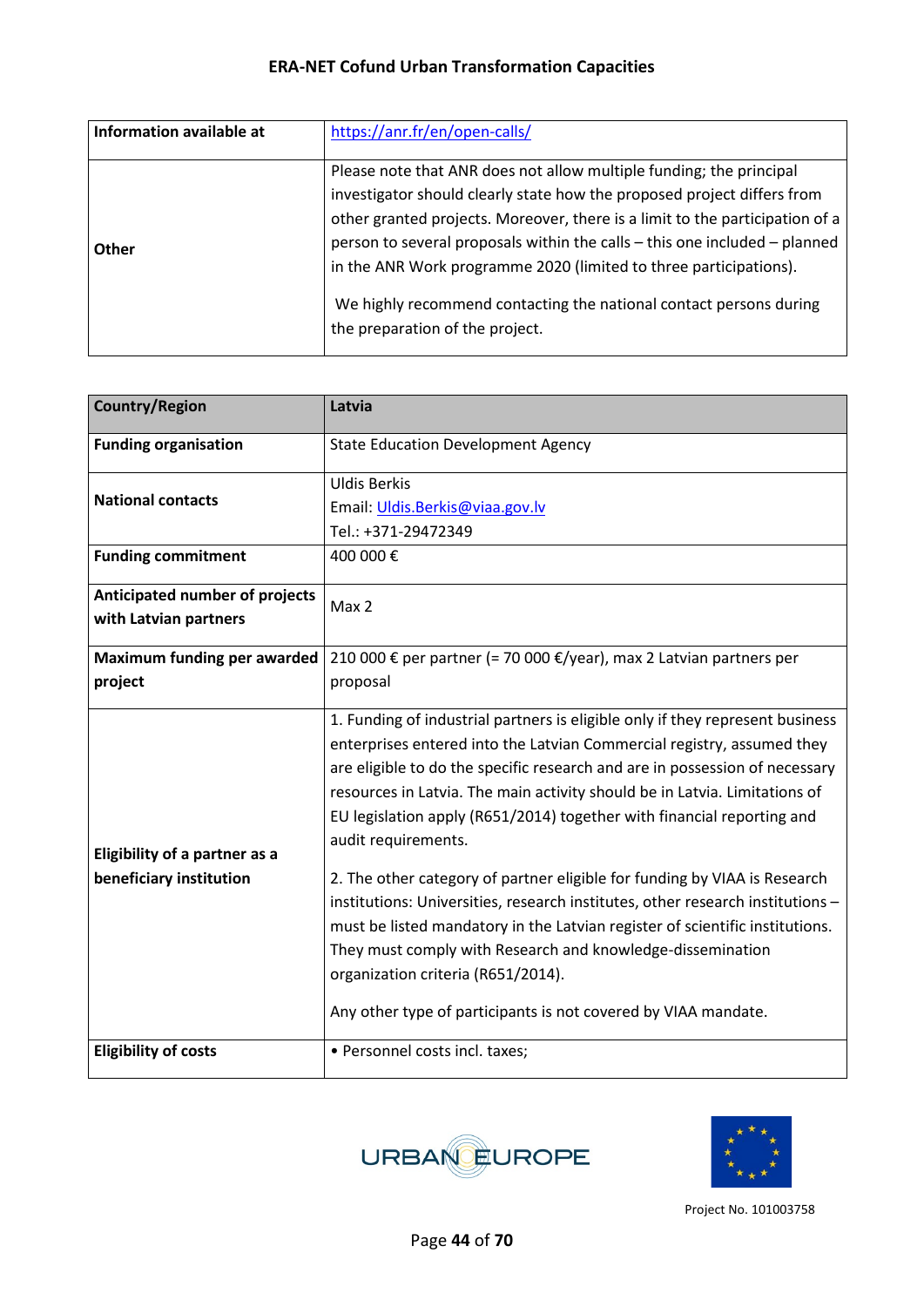| Information available at | https://anr.fr/en/open-calls/                                                                                                                                                                                                                                                                                                                                                                                                                                                              |
|--------------------------|--------------------------------------------------------------------------------------------------------------------------------------------------------------------------------------------------------------------------------------------------------------------------------------------------------------------------------------------------------------------------------------------------------------------------------------------------------------------------------------------|
| Other                    | Please note that ANR does not allow multiple funding; the principal<br>investigator should clearly state how the proposed project differs from<br>other granted projects. Moreover, there is a limit to the participation of a<br>person to several proposals within the calls - this one included - planned<br>in the ANR Work programme 2020 (limited to three participations).<br>We highly recommend contacting the national contact persons during<br>the preparation of the project. |

| <b>Country/Region</b>                | Latvia                                                                         |
|--------------------------------------|--------------------------------------------------------------------------------|
| <b>Funding organisation</b>          | <b>State Education Development Agency</b>                                      |
|                                      | <b>Uldis Berkis</b>                                                            |
| <b>National contacts</b>             | Email: Uldis.Berkis@viaa.gov.lv                                                |
|                                      | Tel.: +371-29472349                                                            |
| <b>Funding commitment</b>            | 400 000€                                                                       |
| Anticipated number of projects       | Max 2                                                                          |
| with Latvian partners                |                                                                                |
| <b>Maximum funding per awarded</b>   | 210 000 € per partner (= 70 000 €/year), max 2 Latvian partners per            |
| project                              | proposal                                                                       |
|                                      | 1. Funding of industrial partners is eligible only if they represent business  |
|                                      | enterprises entered into the Latvian Commercial registry, assumed they         |
|                                      | are eligible to do the specific research and are in possession of necessary    |
|                                      | resources in Latvia. The main activity should be in Latvia. Limitations of     |
|                                      | EU legislation apply (R651/2014) together with financial reporting and         |
| <b>Eligibility of a partner as a</b> | audit requirements.                                                            |
| beneficiary institution              | 2. The other category of partner eligible for funding by VIAA is Research      |
|                                      | institutions: Universities, research institutes, other research institutions - |
|                                      | must be listed mandatory in the Latvian register of scientific institutions.   |
|                                      | They must comply with Research and knowledge-dissemination                     |
|                                      | organization criteria (R651/2014).                                             |
|                                      | Any other type of participants is not covered by VIAA mandate.                 |
| <b>Eligibility of costs</b>          | • Personnel costs incl. taxes;                                                 |



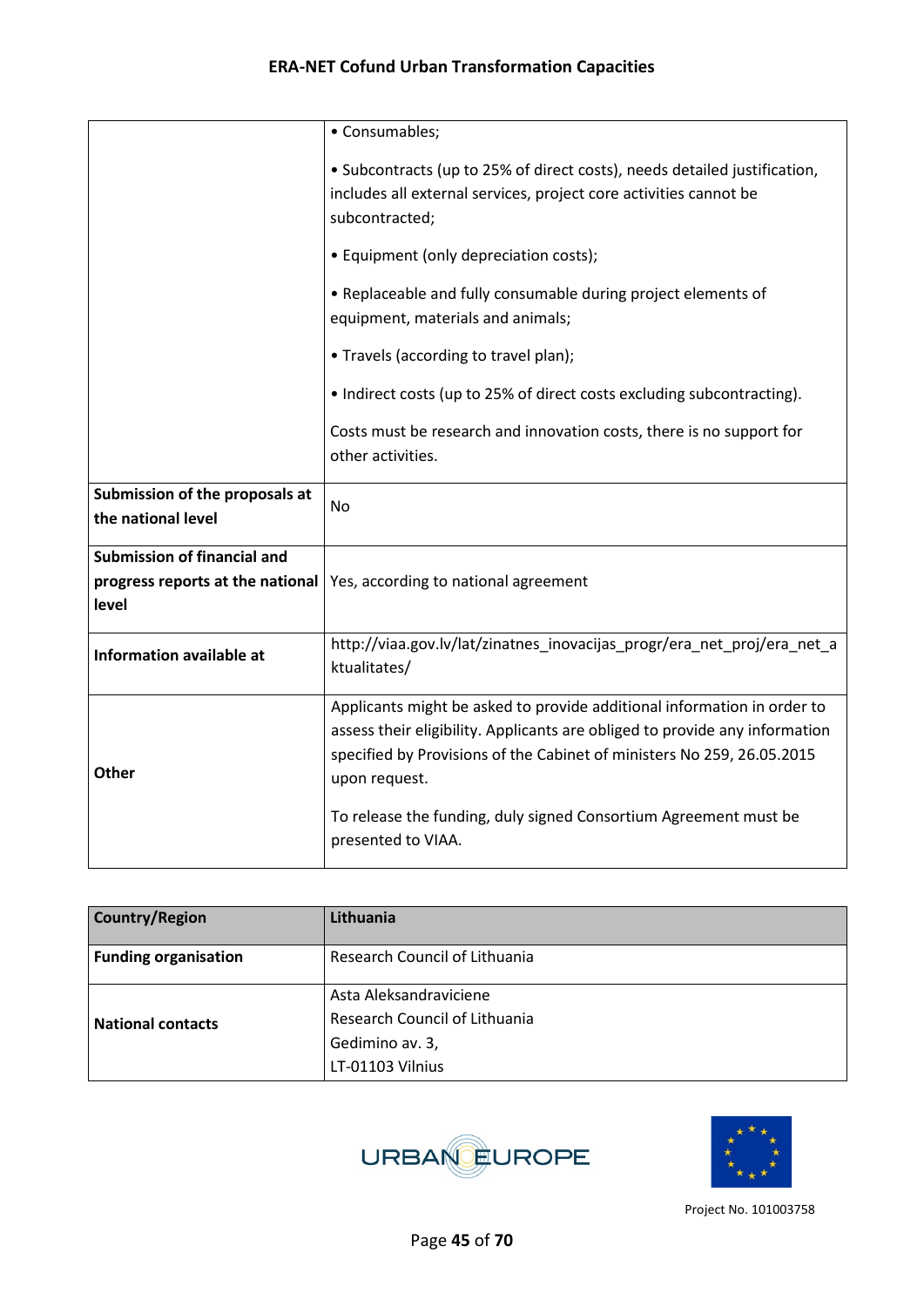|                                                                                 | • Consumables;                                                                                                                                                                                                                                                                                                                              |
|---------------------------------------------------------------------------------|---------------------------------------------------------------------------------------------------------------------------------------------------------------------------------------------------------------------------------------------------------------------------------------------------------------------------------------------|
|                                                                                 | • Subcontracts (up to 25% of direct costs), needs detailed justification,<br>includes all external services, project core activities cannot be<br>subcontracted;                                                                                                                                                                            |
|                                                                                 | • Equipment (only depreciation costs);                                                                                                                                                                                                                                                                                                      |
|                                                                                 | • Replaceable and fully consumable during project elements of<br>equipment, materials and animals;                                                                                                                                                                                                                                          |
|                                                                                 | • Travels (according to travel plan);                                                                                                                                                                                                                                                                                                       |
|                                                                                 | • Indirect costs (up to 25% of direct costs excluding subcontracting).                                                                                                                                                                                                                                                                      |
|                                                                                 | Costs must be research and innovation costs, there is no support for<br>other activities.                                                                                                                                                                                                                                                   |
| Submission of the proposals at<br>the national level                            | <b>No</b>                                                                                                                                                                                                                                                                                                                                   |
| <b>Submission of financial and</b><br>progress reports at the national<br>level | Yes, according to national agreement                                                                                                                                                                                                                                                                                                        |
| <b>Information available at</b>                                                 | http://viaa.gov.lv/lat/zinatnes_inovacijas_progr/era_net_proj/era_net_a<br>ktualitates/                                                                                                                                                                                                                                                     |
| <b>Other</b>                                                                    | Applicants might be asked to provide additional information in order to<br>assess their eligibility. Applicants are obliged to provide any information<br>specified by Provisions of the Cabinet of ministers No 259, 26.05.2015<br>upon request.<br>To release the funding, duly signed Consortium Agreement must be<br>presented to VIAA. |

| <b>Country/Region</b>       | Lithuania                     |
|-----------------------------|-------------------------------|
| <b>Funding organisation</b> | Research Council of Lithuania |
| <b>National contacts</b>    | Asta Aleksandraviciene        |
|                             | Research Council of Lithuania |
|                             | Gedimino av. 3,               |
|                             | LT-01103 Vilnius              |



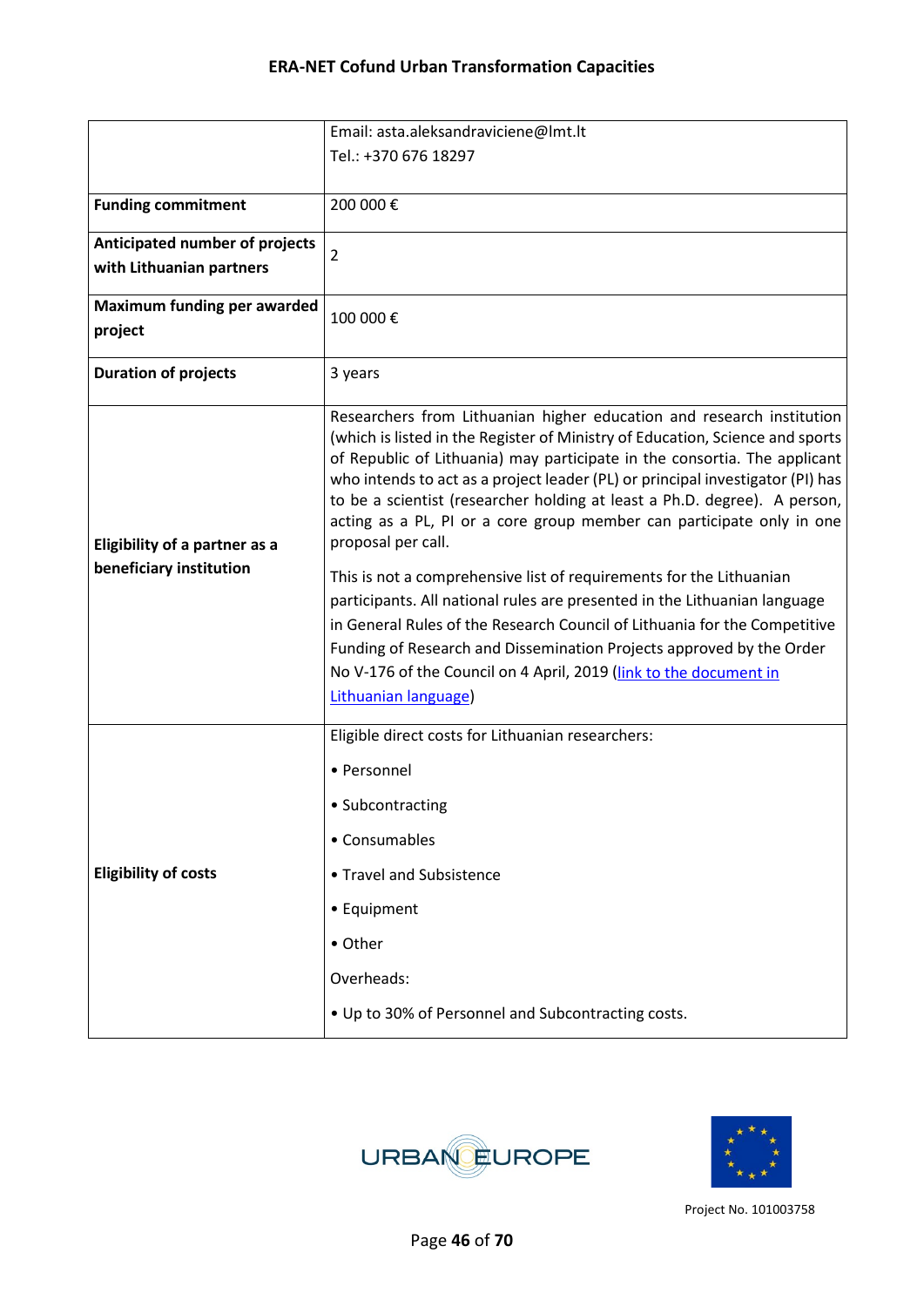|                                      | Email: asta.aleksandraviciene@lmt.lt                                                                                                                                                                                                                                                                                                                                                                                                                                                              |
|--------------------------------------|---------------------------------------------------------------------------------------------------------------------------------------------------------------------------------------------------------------------------------------------------------------------------------------------------------------------------------------------------------------------------------------------------------------------------------------------------------------------------------------------------|
|                                      | Tel.: +370 676 18297                                                                                                                                                                                                                                                                                                                                                                                                                                                                              |
|                                      |                                                                                                                                                                                                                                                                                                                                                                                                                                                                                                   |
| <b>Funding commitment</b>            | 200 000€                                                                                                                                                                                                                                                                                                                                                                                                                                                                                          |
| Anticipated number of projects       | $\overline{2}$                                                                                                                                                                                                                                                                                                                                                                                                                                                                                    |
| with Lithuanian partners             |                                                                                                                                                                                                                                                                                                                                                                                                                                                                                                   |
| <b>Maximum funding per awarded</b>   |                                                                                                                                                                                                                                                                                                                                                                                                                                                                                                   |
| project                              | 100 000€                                                                                                                                                                                                                                                                                                                                                                                                                                                                                          |
| <b>Duration of projects</b>          | 3 years                                                                                                                                                                                                                                                                                                                                                                                                                                                                                           |
| <b>Eligibility of a partner as a</b> | Researchers from Lithuanian higher education and research institution<br>(which is listed in the Register of Ministry of Education, Science and sports<br>of Republic of Lithuania) may participate in the consortia. The applicant<br>who intends to act as a project leader (PL) or principal investigator (PI) has<br>to be a scientist (researcher holding at least a Ph.D. degree). A person,<br>acting as a PL, PI or a core group member can participate only in one<br>proposal per call. |
| beneficiary institution              | This is not a comprehensive list of requirements for the Lithuanian<br>participants. All national rules are presented in the Lithuanian language<br>in General Rules of the Research Council of Lithuania for the Competitive<br>Funding of Research and Dissemination Projects approved by the Order<br>No V-176 of the Council on 4 April, 2019 (link to the document in<br>Lithuanian language)                                                                                                |
|                                      | Eligible direct costs for Lithuanian researchers:                                                                                                                                                                                                                                                                                                                                                                                                                                                 |
|                                      | • Personnel                                                                                                                                                                                                                                                                                                                                                                                                                                                                                       |
|                                      | • Subcontracting                                                                                                                                                                                                                                                                                                                                                                                                                                                                                  |
|                                      | • Consumables                                                                                                                                                                                                                                                                                                                                                                                                                                                                                     |
| <b>Eligibility of costs</b>          | • Travel and Subsistence                                                                                                                                                                                                                                                                                                                                                                                                                                                                          |
|                                      | • Equipment                                                                                                                                                                                                                                                                                                                                                                                                                                                                                       |
|                                      | • Other                                                                                                                                                                                                                                                                                                                                                                                                                                                                                           |
|                                      | Overheads:                                                                                                                                                                                                                                                                                                                                                                                                                                                                                        |
|                                      | • Up to 30% of Personnel and Subcontracting costs.                                                                                                                                                                                                                                                                                                                                                                                                                                                |



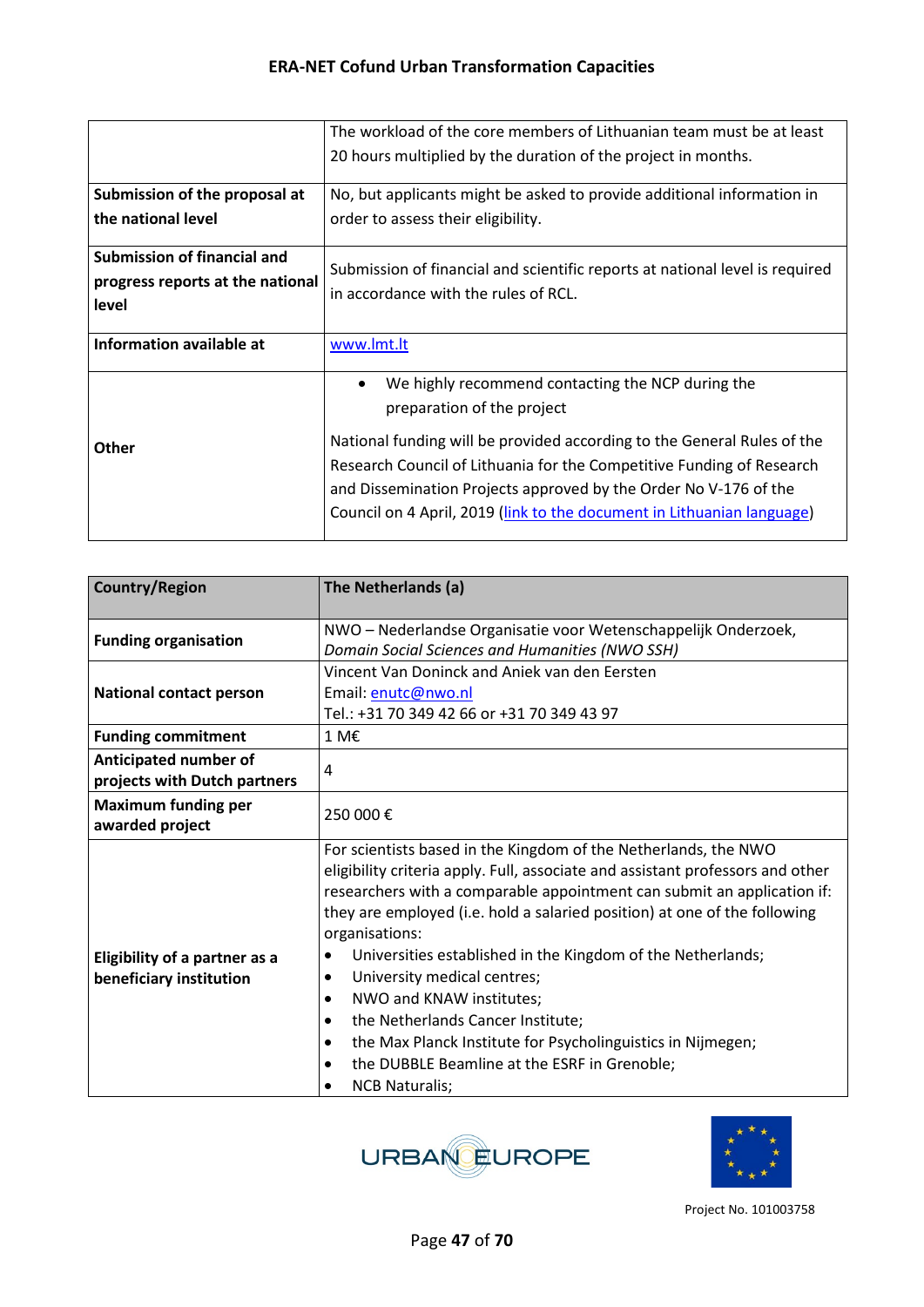|                                  | The workload of the core members of Lithuanian team must be at least                                                                                                                                                                                                                           |
|----------------------------------|------------------------------------------------------------------------------------------------------------------------------------------------------------------------------------------------------------------------------------------------------------------------------------------------|
|                                  | 20 hours multiplied by the duration of the project in months.                                                                                                                                                                                                                                  |
| Submission of the proposal at    | No, but applicants might be asked to provide additional information in                                                                                                                                                                                                                         |
| the national level               | order to assess their eligibility.                                                                                                                                                                                                                                                             |
| Submission of financial and      | Submission of financial and scientific reports at national level is required                                                                                                                                                                                                                   |
| progress reports at the national | in accordance with the rules of RCL.                                                                                                                                                                                                                                                           |
| level                            |                                                                                                                                                                                                                                                                                                |
| Information available at         | www.lmt.lt                                                                                                                                                                                                                                                                                     |
|                                  | We highly recommend contacting the NCP during the<br>preparation of the project                                                                                                                                                                                                                |
| <b>Other</b>                     | National funding will be provided according to the General Rules of the<br>Research Council of Lithuania for the Competitive Funding of Research<br>and Dissemination Projects approved by the Order No V-176 of the<br>Council on 4 April, 2019 (link to the document in Lithuanian language) |

| <b>Country/Region</b>          | The Netherlands (a)                                                            |
|--------------------------------|--------------------------------------------------------------------------------|
|                                |                                                                                |
| <b>Funding organisation</b>    | NWO - Nederlandse Organisatie voor Wetenschappelijk Onderzoek,                 |
|                                | Domain Social Sciences and Humanities (NWO SSH)                                |
|                                | Vincent Van Doninck and Aniek van den Eersten                                  |
| <b>National contact person</b> | Email: enutc@nwo.nl                                                            |
|                                | Tel.: +31 70 349 42 66 or +31 70 349 43 97                                     |
| <b>Funding commitment</b>      | 1 M€                                                                           |
| Anticipated number of          | 4                                                                              |
| projects with Dutch partners   |                                                                                |
| <b>Maximum funding per</b>     | 250 000€                                                                       |
| awarded project                |                                                                                |
|                                | For scientists based in the Kingdom of the Netherlands, the NWO                |
|                                | eligibility criteria apply. Full, associate and assistant professors and other |
|                                | researchers with a comparable appointment can submit an application if:        |
|                                | they are employed (i.e. hold a salaried position) at one of the following      |
|                                | organisations:                                                                 |
| Eligibility of a partner as a  | Universities established in the Kingdom of the Netherlands;<br>$\bullet$       |
| beneficiary institution        | University medical centres;<br>$\bullet$                                       |
|                                | NWO and KNAW institutes;<br>$\bullet$                                          |
|                                | the Netherlands Cancer Institute;<br>$\bullet$                                 |
|                                | the Max Planck Institute for Psycholinguistics in Nijmegen;<br>$\bullet$       |
|                                | the DUBBLE Beamline at the ESRF in Grenoble;<br>$\bullet$                      |
|                                | <b>NCB Naturalis;</b>                                                          |



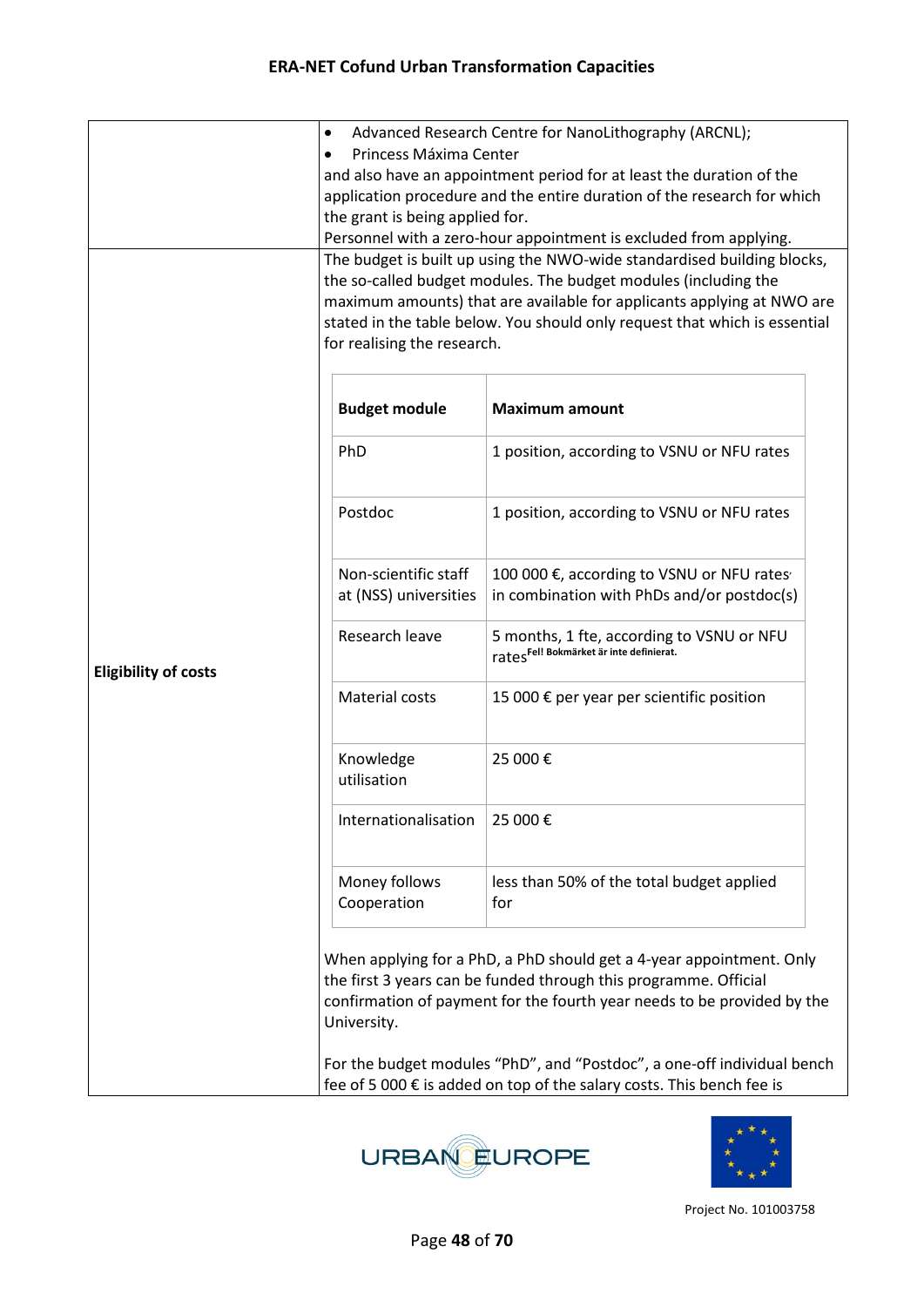|                             | ٠                                                                                                                                                                                                            | Advanced Research Centre for NanoLithography (ARCNL);                                                                                                                                                               |  |  |
|-----------------------------|--------------------------------------------------------------------------------------------------------------------------------------------------------------------------------------------------------------|---------------------------------------------------------------------------------------------------------------------------------------------------------------------------------------------------------------------|--|--|
|                             | Princess Máxima Center<br>and also have an appointment period for at least the duration of the<br>application procedure and the entire duration of the research for which<br>the grant is being applied for. |                                                                                                                                                                                                                     |  |  |
|                             |                                                                                                                                                                                                              |                                                                                                                                                                                                                     |  |  |
|                             |                                                                                                                                                                                                              |                                                                                                                                                                                                                     |  |  |
|                             |                                                                                                                                                                                                              |                                                                                                                                                                                                                     |  |  |
|                             |                                                                                                                                                                                                              | Personnel with a zero-hour appointment is excluded from applying.                                                                                                                                                   |  |  |
|                             | The budget is built up using the NWO-wide standardised building blocks,                                                                                                                                      |                                                                                                                                                                                                                     |  |  |
|                             |                                                                                                                                                                                                              | the so-called budget modules. The budget modules (including the                                                                                                                                                     |  |  |
|                             | maximum amounts) that are available for applicants applying at NWO are                                                                                                                                       |                                                                                                                                                                                                                     |  |  |
|                             |                                                                                                                                                                                                              | stated in the table below. You should only request that which is essential                                                                                                                                          |  |  |
|                             |                                                                                                                                                                                                              | for realising the research.                                                                                                                                                                                         |  |  |
|                             | <b>Budget module</b>                                                                                                                                                                                         | <b>Maximum amount</b>                                                                                                                                                                                               |  |  |
|                             | PhD                                                                                                                                                                                                          | 1 position, according to VSNU or NFU rates                                                                                                                                                                          |  |  |
|                             | Postdoc                                                                                                                                                                                                      | 1 position, according to VSNU or NFU rates                                                                                                                                                                          |  |  |
|                             | Non-scientific staff<br>at (NSS) universities                                                                                                                                                                | 100 000 €, according to VSNU or NFU rates<br>in combination with PhDs and/or postdoc(s)                                                                                                                             |  |  |
| <b>Eligibility of costs</b> | Research leave                                                                                                                                                                                               | 5 months, 1 fte, according to VSNU or NFU<br>rates <sup>Fel! Bokmärket är inte definierat.</sup>                                                                                                                    |  |  |
|                             | Material costs                                                                                                                                                                                               | 15 000 € per year per scientific position                                                                                                                                                                           |  |  |
|                             | Knowledge<br>utilisation                                                                                                                                                                                     | 25 000€                                                                                                                                                                                                             |  |  |
|                             | Internationalisation                                                                                                                                                                                         | 25 000€                                                                                                                                                                                                             |  |  |
|                             | Money follows<br>Cooperation                                                                                                                                                                                 | less than 50% of the total budget applied<br>for                                                                                                                                                                    |  |  |
|                             | University.                                                                                                                                                                                                  | When applying for a PhD, a PhD should get a 4-year appointment. Only<br>the first 3 years can be funded through this programme. Official<br>confirmation of payment for the fourth year needs to be provided by the |  |  |
|                             | For the budget modules "PhD", and "Postdoc", a one-off individual bench<br>fee of 5 000 € is added on top of the salary costs. This bench fee is                                                             |                                                                                                                                                                                                                     |  |  |



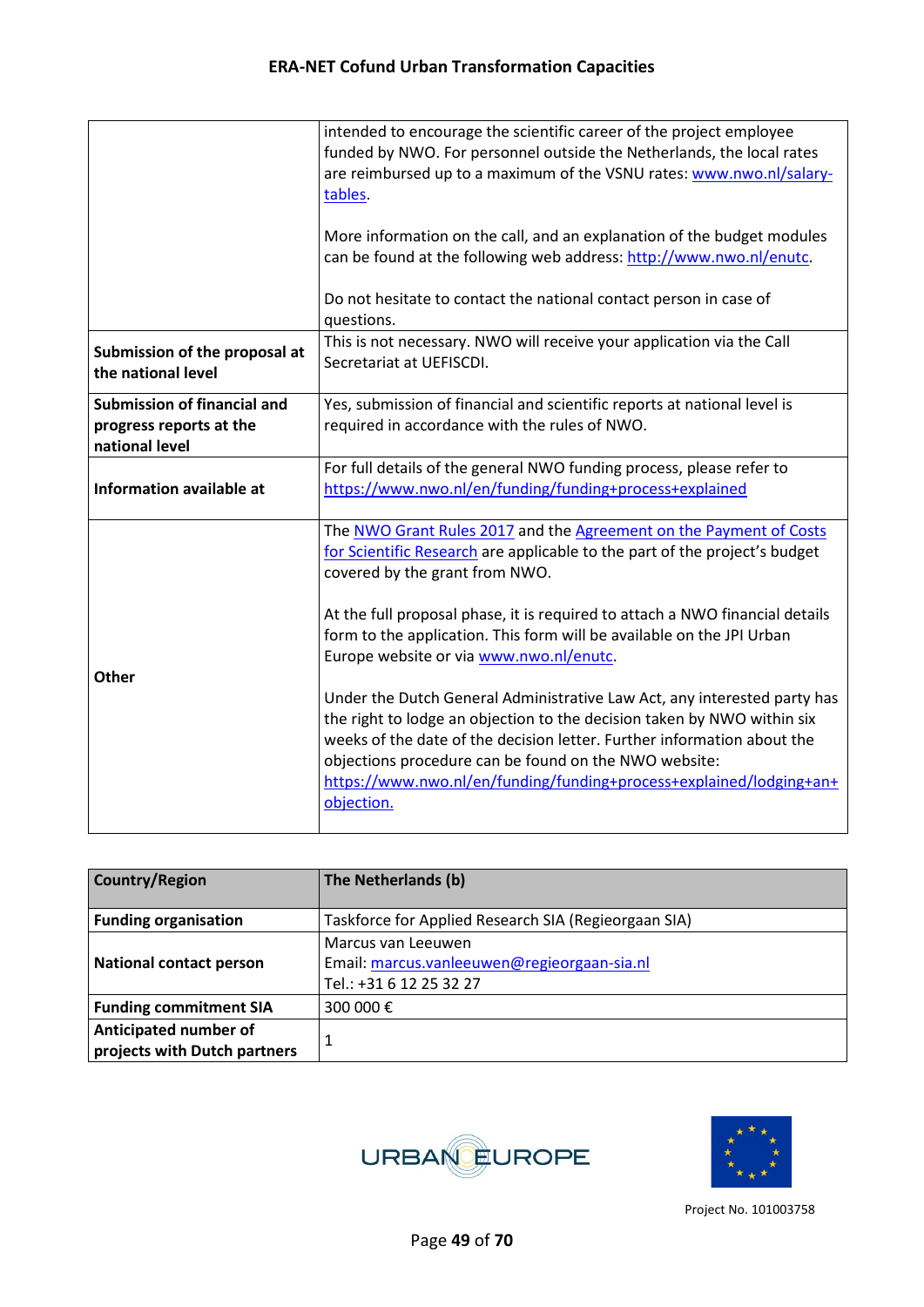|                                                                                 | intended to encourage the scientific career of the project employee<br>funded by NWO. For personnel outside the Netherlands, the local rates<br>are reimbursed up to a maximum of the VSNU rates: www.nwo.nl/salary-<br>tables.                                                                                                                                              |
|---------------------------------------------------------------------------------|------------------------------------------------------------------------------------------------------------------------------------------------------------------------------------------------------------------------------------------------------------------------------------------------------------------------------------------------------------------------------|
|                                                                                 | More information on the call, and an explanation of the budget modules<br>can be found at the following web address: http://www.nwo.nl/enutc.                                                                                                                                                                                                                                |
|                                                                                 | Do not hesitate to contact the national contact person in case of<br>questions.                                                                                                                                                                                                                                                                                              |
| Submission of the proposal at<br>the national level                             | This is not necessary. NWO will receive your application via the Call<br>Secretariat at UEFISCDI.                                                                                                                                                                                                                                                                            |
| <b>Submission of financial and</b><br>progress reports at the<br>national level | Yes, submission of financial and scientific reports at national level is<br>required in accordance with the rules of NWO.                                                                                                                                                                                                                                                    |
| Information available at                                                        | For full details of the general NWO funding process, please refer to<br>https://www.nwo.nl/en/funding/funding+process+explained                                                                                                                                                                                                                                              |
|                                                                                 | The NWO Grant Rules 2017 and the Agreement on the Payment of Costs<br>for Scientific Research are applicable to the part of the project's budget<br>covered by the grant from NWO.                                                                                                                                                                                           |
| Other                                                                           | At the full proposal phase, it is required to attach a NWO financial details<br>form to the application. This form will be available on the JPI Urban<br>Europe website or via www.nwo.nl/enutc.                                                                                                                                                                             |
|                                                                                 | Under the Dutch General Administrative Law Act, any interested party has<br>the right to lodge an objection to the decision taken by NWO within six<br>weeks of the date of the decision letter. Further information about the<br>objections procedure can be found on the NWO website:<br>https://www.nwo.nl/en/funding/funding+process+explained/lodging+an+<br>objection. |

| <b>Country/Region</b>                                 | The Netherlands (b)                                                                          |
|-------------------------------------------------------|----------------------------------------------------------------------------------------------|
| <b>Funding organisation</b>                           | Taskforce for Applied Research SIA (Regieorgaan SIA)                                         |
| <b>National contact person</b>                        | Marcus van Leeuwen<br>Email: marcus.vanleeuwen@regieorgaan-sia.nl<br>Tel.: +31 6 12 25 32 27 |
| <b>Funding commitment SIA</b>                         | 300 000 €                                                                                    |
| Anticipated number of<br>projects with Dutch partners |                                                                                              |



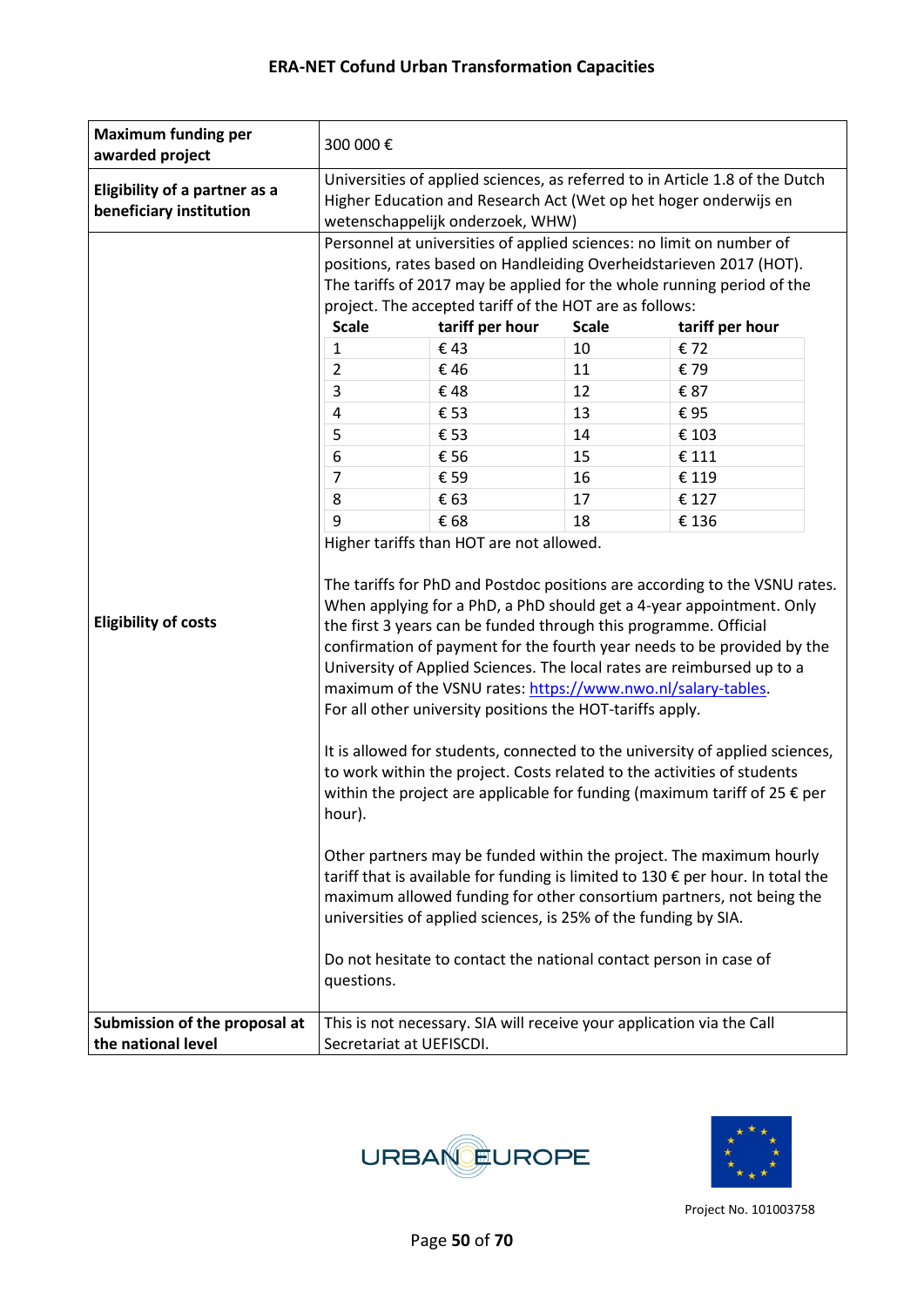| <b>Maximum funding per</b><br>awarded project                   | 300 000€                                                                                                                                                                             |                                                                                                                                                                                                                                                                                                                                                                                                                                                                                                                                                                                                                                                                                       |                                                                    |                                                                                                                                                                                                                                                                                                                                                                                                                                                                                                                                                                                                                                                                                                                                                                                                                                                                                                                                                                                                                                           |
|-----------------------------------------------------------------|--------------------------------------------------------------------------------------------------------------------------------------------------------------------------------------|---------------------------------------------------------------------------------------------------------------------------------------------------------------------------------------------------------------------------------------------------------------------------------------------------------------------------------------------------------------------------------------------------------------------------------------------------------------------------------------------------------------------------------------------------------------------------------------------------------------------------------------------------------------------------------------|--------------------------------------------------------------------|-------------------------------------------------------------------------------------------------------------------------------------------------------------------------------------------------------------------------------------------------------------------------------------------------------------------------------------------------------------------------------------------------------------------------------------------------------------------------------------------------------------------------------------------------------------------------------------------------------------------------------------------------------------------------------------------------------------------------------------------------------------------------------------------------------------------------------------------------------------------------------------------------------------------------------------------------------------------------------------------------------------------------------------------|
| <b>Eligibility of a partner as a</b><br>beneficiary institution | Universities of applied sciences, as referred to in Article 1.8 of the Dutch<br>Higher Education and Research Act (Wet op het hoger onderwijs en<br>wetenschappelijk onderzoek, WHW) |                                                                                                                                                                                                                                                                                                                                                                                                                                                                                                                                                                                                                                                                                       |                                                                    |                                                                                                                                                                                                                                                                                                                                                                                                                                                                                                                                                                                                                                                                                                                                                                                                                                                                                                                                                                                                                                           |
| <b>Eligibility of costs</b><br>Submission of the proposal at    | <b>Scale</b><br>$\mathbf{1}$<br>$\overline{2}$<br>3<br>4<br>5<br>6<br>7<br>8<br>9<br>hour).<br>questions.                                                                            | Personnel at universities of applied sciences: no limit on number of<br>project. The accepted tariff of the HOT are as follows:<br>tariff per hour<br>€43<br>€46<br>€48<br>€ 53<br>€ 53<br>€ 56<br>€ 59<br>€ 63<br>€ 68<br>Higher tariffs than HOT are not allowed.<br>the first 3 years can be funded through this programme. Official<br>maximum of the VSNU rates: https://www.nwo.nl/salary-tables.<br>For all other university positions the HOT-tariffs apply.<br>universities of applied sciences, is 25% of the funding by SIA.<br>Do not hesitate to contact the national contact person in case of<br>This is not necessary. SIA will receive your application via the Call | <b>Scale</b><br>10<br>11<br>12<br>13<br>14<br>15<br>16<br>17<br>18 | positions, rates based on Handleiding Overheidstarieven 2017 (HOT).<br>The tariffs of 2017 may be applied for the whole running period of the<br>tariff per hour<br>€ 72<br>€79<br>€ 87<br>€95<br>€ 103<br>€ 111<br>€ 119<br>€ 127<br>€ 136<br>The tariffs for PhD and Postdoc positions are according to the VSNU rates.<br>When applying for a PhD, a PhD should get a 4-year appointment. Only<br>confirmation of payment for the fourth year needs to be provided by the<br>University of Applied Sciences. The local rates are reimbursed up to a<br>It is allowed for students, connected to the university of applied sciences,<br>to work within the project. Costs related to the activities of students<br>within the project are applicable for funding (maximum tariff of 25 $\epsilon$ per<br>Other partners may be funded within the project. The maximum hourly<br>tariff that is available for funding is limited to 130 € per hour. In total the<br>maximum allowed funding for other consortium partners, not being the |
| the national level                                              | Secretariat at UEFISCDI.                                                                                                                                                             |                                                                                                                                                                                                                                                                                                                                                                                                                                                                                                                                                                                                                                                                                       |                                                                    |                                                                                                                                                                                                                                                                                                                                                                                                                                                                                                                                                                                                                                                                                                                                                                                                                                                                                                                                                                                                                                           |



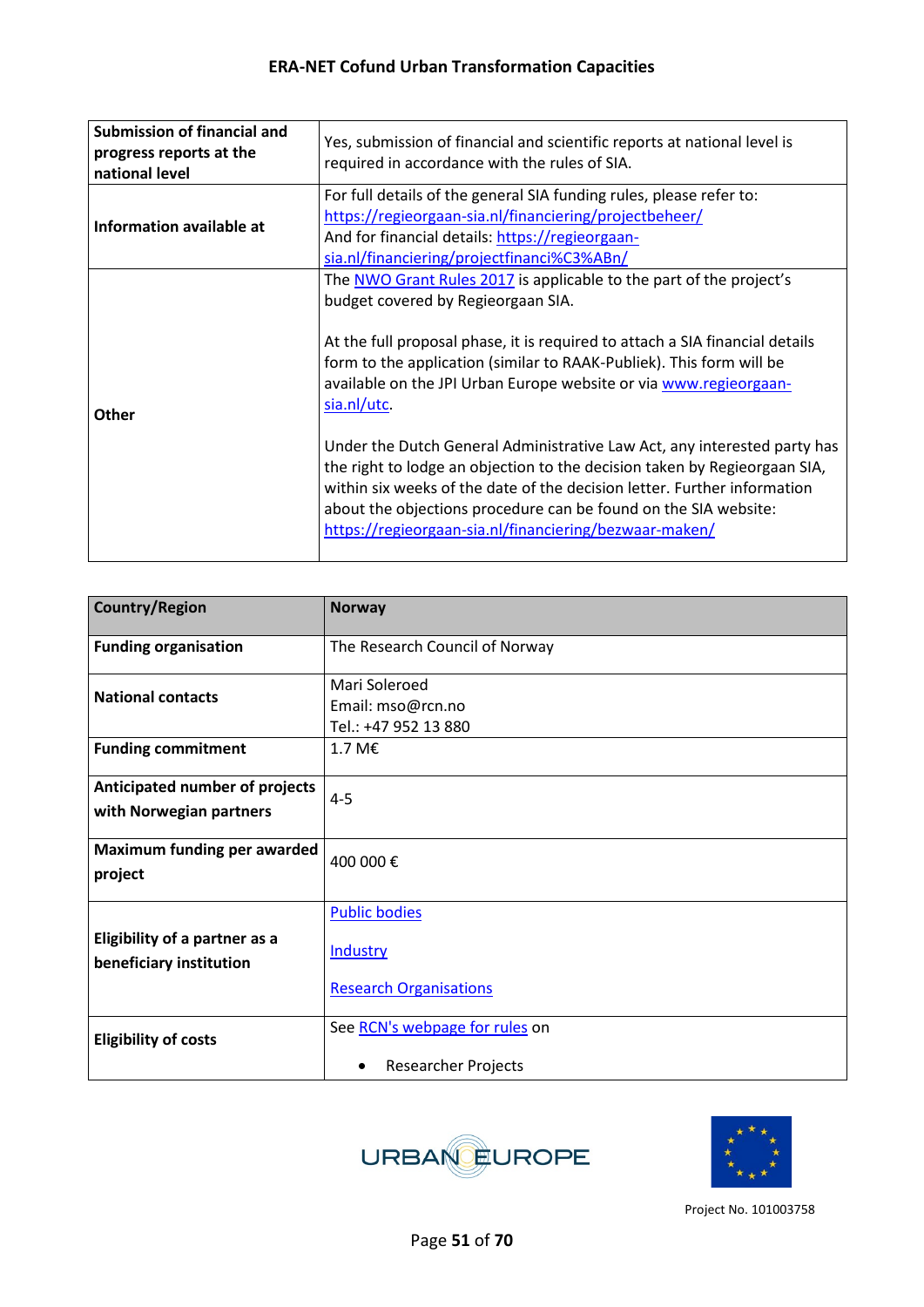| <b>Submission of financial and</b><br>progress reports at the<br>national level | Yes, submission of financial and scientific reports at national level is<br>required in accordance with the rules of SIA.                                                                                                                                                                                                                                                                                                                                                                                                                                                                                                                                                                                               |
|---------------------------------------------------------------------------------|-------------------------------------------------------------------------------------------------------------------------------------------------------------------------------------------------------------------------------------------------------------------------------------------------------------------------------------------------------------------------------------------------------------------------------------------------------------------------------------------------------------------------------------------------------------------------------------------------------------------------------------------------------------------------------------------------------------------------|
| Information available at                                                        | For full details of the general SIA funding rules, please refer to:<br>https://regieorgaan-sia.nl/financiering/projectbeheer/<br>And for financial details: https://regieorgaan-<br>sia.nl/financiering/projectfinanci%C3%ABn/                                                                                                                                                                                                                                                                                                                                                                                                                                                                                          |
| Other                                                                           | The NWO Grant Rules 2017 is applicable to the part of the project's<br>budget covered by Regieorgaan SIA.<br>At the full proposal phase, it is required to attach a SIA financial details<br>form to the application (similar to RAAK-Publiek). This form will be<br>available on the JPI Urban Europe website or via www.regieorgaan-<br>sia.nl/utc.<br>Under the Dutch General Administrative Law Act, any interested party has<br>the right to lodge an objection to the decision taken by Regieorgaan SIA,<br>within six weeks of the date of the decision letter. Further information<br>about the objections procedure can be found on the SIA website:<br>https://regieorgaan-sia.nl/financiering/bezwaar-maken/ |

| <b>Country/Region</b>                                           | <b>Norway</b>                                              |
|-----------------------------------------------------------------|------------------------------------------------------------|
| <b>Funding organisation</b>                                     | The Research Council of Norway                             |
| <b>National contacts</b>                                        | Mari Soleroed<br>Email: mso@rcn.no<br>Tel.: +47 952 13 880 |
| <b>Funding commitment</b>                                       | 1.7 M $\epsilon$                                           |
| Anticipated number of projects<br>with Norwegian partners       | $4 - 5$                                                    |
| <b>Maximum funding per awarded</b><br>project                   | 400 000€                                                   |
| <b>Eligibility of a partner as a</b><br>beneficiary institution | <b>Public bodies</b><br><b>Industry</b>                    |
|                                                                 | <b>Research Organisations</b>                              |
| <b>Eligibility of costs</b>                                     | See RCN's webpage for rules on                             |
|                                                                 | <b>Researcher Projects</b>                                 |



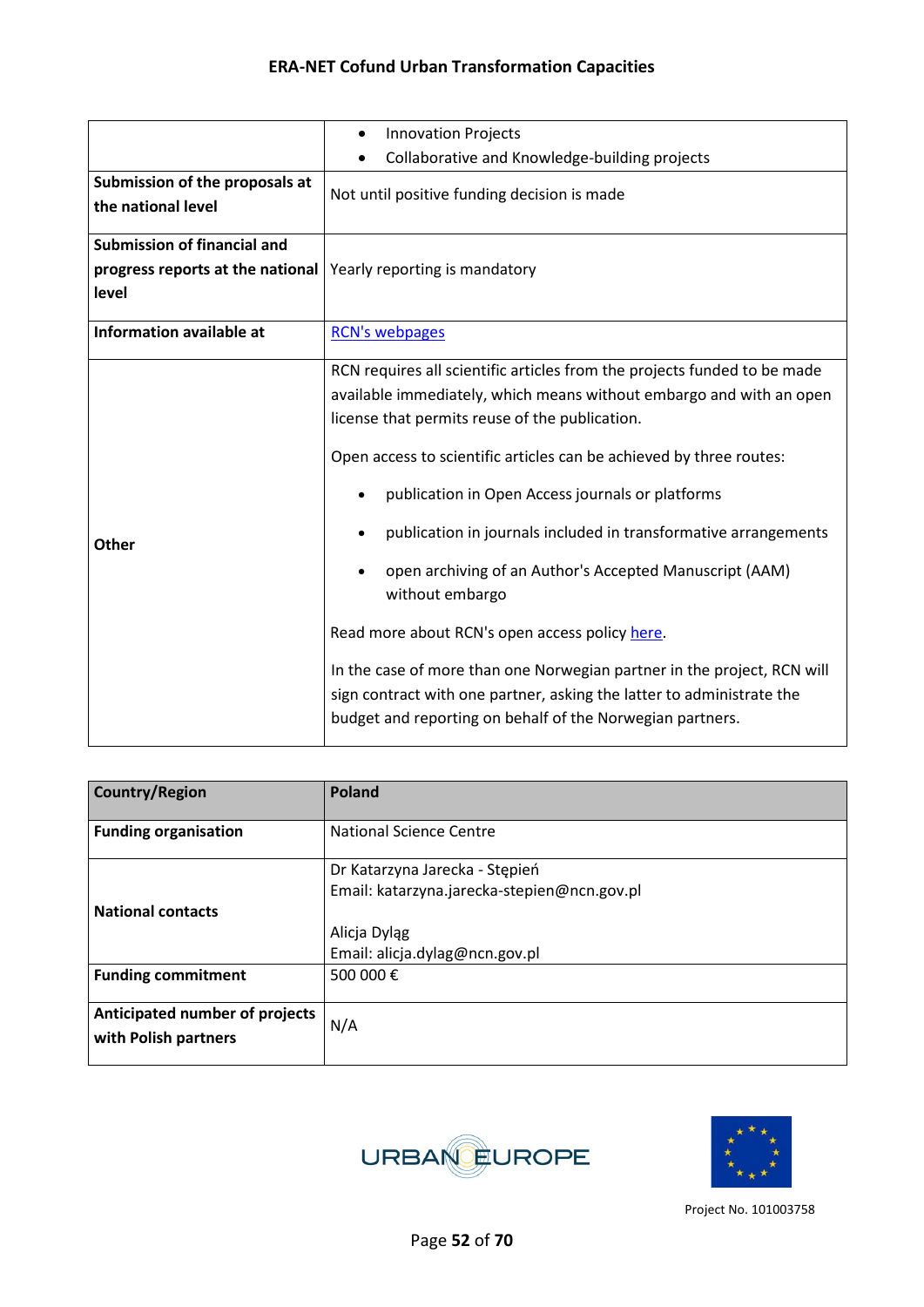|                                                                                 | <b>Innovation Projects</b><br>$\bullet$                                                                                                                                                                                                                                                                                                                                                                                                                                                                                                                                                                                                                                                                                                          |  |  |
|---------------------------------------------------------------------------------|--------------------------------------------------------------------------------------------------------------------------------------------------------------------------------------------------------------------------------------------------------------------------------------------------------------------------------------------------------------------------------------------------------------------------------------------------------------------------------------------------------------------------------------------------------------------------------------------------------------------------------------------------------------------------------------------------------------------------------------------------|--|--|
|                                                                                 | Collaborative and Knowledge-building projects<br>٠                                                                                                                                                                                                                                                                                                                                                                                                                                                                                                                                                                                                                                                                                               |  |  |
| Submission of the proposals at<br>the national level                            | Not until positive funding decision is made                                                                                                                                                                                                                                                                                                                                                                                                                                                                                                                                                                                                                                                                                                      |  |  |
| <b>Submission of financial and</b><br>progress reports at the national<br>level | Yearly reporting is mandatory                                                                                                                                                                                                                                                                                                                                                                                                                                                                                                                                                                                                                                                                                                                    |  |  |
| <b>Information available at</b>                                                 | <b>RCN's webpages</b>                                                                                                                                                                                                                                                                                                                                                                                                                                                                                                                                                                                                                                                                                                                            |  |  |
| <b>Other</b>                                                                    | RCN requires all scientific articles from the projects funded to be made<br>available immediately, which means without embargo and with an open<br>license that permits reuse of the publication.<br>Open access to scientific articles can be achieved by three routes:<br>publication in Open Access journals or platforms<br>publication in journals included in transformative arrangements<br>open archiving of an Author's Accepted Manuscript (AAM)<br>without embargo<br>Read more about RCN's open access policy here.<br>In the case of more than one Norwegian partner in the project, RCN will<br>sign contract with one partner, asking the latter to administrate the<br>budget and reporting on behalf of the Norwegian partners. |  |  |

| <b>Country/Region</b>                                  | Poland                                                                                        |
|--------------------------------------------------------|-----------------------------------------------------------------------------------------------|
| <b>Funding organisation</b>                            | <b>National Science Centre</b>                                                                |
| <b>National contacts</b>                               | Dr Katarzyna Jarecka - Stępień<br>Email: katarzyna.jarecka-stepien@ncn.gov.pl<br>Alicja Dyląg |
| <b>Funding commitment</b>                              | Email: alicja.dylag@ncn.gov.pl<br>500 000€                                                    |
| Anticipated number of projects<br>with Polish partners | N/A                                                                                           |



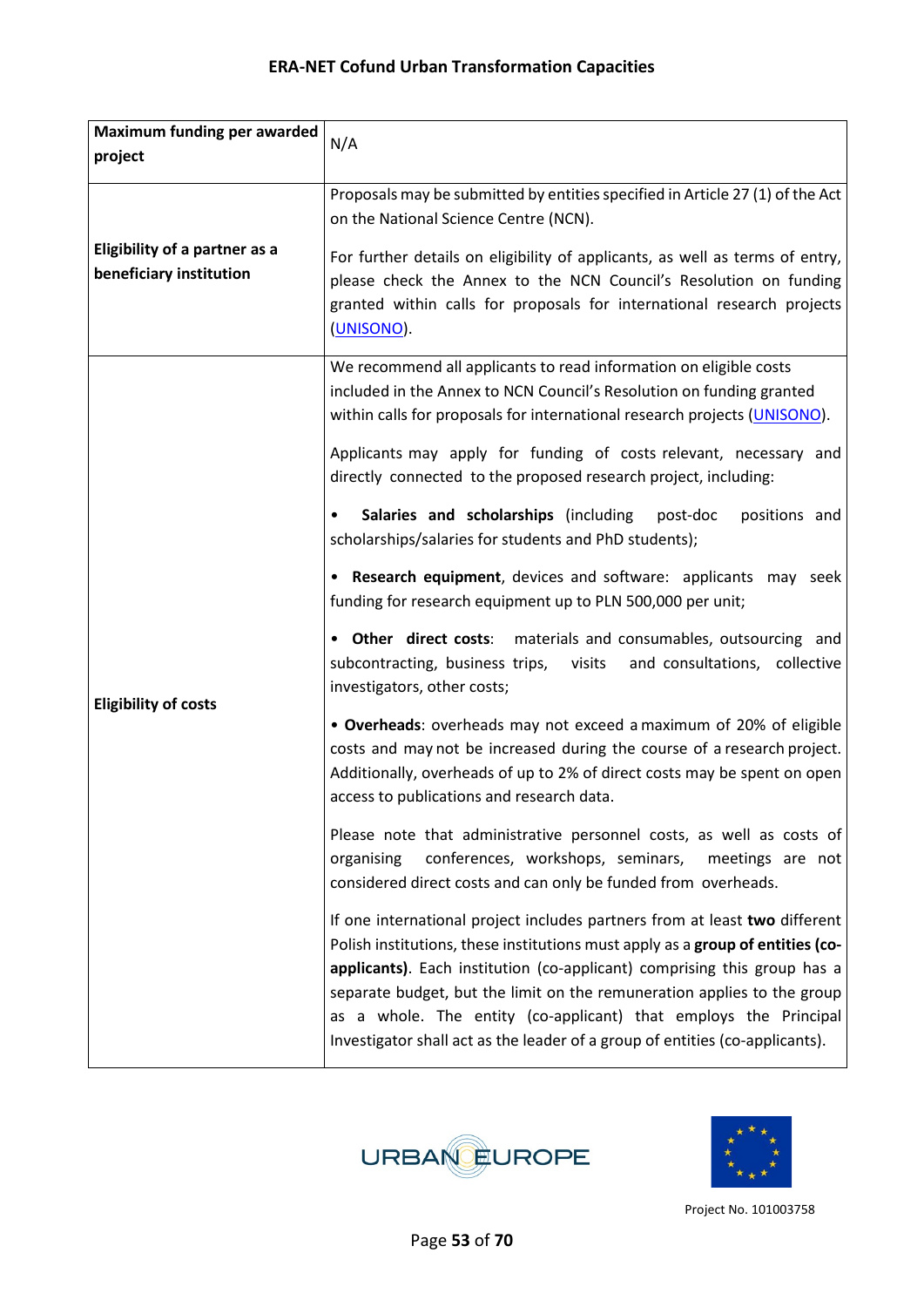| Maximum funding per awarded                                     | N/A                                                                                                                                                                                                                                                                                                                                                                                                                                                                     |
|-----------------------------------------------------------------|-------------------------------------------------------------------------------------------------------------------------------------------------------------------------------------------------------------------------------------------------------------------------------------------------------------------------------------------------------------------------------------------------------------------------------------------------------------------------|
| project                                                         |                                                                                                                                                                                                                                                                                                                                                                                                                                                                         |
|                                                                 | Proposals may be submitted by entities specified in Article 27 (1) of the Act<br>on the National Science Centre (NCN).                                                                                                                                                                                                                                                                                                                                                  |
| <b>Eligibility of a partner as a</b><br>beneficiary institution | For further details on eligibility of applicants, as well as terms of entry,<br>please check the Annex to the NCN Council's Resolution on funding<br>granted within calls for proposals for international research projects<br>(UNISONO).                                                                                                                                                                                                                               |
|                                                                 | We recommend all applicants to read information on eligible costs<br>included in the Annex to NCN Council's Resolution on funding granted<br>within calls for proposals for international research projects (UNISONO).                                                                                                                                                                                                                                                  |
|                                                                 | Applicants may apply for funding of costs relevant, necessary and<br>directly connected to the proposed research project, including:                                                                                                                                                                                                                                                                                                                                    |
|                                                                 | Salaries and scholarships (including<br>positions and<br>post-doc<br>$\bullet$<br>scholarships/salaries for students and PhD students);                                                                                                                                                                                                                                                                                                                                 |
|                                                                 | • Research equipment, devices and software: applicants may seek<br>funding for research equipment up to PLN 500,000 per unit;                                                                                                                                                                                                                                                                                                                                           |
| <b>Eligibility of costs</b>                                     | <b>Other direct costs:</b> materials and consumables, outsourcing and<br>subcontracting, business trips, visits<br>and consultations, collective<br>investigators, other costs;                                                                                                                                                                                                                                                                                         |
|                                                                 | • Overheads: overheads may not exceed a maximum of 20% of eligible<br>costs and may not be increased during the course of a research project.<br>Additionally, overheads of up to 2% of direct costs may be spent on open<br>access to publications and research data.                                                                                                                                                                                                  |
|                                                                 | Please note that administrative personnel costs, as well as costs of<br>conferences, workshops, seminars,<br>organising<br>meetings are not<br>considered direct costs and can only be funded from overheads.                                                                                                                                                                                                                                                           |
|                                                                 | If one international project includes partners from at least two different<br>Polish institutions, these institutions must apply as a group of entities (co-<br>applicants). Each institution (co-applicant) comprising this group has a<br>separate budget, but the limit on the remuneration applies to the group<br>as a whole. The entity (co-applicant) that employs the Principal<br>Investigator shall act as the leader of a group of entities (co-applicants). |



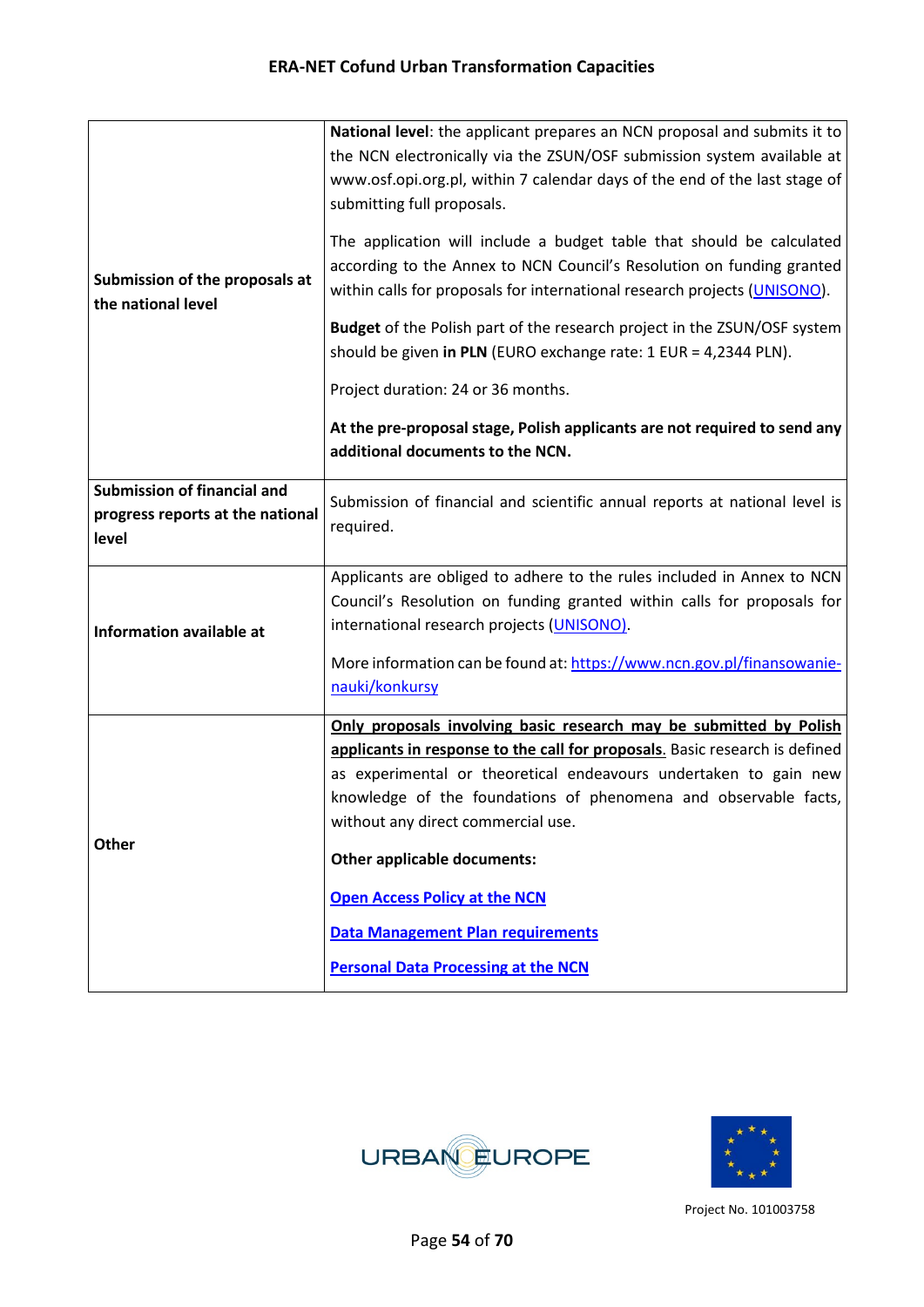| Submission of the proposals at<br>the national level                     | National level: the applicant prepares an NCN proposal and submits it to<br>the NCN electronically via the ZSUN/OSF submission system available at<br>www.osf.opi.org.pl, within 7 calendar days of the end of the last stage of<br>submitting full proposals.<br>The application will include a budget table that should be calculated<br>according to the Annex to NCN Council's Resolution on funding granted<br>within calls for proposals for international research projects (UNISONO).<br>Budget of the Polish part of the research project in the ZSUN/OSF system<br>should be given in PLN (EURO exchange rate: 1 EUR = 4,2344 PLN).<br>Project duration: 24 or 36 months.<br>At the pre-proposal stage, Polish applicants are not required to send any<br>additional documents to the NCN. |
|--------------------------------------------------------------------------|------------------------------------------------------------------------------------------------------------------------------------------------------------------------------------------------------------------------------------------------------------------------------------------------------------------------------------------------------------------------------------------------------------------------------------------------------------------------------------------------------------------------------------------------------------------------------------------------------------------------------------------------------------------------------------------------------------------------------------------------------------------------------------------------------|
| Submission of financial and<br>progress reports at the national<br>level | Submission of financial and scientific annual reports at national level is<br>required.                                                                                                                                                                                                                                                                                                                                                                                                                                                                                                                                                                                                                                                                                                              |
| Information available at                                                 | Applicants are obliged to adhere to the rules included in Annex to NCN<br>Council's Resolution on funding granted within calls for proposals for<br>international research projects (UNISONO).<br>More information can be found at: https://www.ncn.gov.pl/finansowanie-<br>nauki/konkursy                                                                                                                                                                                                                                                                                                                                                                                                                                                                                                           |
| Other                                                                    | Only proposals involving basic research may be submitted by Polish<br>applicants in response to the call for proposals. Basic research is defined<br>as experimental or theoretical endeavours undertaken to gain new<br>knowledge of the foundations of phenomena and observable facts,<br>without any direct commercial use.<br>Other applicable documents:<br><b>Open Access Policy at the NCN</b><br><b>Data Management Plan requirements</b><br><b>Personal Data Processing at the NCN</b>                                                                                                                                                                                                                                                                                                      |



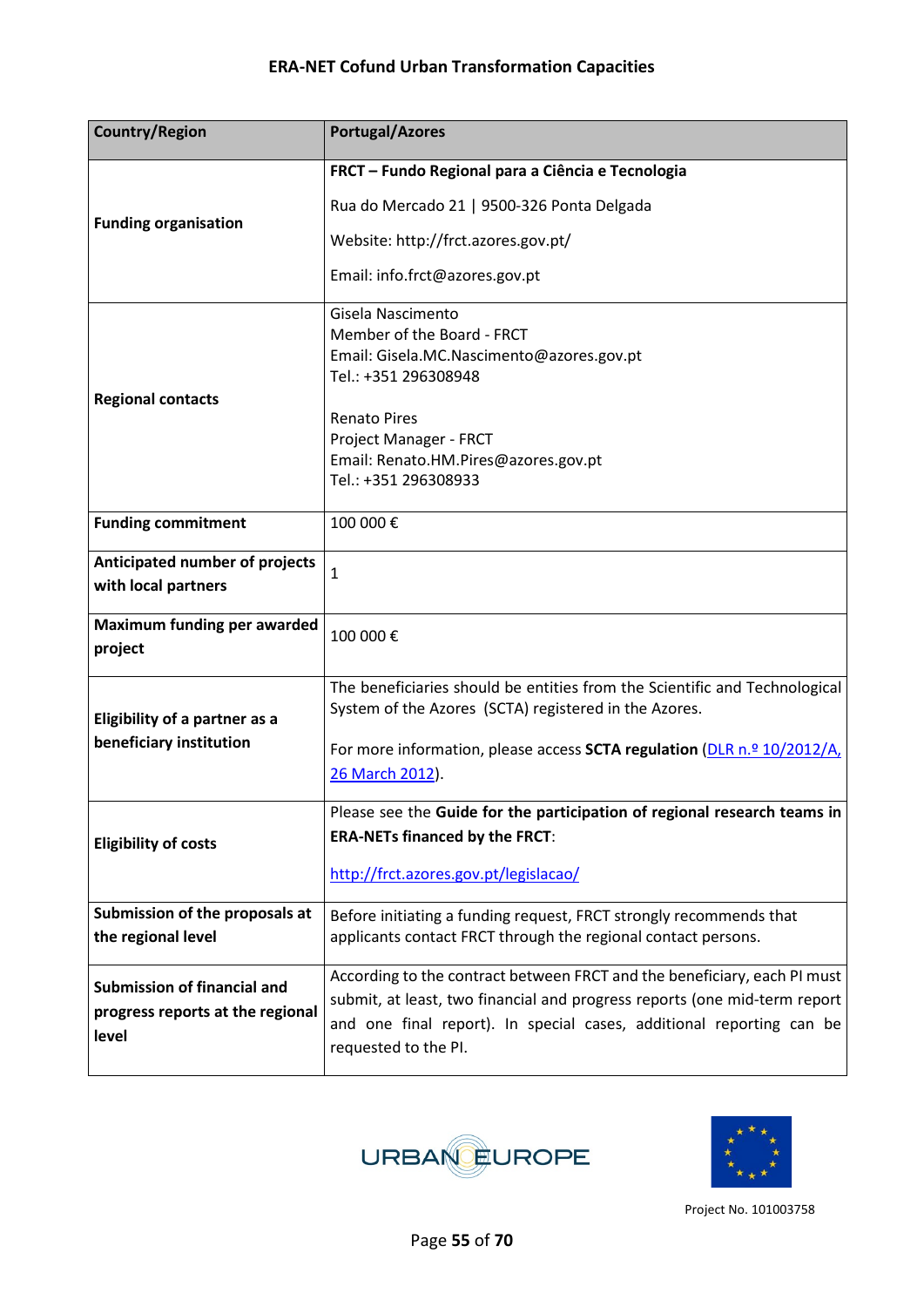| <b>Country/Region</b>                | <b>Portugal/Azores</b>                                                                       |
|--------------------------------------|----------------------------------------------------------------------------------------------|
|                                      | FRCT - Fundo Regional para a Ciência e Tecnologia                                            |
| <b>Funding organisation</b>          | Rua do Mercado 21   9500-326 Ponta Delgada                                                   |
|                                      | Website: http://frct.azores.gov.pt/                                                          |
|                                      | Email: info.frct@azores.gov.pt                                                               |
|                                      | Gisela Nascimento                                                                            |
|                                      | Member of the Board - FRCT<br>Email: Gisela.MC.Nascimento@azores.gov.pt                      |
|                                      | Tel.: +351 296308948                                                                         |
| <b>Regional contacts</b>             | <b>Renato Pires</b>                                                                          |
|                                      | Project Manager - FRCT                                                                       |
|                                      | Email: Renato.HM.Pires@azores.gov.pt                                                         |
|                                      | Tel.: +351 296308933                                                                         |
| <b>Funding commitment</b>            | 100 000€                                                                                     |
| Anticipated number of projects       | $\mathbf{1}$                                                                                 |
| with local partners                  |                                                                                              |
| <b>Maximum funding per awarded</b>   | 100 000€                                                                                     |
| project                              |                                                                                              |
|                                      | The beneficiaries should be entities from the Scientific and Technological                   |
| <b>Eligibility of a partner as a</b> | System of the Azores (SCTA) registered in the Azores.                                        |
| beneficiary institution              | For more information, please access <b>SCTA regulation</b> (DLR n.º 10/2012/A,               |
|                                      | 26 March 2012).                                                                              |
|                                      | Please see the Guide for the participation of regional research teams in                     |
| <b>Eligibility of costs</b>          | <b>ERA-NETs financed by the FRCT:</b>                                                        |
|                                      | http://frct.azores.gov.pt/legislacao/                                                        |
| Submission of the proposals at       | Before initiating a funding request, FRCT strongly recommends that                           |
| the regional level                   | applicants contact FRCT through the regional contact persons.                                |
| Submission of financial and          | According to the contract between FRCT and the beneficiary, each PI must                     |
| progress reports at the regional     | submit, at least, two financial and progress reports (one mid-term report                    |
| level                                | and one final report). In special cases, additional reporting can be<br>requested to the PI. |
|                                      |                                                                                              |



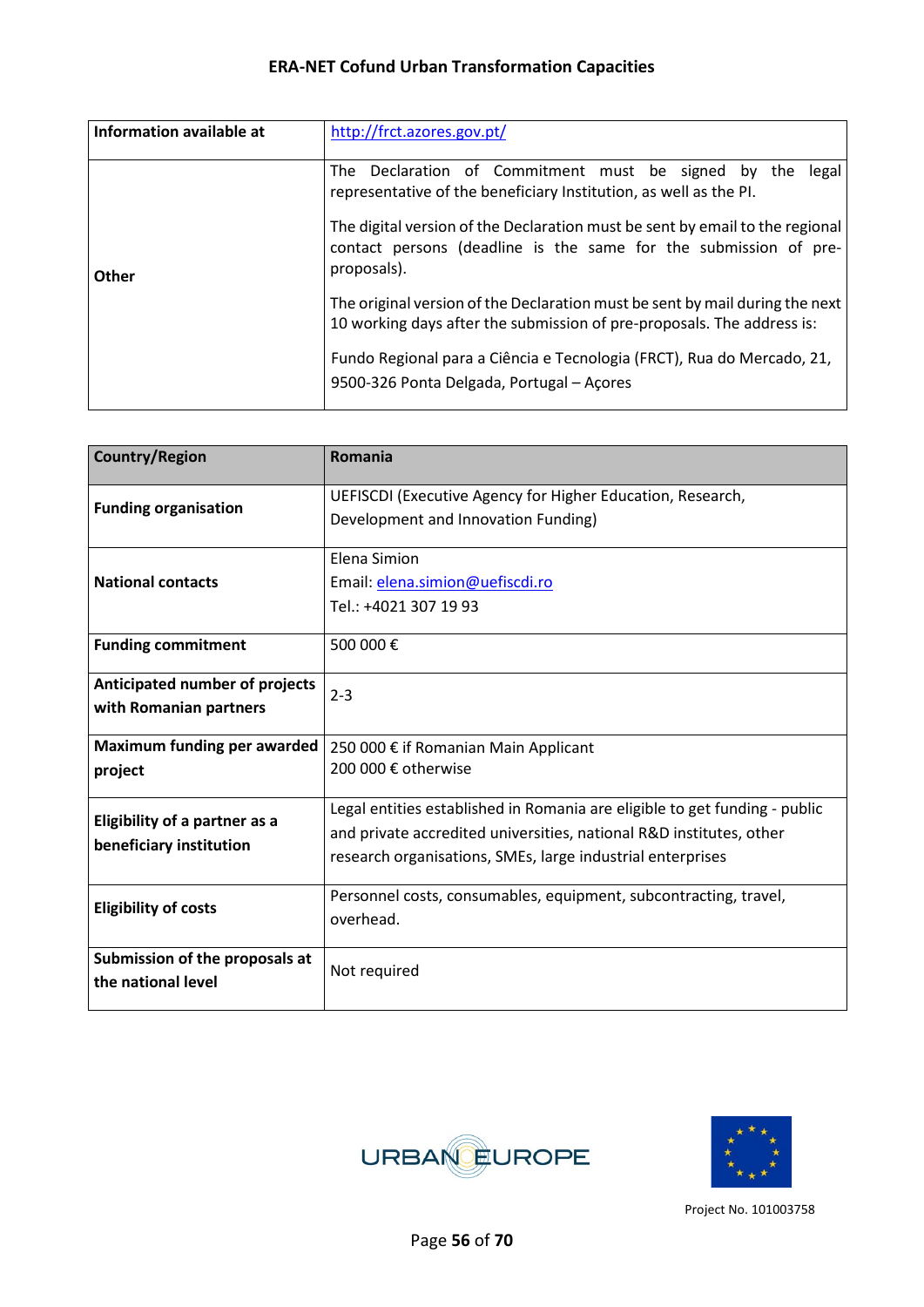| Information available at | http://frct.azores.gov.pt/                                                                                                                                      |
|--------------------------|-----------------------------------------------------------------------------------------------------------------------------------------------------------------|
|                          | The Declaration of Commitment must be signed by the legal<br>representative of the beneficiary Institution, as well as the PI.                                  |
| Other                    | The digital version of the Declaration must be sent by email to the regional<br>contact persons (deadline is the same for the submission of pre-<br>proposals). |
|                          | The original version of the Declaration must be sent by mail during the next<br>10 working days after the submission of pre-proposals. The address is:          |
|                          | Fundo Regional para a Ciência e Tecnologia (FRCT), Rua do Mercado, 21,<br>9500-326 Ponta Delgada, Portugal - Açores                                             |

| <b>Country/Region</b>              | Romania                                                                    |  |  |  |
|------------------------------------|----------------------------------------------------------------------------|--|--|--|
| <b>Funding organisation</b>        | UEFISCDI (Executive Agency for Higher Education, Research,                 |  |  |  |
|                                    | Development and Innovation Funding)                                        |  |  |  |
|                                    | Elena Simion                                                               |  |  |  |
| <b>National contacts</b>           | Email: elena.simion@uefiscdi.ro                                            |  |  |  |
|                                    | Tel.: +4021 307 19 93                                                      |  |  |  |
| <b>Funding commitment</b>          | 500 000€                                                                   |  |  |  |
| Anticipated number of projects     | $2 - 3$                                                                    |  |  |  |
| with Romanian partners             |                                                                            |  |  |  |
| <b>Maximum funding per awarded</b> | 250 000 € if Romanian Main Applicant                                       |  |  |  |
| project                            | 200 000 € otherwise                                                        |  |  |  |
| Eligibility of a partner as a      | Legal entities established in Romania are eligible to get funding - public |  |  |  |
| beneficiary institution            | and private accredited universities, national R&D institutes, other        |  |  |  |
|                                    | research organisations, SMEs, large industrial enterprises                 |  |  |  |
| <b>Eligibility of costs</b>        | Personnel costs, consumables, equipment, subcontracting, travel,           |  |  |  |
|                                    | overhead.                                                                  |  |  |  |
| Submission of the proposals at     | Not required                                                               |  |  |  |
| the national level                 |                                                                            |  |  |  |



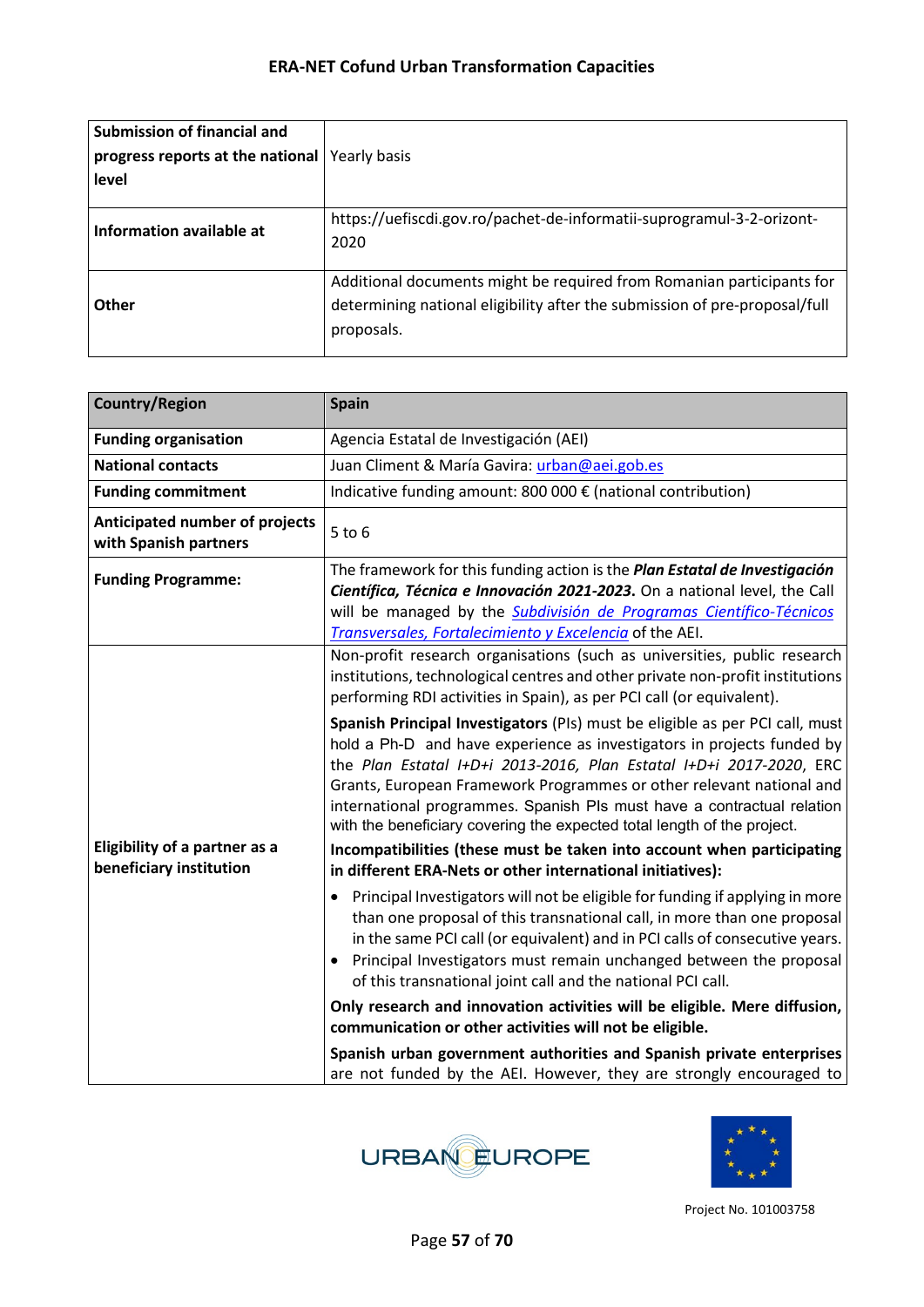| Submission of financial and                     |                                                                               |
|-------------------------------------------------|-------------------------------------------------------------------------------|
| progress reports at the national   Yearly basis |                                                                               |
| level                                           |                                                                               |
|                                                 |                                                                               |
| Information available at                        | https://uefiscdi.gov.ro/pachet-de-informatii-suprogramul-3-2-orizont-<br>2020 |
|                                                 |                                                                               |
|                                                 | Additional documents might be required from Romanian participants for         |
| <b>Other</b>                                    | determining national eligibility after the submission of pre-proposal/full    |
|                                                 | proposals.                                                                    |
|                                                 |                                                                               |

| <b>Country/Region</b>                                           | <b>Spain</b>                                                                                                                                                                                                                                                                                                                                                                                                                                               |  |  |
|-----------------------------------------------------------------|------------------------------------------------------------------------------------------------------------------------------------------------------------------------------------------------------------------------------------------------------------------------------------------------------------------------------------------------------------------------------------------------------------------------------------------------------------|--|--|
| <b>Funding organisation</b>                                     | Agencia Estatal de Investigación (AEI)                                                                                                                                                                                                                                                                                                                                                                                                                     |  |  |
| <b>National contacts</b>                                        | Juan Climent & María Gavira: urban@aei.gob.es                                                                                                                                                                                                                                                                                                                                                                                                              |  |  |
| <b>Funding commitment</b>                                       | Indicative funding amount: 800 000 € (national contribution)                                                                                                                                                                                                                                                                                                                                                                                               |  |  |
| Anticipated number of projects<br>with Spanish partners         | $5$ to $6$                                                                                                                                                                                                                                                                                                                                                                                                                                                 |  |  |
| <b>Funding Programme:</b>                                       | The framework for this funding action is the Plan Estatal de Investigación<br>Científica, Técnica e Innovación 2021-2023. On a national level, the Call<br>will be managed by the Subdivisión de Programas Científico-Técnicos<br>Transversales, Fortalecimiento y Excelencia of the AEI.                                                                                                                                                                  |  |  |
|                                                                 | Non-profit research organisations (such as universities, public research<br>institutions, technological centres and other private non-profit institutions<br>performing RDI activities in Spain), as per PCI call (or equivalent).                                                                                                                                                                                                                         |  |  |
|                                                                 | Spanish Principal Investigators (PIs) must be eligible as per PCI call, must<br>hold a Ph-D and have experience as investigators in projects funded by<br>the Plan Estatal I+D+i 2013-2016, Plan Estatal I+D+i 2017-2020, ERC<br>Grants, European Framework Programmes or other relevant national and<br>international programmes. Spanish PIs must have a contractual relation<br>with the beneficiary covering the expected total length of the project. |  |  |
| <b>Eligibility of a partner as a</b><br>beneficiary institution | Incompatibilities (these must be taken into account when participating<br>in different ERA-Nets or other international initiatives):                                                                                                                                                                                                                                                                                                                       |  |  |
|                                                                 | Principal Investigators will not be eligible for funding if applying in more<br>٠<br>than one proposal of this transnational call, in more than one proposal<br>in the same PCI call (or equivalent) and in PCI calls of consecutive years.<br>Principal Investigators must remain unchanged between the proposal<br>of this transnational joint call and the national PCI call.                                                                           |  |  |
|                                                                 | Only research and innovation activities will be eligible. Mere diffusion,<br>communication or other activities will not be eligible.                                                                                                                                                                                                                                                                                                                       |  |  |
|                                                                 | Spanish urban government authorities and Spanish private enterprises<br>are not funded by the AEI. However, they are strongly encouraged to                                                                                                                                                                                                                                                                                                                |  |  |



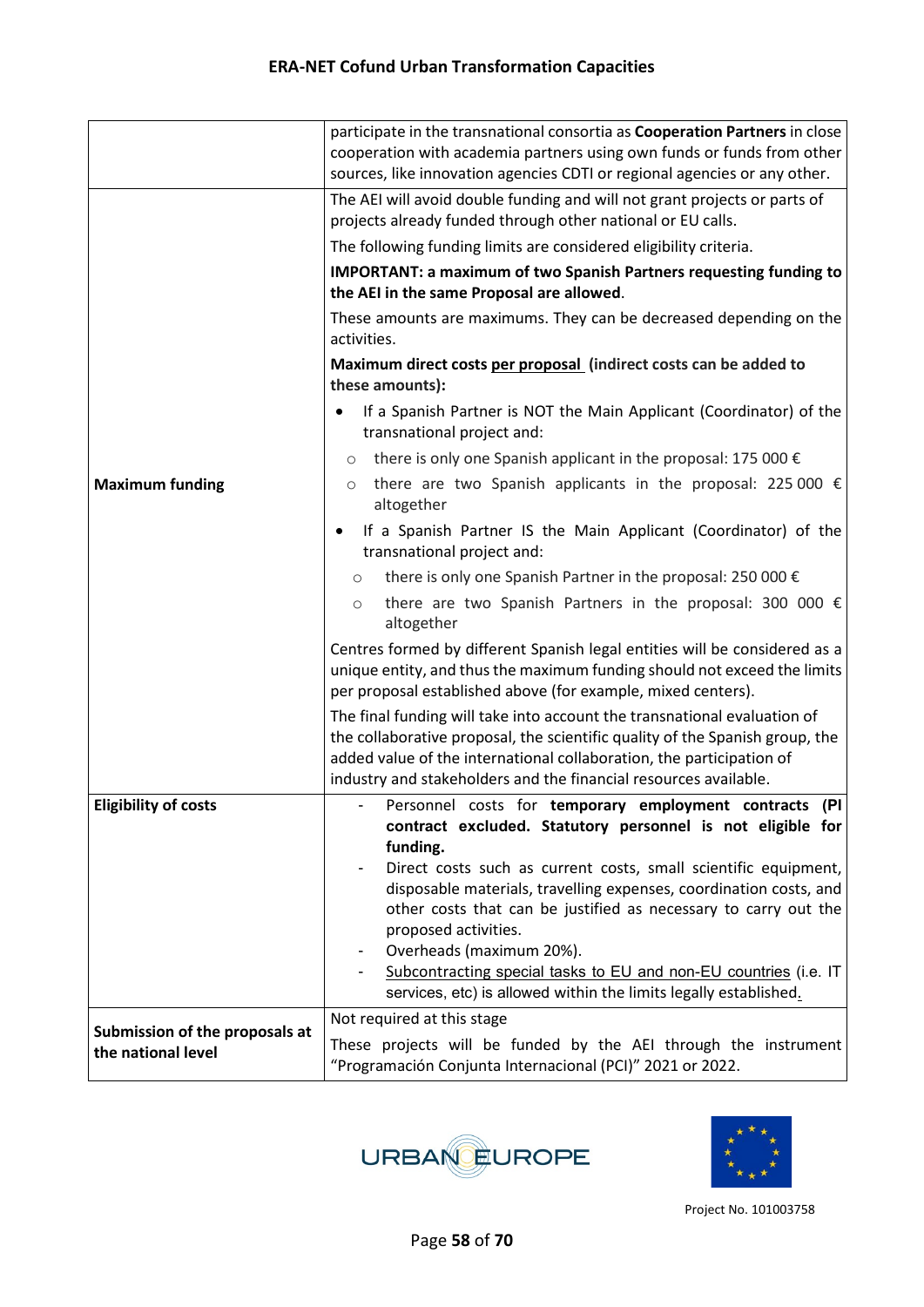|                                                      | participate in the transnational consortia as Cooperation Partners in close<br>cooperation with academia partners using own funds or funds from other<br>sources, like innovation agencies CDTI or regional agencies or any other.                                                                   |  |  |
|------------------------------------------------------|------------------------------------------------------------------------------------------------------------------------------------------------------------------------------------------------------------------------------------------------------------------------------------------------------|--|--|
|                                                      | The AEI will avoid double funding and will not grant projects or parts of<br>projects already funded through other national or EU calls.                                                                                                                                                             |  |  |
|                                                      | The following funding limits are considered eligibility criteria.                                                                                                                                                                                                                                    |  |  |
|                                                      | <b>IMPORTANT: a maximum of two Spanish Partners requesting funding to</b><br>the AEI in the same Proposal are allowed.                                                                                                                                                                               |  |  |
|                                                      | These amounts are maximums. They can be decreased depending on the<br>activities.                                                                                                                                                                                                                    |  |  |
|                                                      | Maximum direct costs per proposal (indirect costs can be added to<br>these amounts):                                                                                                                                                                                                                 |  |  |
|                                                      | If a Spanish Partner is NOT the Main Applicant (Coordinator) of the<br>transnational project and:                                                                                                                                                                                                    |  |  |
|                                                      | there is only one Spanish applicant in the proposal: 175 000 $\epsilon$<br>$\circ$                                                                                                                                                                                                                   |  |  |
| <b>Maximum funding</b>                               | there are two Spanish applicants in the proposal: 225 000 $\epsilon$<br>$\circ$<br>altogether                                                                                                                                                                                                        |  |  |
|                                                      | If a Spanish Partner IS the Main Applicant (Coordinator) of the<br>transnational project and:                                                                                                                                                                                                        |  |  |
|                                                      | there is only one Spanish Partner in the proposal: 250 000 €<br>$\circ$                                                                                                                                                                                                                              |  |  |
|                                                      | there are two Spanish Partners in the proposal: 300 000 $\epsilon$<br>$\circ$<br>altogether                                                                                                                                                                                                          |  |  |
|                                                      | Centres formed by different Spanish legal entities will be considered as a<br>unique entity, and thus the maximum funding should not exceed the limits<br>per proposal established above (for example, mixed centers).                                                                               |  |  |
|                                                      | The final funding will take into account the transnational evaluation of<br>the collaborative proposal, the scientific quality of the Spanish group, the<br>added value of the international collaboration, the participation of<br>industry and stakeholders and the financial resources available. |  |  |
| <b>Eligibility of costs</b>                          | Personnel costs for temporary employment contracts (PI<br>contract excluded. Statutory personnel is not eligible for<br>funding.                                                                                                                                                                     |  |  |
|                                                      | Direct costs such as current costs, small scientific equipment,<br>disposable materials, travelling expenses, coordination costs, and<br>other costs that can be justified as necessary to carry out the<br>proposed activities.                                                                     |  |  |
|                                                      | Overheads (maximum 20%).<br>Subcontracting special tasks to EU and non-EU countries (i.e. IT<br>services, etc) is allowed within the limits legally established.                                                                                                                                     |  |  |
|                                                      | Not required at this stage                                                                                                                                                                                                                                                                           |  |  |
| Submission of the proposals at<br>the national level | These projects will be funded by the AEI through the instrument<br>"Programación Conjunta Internacional (PCI)" 2021 or 2022.                                                                                                                                                                         |  |  |



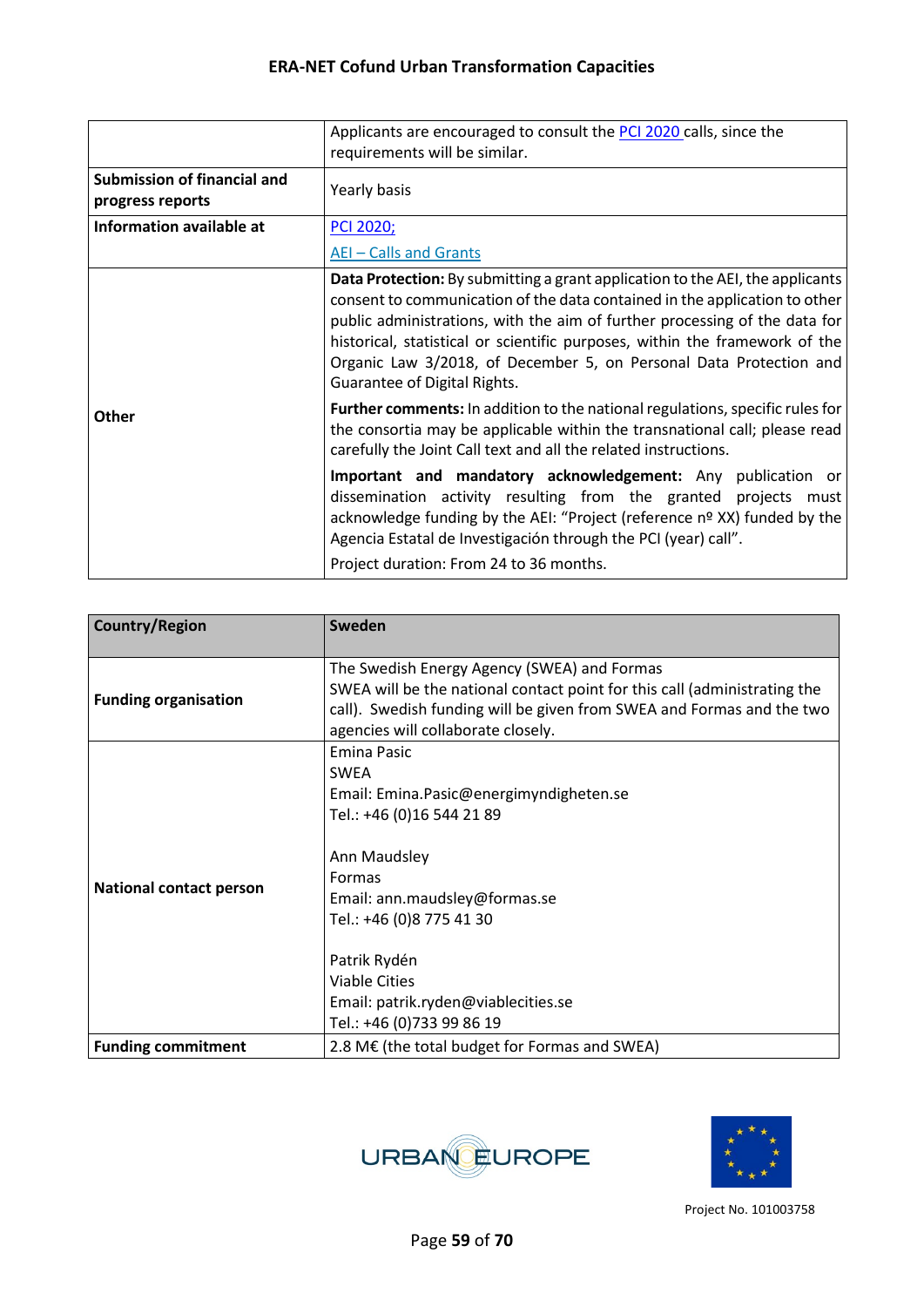|                                                 | Applicants are encouraged to consult the PCI 2020 calls, since the<br>requirements will be similar.                                                                                                                                                                                                                                                                                                                            |  |  |
|-------------------------------------------------|--------------------------------------------------------------------------------------------------------------------------------------------------------------------------------------------------------------------------------------------------------------------------------------------------------------------------------------------------------------------------------------------------------------------------------|--|--|
| Submission of financial and<br>progress reports | Yearly basis                                                                                                                                                                                                                                                                                                                                                                                                                   |  |  |
| Information available at                        | <b>PCI 2020;</b>                                                                                                                                                                                                                                                                                                                                                                                                               |  |  |
|                                                 | AEI-Calls and Grants                                                                                                                                                                                                                                                                                                                                                                                                           |  |  |
|                                                 | Data Protection: By submitting a grant application to the AEI, the applicants<br>consent to communication of the data contained in the application to other<br>public administrations, with the aim of further processing of the data for<br>historical, statistical or scientific purposes, within the framework of the<br>Organic Law 3/2018, of December 5, on Personal Data Protection and<br>Guarantee of Digital Rights. |  |  |
| <b>Other</b>                                    | <b>Further comments:</b> In addition to the national regulations, specific rules for<br>the consortia may be applicable within the transnational call; please read<br>carefully the Joint Call text and all the related instructions.                                                                                                                                                                                          |  |  |
|                                                 | Important and mandatory acknowledgement: Any publication or<br>dissemination activity resulting from the granted projects must<br>acknowledge funding by the AEI: "Project (reference nº XX) funded by the<br>Agencia Estatal de Investigación through the PCI (year) call".                                                                                                                                                   |  |  |
|                                                 | Project duration: From 24 to 36 months.                                                                                                                                                                                                                                                                                                                                                                                        |  |  |

| <b>Country/Region</b>          | Sweden                                                                                                                                                                                                                                                                                                       |  |
|--------------------------------|--------------------------------------------------------------------------------------------------------------------------------------------------------------------------------------------------------------------------------------------------------------------------------------------------------------|--|
| <b>Funding organisation</b>    | The Swedish Energy Agency (SWEA) and Formas<br>SWEA will be the national contact point for this call (administrating the<br>call). Swedish funding will be given from SWEA and Formas and the two<br>agencies will collaborate closely.                                                                      |  |
| <b>National contact person</b> | <b>Emina Pasic</b><br><b>SWEA</b><br>Email: Emina.Pasic@energimyndigheten.se<br>Tel.: +46 (0)16 544 21 89<br>Ann Maudsley<br><b>Formas</b><br>Email: ann.maudsley@formas.se<br>Tel.: +46 (0)8 775 41 30<br>Patrik Rydén<br>Viable Cities<br>Email: patrik.ryden@viablecities.se<br>Tel.: +46 (0)733 99 86 19 |  |
| <b>Funding commitment</b>      | 2.8 M€ (the total budget for Formas and SWEA)                                                                                                                                                                                                                                                                |  |



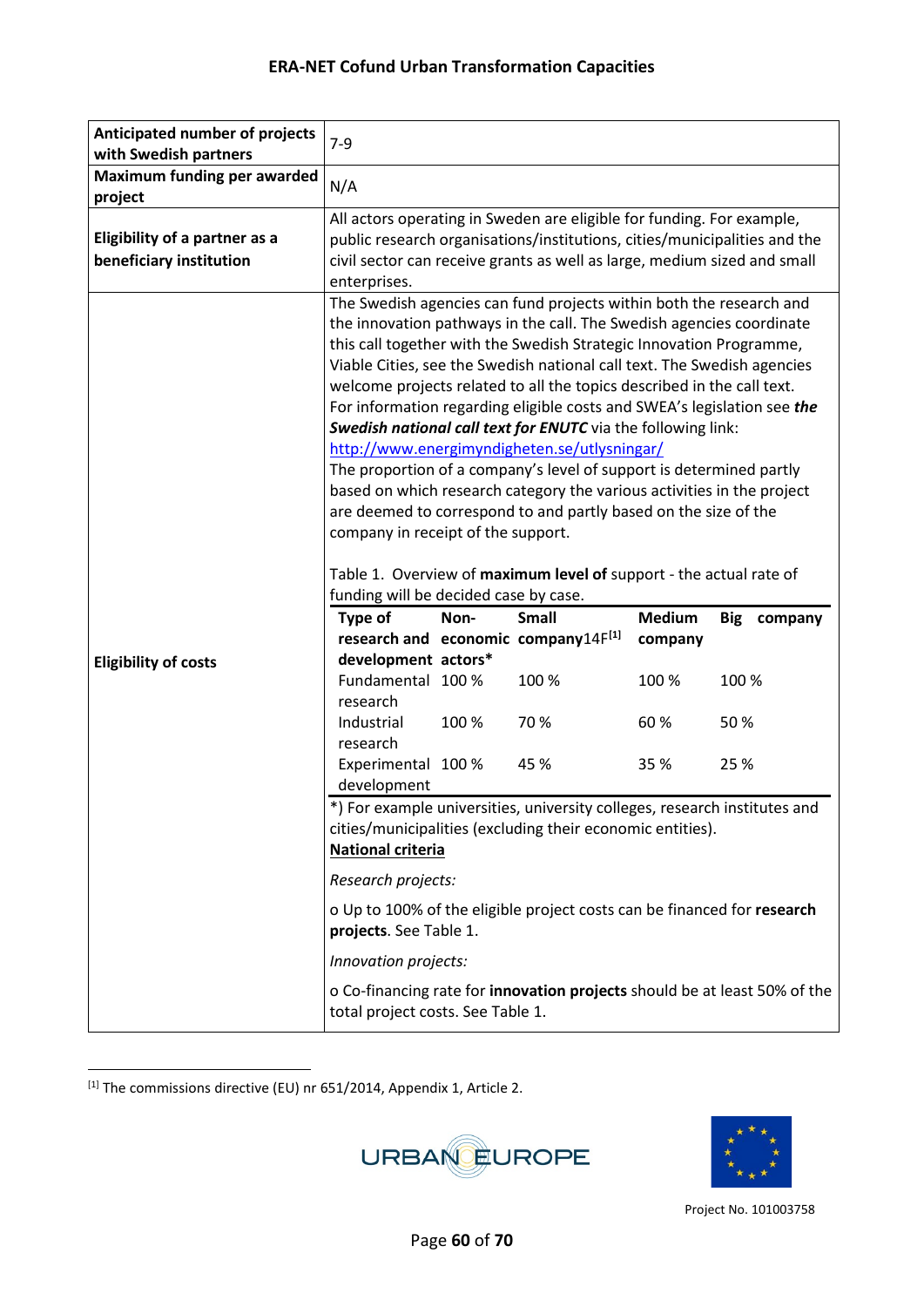| Anticipated number of projects<br>with Swedish partners         | $7-9$                                                |       |                                                                                                                                                                                                                                                                                                                                                                                                                                                                                                                                                                                                                                                                                                                                                                                        |                          |                       |
|-----------------------------------------------------------------|------------------------------------------------------|-------|----------------------------------------------------------------------------------------------------------------------------------------------------------------------------------------------------------------------------------------------------------------------------------------------------------------------------------------------------------------------------------------------------------------------------------------------------------------------------------------------------------------------------------------------------------------------------------------------------------------------------------------------------------------------------------------------------------------------------------------------------------------------------------------|--------------------------|-----------------------|
| <b>Maximum funding per awarded</b><br>project                   | N/A                                                  |       |                                                                                                                                                                                                                                                                                                                                                                                                                                                                                                                                                                                                                                                                                                                                                                                        |                          |                       |
| <b>Eligibility of a partner as a</b><br>beneficiary institution | enterprises.                                         |       | All actors operating in Sweden are eligible for funding. For example,<br>public research organisations/institutions, cities/municipalities and the<br>civil sector can receive grants as well as large, medium sized and small                                                                                                                                                                                                                                                                                                                                                                                                                                                                                                                                                         |                          |                       |
|                                                                 | company in receipt of the support.                   |       | The Swedish agencies can fund projects within both the research and<br>the innovation pathways in the call. The Swedish agencies coordinate<br>this call together with the Swedish Strategic Innovation Programme,<br>Viable Cities, see the Swedish national call text. The Swedish agencies<br>welcome projects related to all the topics described in the call text.<br>For information regarding eligible costs and SWEA's legislation see the<br>Swedish national call text for ENUTC via the following link:<br>http://www.energimyndigheten.se/utlysningar/<br>The proportion of a company's level of support is determined partly<br>based on which research category the various activities in the project<br>are deemed to correspond to and partly based on the size of the |                          |                       |
|                                                                 | funding will be decided case by case.                |       | Table 1. Overview of maximum level of support - the actual rate of                                                                                                                                                                                                                                                                                                                                                                                                                                                                                                                                                                                                                                                                                                                     |                          |                       |
|                                                                 | Type of                                              | Non-  | <b>Small</b><br>research and economic company14F[1]                                                                                                                                                                                                                                                                                                                                                                                                                                                                                                                                                                                                                                                                                                                                    | <b>Medium</b><br>company | <b>Big</b><br>company |
| <b>Eligibility of costs</b>                                     | development actors*<br>Fundamental 100 %<br>research |       | 100 %                                                                                                                                                                                                                                                                                                                                                                                                                                                                                                                                                                                                                                                                                                                                                                                  | 100 %                    | 100 %                 |
|                                                                 | Industrial<br>research                               | 100 % | 70%                                                                                                                                                                                                                                                                                                                                                                                                                                                                                                                                                                                                                                                                                                                                                                                    | 60%                      | 50%                   |
|                                                                 | Experimental 100 %<br>development                    |       | 45 %                                                                                                                                                                                                                                                                                                                                                                                                                                                                                                                                                                                                                                                                                                                                                                                   | 35 %                     | 25 %                  |
|                                                                 | <b>National criteria</b>                             |       | *) For example universities, university colleges, research institutes and<br>cities/municipalities (excluding their economic entities).                                                                                                                                                                                                                                                                                                                                                                                                                                                                                                                                                                                                                                                |                          |                       |
|                                                                 | Research projects:                                   |       |                                                                                                                                                                                                                                                                                                                                                                                                                                                                                                                                                                                                                                                                                                                                                                                        |                          |                       |
|                                                                 | projects. See Table 1.                               |       | o Up to 100% of the eligible project costs can be financed for research                                                                                                                                                                                                                                                                                                                                                                                                                                                                                                                                                                                                                                                                                                                |                          |                       |
|                                                                 | Innovation projects:                                 |       |                                                                                                                                                                                                                                                                                                                                                                                                                                                                                                                                                                                                                                                                                                                                                                                        |                          |                       |

<span id="page-59-0"></span> $^{[1]}$  The commissions directive (EU) nr 651/2014, Appendix 1, Article 2.



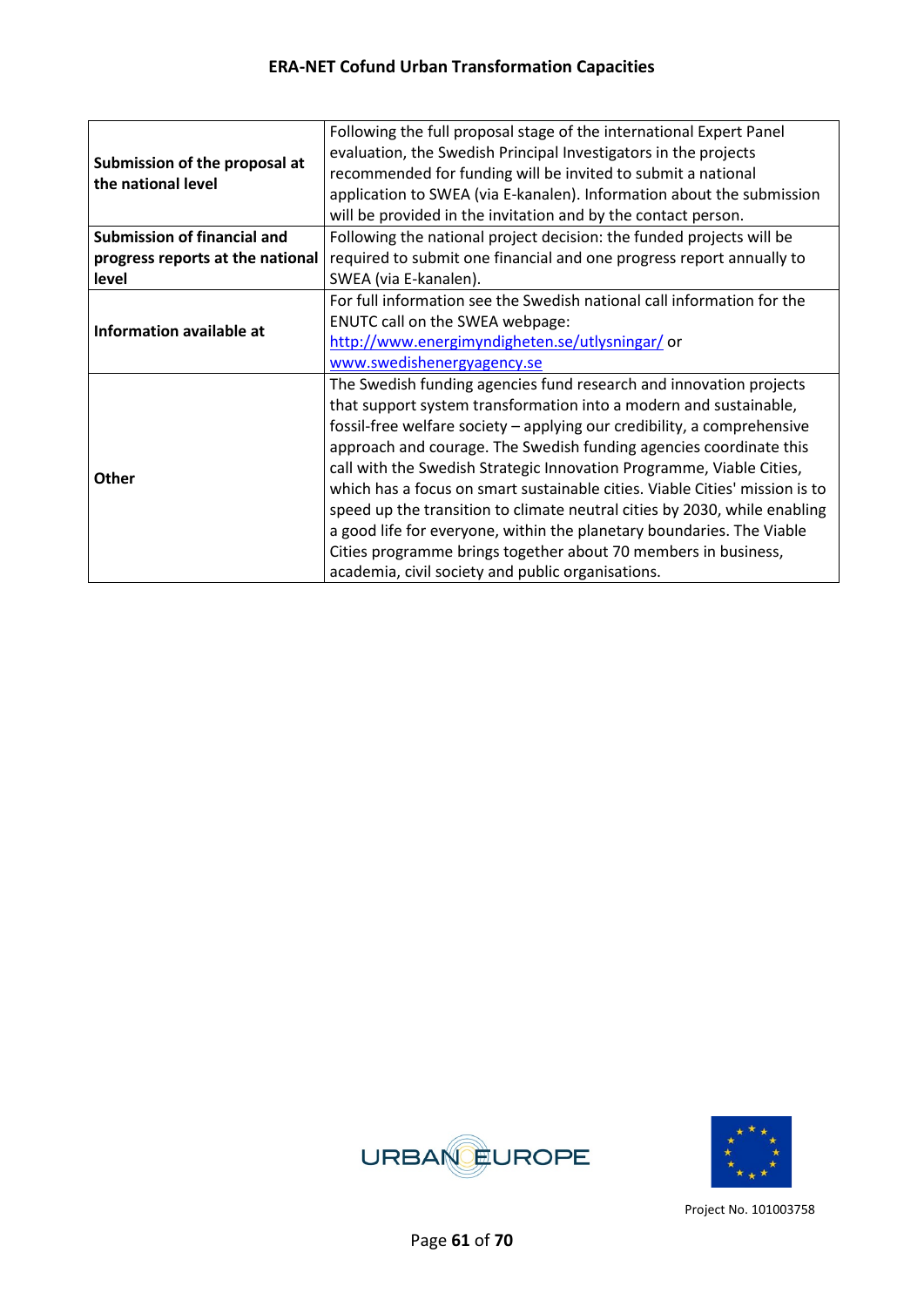|                                    | Following the full proposal stage of the international Expert Panel         |  |  |  |
|------------------------------------|-----------------------------------------------------------------------------|--|--|--|
| Submission of the proposal at      | evaluation, the Swedish Principal Investigators in the projects             |  |  |  |
| the national level                 | recommended for funding will be invited to submit a national                |  |  |  |
|                                    | application to SWEA (via E-kanalen). Information about the submission       |  |  |  |
|                                    | will be provided in the invitation and by the contact person.               |  |  |  |
| <b>Submission of financial and</b> | Following the national project decision: the funded projects will be        |  |  |  |
| progress reports at the national   | required to submit one financial and one progress report annually to        |  |  |  |
| level                              | SWEA (via E-kanalen).                                                       |  |  |  |
|                                    | For full information see the Swedish national call information for the      |  |  |  |
| Information available at           | ENUTC call on the SWEA webpage:                                             |  |  |  |
|                                    | http://www.energimyndigheten.se/utlysningar/or                              |  |  |  |
|                                    | www.swedishenergyagency.se                                                  |  |  |  |
|                                    | The Swedish funding agencies fund research and innovation projects          |  |  |  |
|                                    | that support system transformation into a modern and sustainable,           |  |  |  |
|                                    | fossil-free welfare society - applying our credibility, a comprehensive     |  |  |  |
|                                    | approach and courage. The Swedish funding agencies coordinate this          |  |  |  |
| <b>Other</b>                       | call with the Swedish Strategic Innovation Programme, Viable Cities,        |  |  |  |
|                                    | which has a focus on smart sustainable cities. Viable Cities' mission is to |  |  |  |
|                                    | speed up the transition to climate neutral cities by 2030, while enabling   |  |  |  |
|                                    | a good life for everyone, within the planetary boundaries. The Viable       |  |  |  |
|                                    | Cities programme brings together about 70 members in business,              |  |  |  |
|                                    | academia, civil society and public organisations.                           |  |  |  |



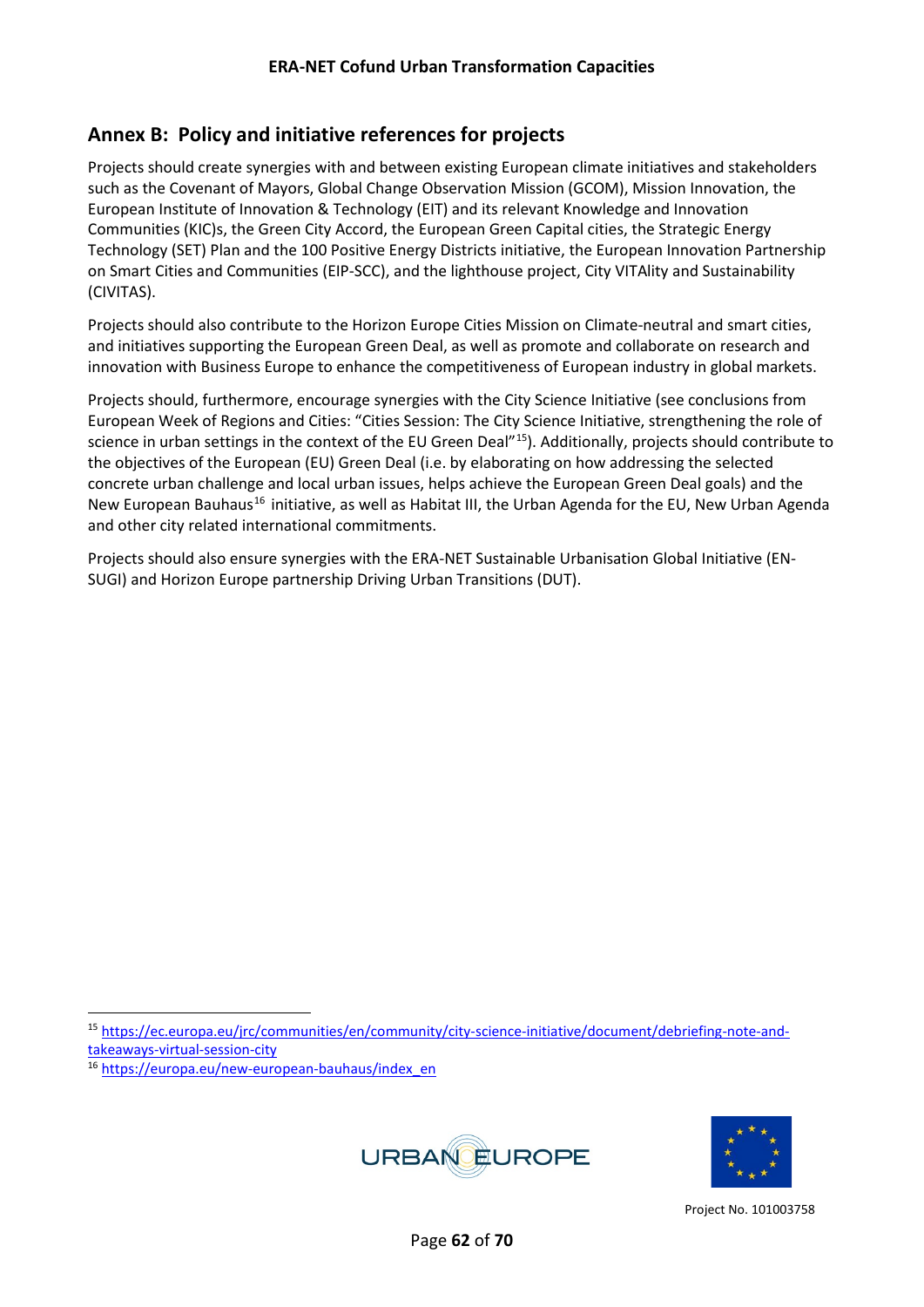## <span id="page-61-0"></span>**Annex B: Policy and initiative references for projects**

Projects should create synergies with and between existing European climate initiatives and stakeholders such as the Covenant of Mayors, Global Change Observation Mission (GCOM), Mission Innovation, the [European Institute of Innovation & Technology \(E](https://eit.europa.eu/)IT) and its relevant Knowledge and Innovation Communities (KIC)s, the Green City Accord, the European Green Capital cities, the Strategic Energy Technology (SET) Plan and the 100 Positive Energy Districts initiative, the European Innovation Partnership on Smart Cities and Communities (EIP-SCC), and the lighthouse project, City VITAlity and Sustainability (CIVITAS).

Projects should also contribute to the Horizon Europe Cities Mission on Climate-neutral and smart cities, and initiatives supporting the European Green Deal, as well as promote and collaborate on research and innovation with Business Europe to enhance the competitiveness of European industry in global markets.

Projects should, furthermore, encourage synergies with the City Science Initiative (see conclusions from European Week of Regions and Cities: "Cities Session: The City Science Initiative, strengthening the role of science in urban settings in the context of the EU Green Deal"[15\)](#page-61-1). Additionally, projects should contribute to the objectives of the European (EU) Green Deal (i.e. by elaborating on how addressing the selected concrete urban challenge and local urban issues, helps achieve the European Green Deal goals) and the New European Bauhaus<sup>[16](#page-61-2)</sup> initiative, as well as Habitat III, the Urban Agenda for the EU, New Urban Agenda and other city related international commitments.

Projects should also ensure synergies with the ERA-NET Sustainable Urbanisation Global Initiative (EN-SUGI) and Horizon Europe partnership Driving Urban Transitions (DUT).

<span id="page-61-2"></span><sup>16</sup> [https://europa.eu/new-european-bauhaus/index\\_en](https://europa.eu/new-european-bauhaus/index_en)





<span id="page-61-1"></span><sup>15</sup> [https://ec.europa.eu/jrc/communities/en/community/city-science-initiative/document/debriefing-note-and](https://ec.europa.eu/jrc/communities/en/community/city-science-initiative/document/debriefing-note-and-takeaways-virtual-session-city)[takeaways-virtual-session-city](https://ec.europa.eu/jrc/communities/en/community/city-science-initiative/document/debriefing-note-and-takeaways-virtual-session-city)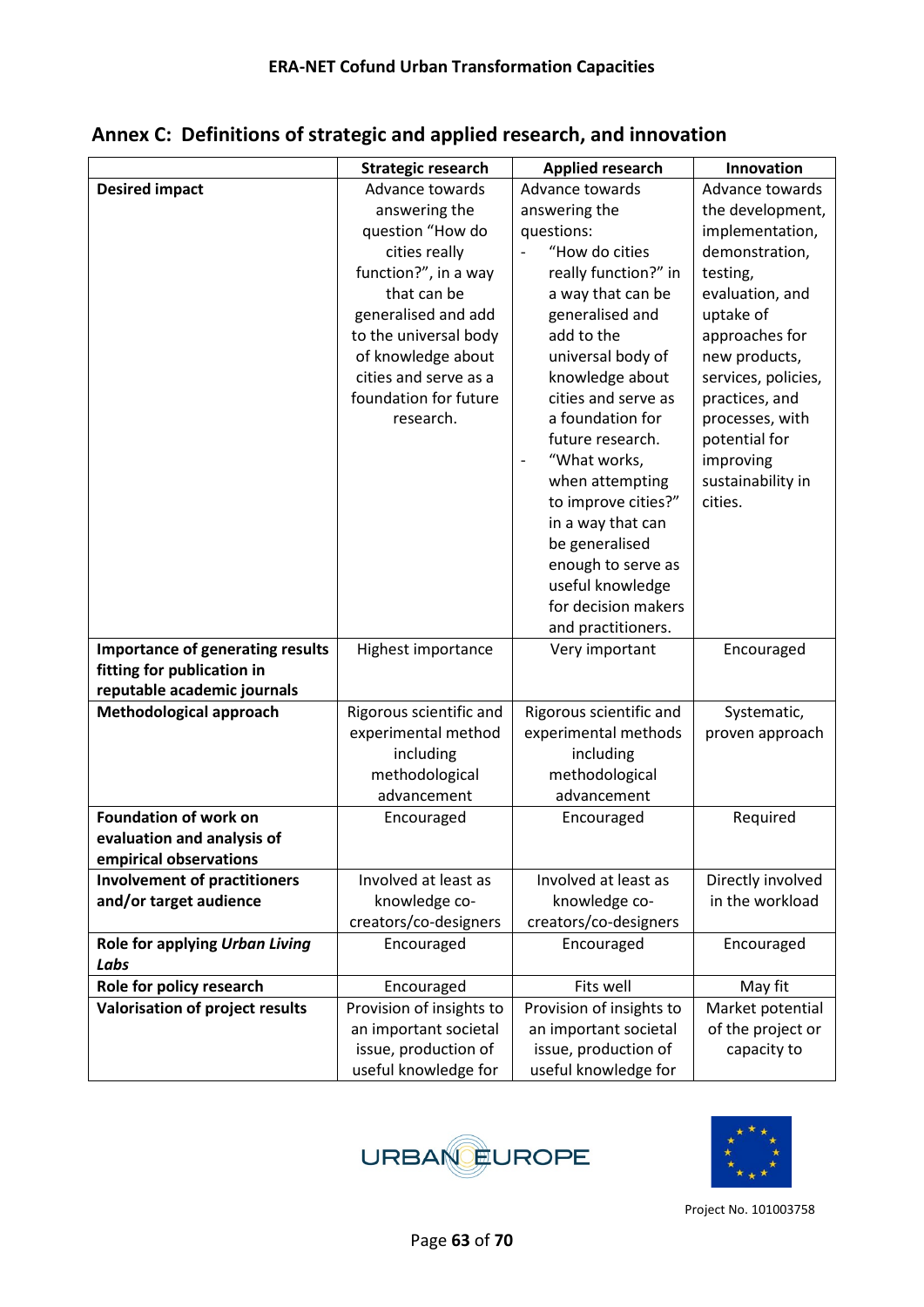|                                                                       | <b>Strategic research</b> | <b>Applied research</b>                    | Innovation          |
|-----------------------------------------------------------------------|---------------------------|--------------------------------------------|---------------------|
| <b>Desired impact</b>                                                 | Advance towards           | Advance towards                            | Advance towards     |
|                                                                       | answering the             | answering the                              | the development,    |
|                                                                       | question "How do          | questions:                                 | implementation,     |
|                                                                       | cities really             | "How do cities<br>$\overline{\phantom{a}}$ | demonstration,      |
|                                                                       | function?", in a way      | really function?" in                       | testing,            |
|                                                                       | that can be               | a way that can be                          | evaluation, and     |
|                                                                       | generalised and add       | generalised and                            | uptake of           |
|                                                                       | to the universal body     | add to the                                 | approaches for      |
|                                                                       | of knowledge about        | universal body of                          | new products,       |
|                                                                       | cities and serve as a     | knowledge about                            | services, policies, |
|                                                                       | foundation for future     | cities and serve as                        | practices, and      |
|                                                                       | research.                 | a foundation for                           | processes, with     |
|                                                                       |                           | future research.                           | potential for       |
|                                                                       |                           | "What works,                               | improving           |
|                                                                       |                           | when attempting                            | sustainability in   |
|                                                                       |                           | to improve cities?"                        | cities.             |
|                                                                       |                           | in a way that can                          |                     |
|                                                                       |                           | be generalised                             |                     |
|                                                                       |                           | enough to serve as                         |                     |
|                                                                       |                           | useful knowledge                           |                     |
|                                                                       |                           | for decision makers                        |                     |
|                                                                       |                           | and practitioners.                         |                     |
| <b>Importance of generating results</b><br>fitting for publication in | Highest importance        | Very important                             | Encouraged          |
| reputable academic journals                                           |                           |                                            |                     |
| Methodological approach                                               | Rigorous scientific and   | Rigorous scientific and                    | Systematic,         |
|                                                                       | experimental method       | experimental methods                       | proven approach     |
|                                                                       | including                 | including                                  |                     |
|                                                                       | methodological            | methodological                             |                     |
|                                                                       | advancement               | advancement                                |                     |
| <b>Foundation of work on</b>                                          | Encouraged                | Encouraged                                 | Required            |
| evaluation and analysis of                                            |                           |                                            |                     |
| empirical observations                                                |                           |                                            |                     |
| <b>Involvement of practitioners</b>                                   | Involved at least as      | Involved at least as                       | Directly involved   |
| and/or target audience                                                | knowledge co-             | knowledge co-                              | in the workload     |
|                                                                       | creators/co-designers     | creators/co-designers                      |                     |
| Role for applying Urban Living                                        | Encouraged                | Encouraged                                 | Encouraged          |
| Labs                                                                  |                           |                                            |                     |
| Role for policy research                                              | Encouraged                | Fits well                                  | May fit             |
| Valorisation of project results                                       | Provision of insights to  | Provision of insights to                   | Market potential    |
|                                                                       | an important societal     | an important societal                      | of the project or   |
|                                                                       | issue, production of      | issue, production of                       | capacity to         |
|                                                                       | useful knowledge for      | useful knowledge for                       |                     |

<span id="page-62-0"></span>**Annex C: Definitions of strategic and applied research, and innovation** 



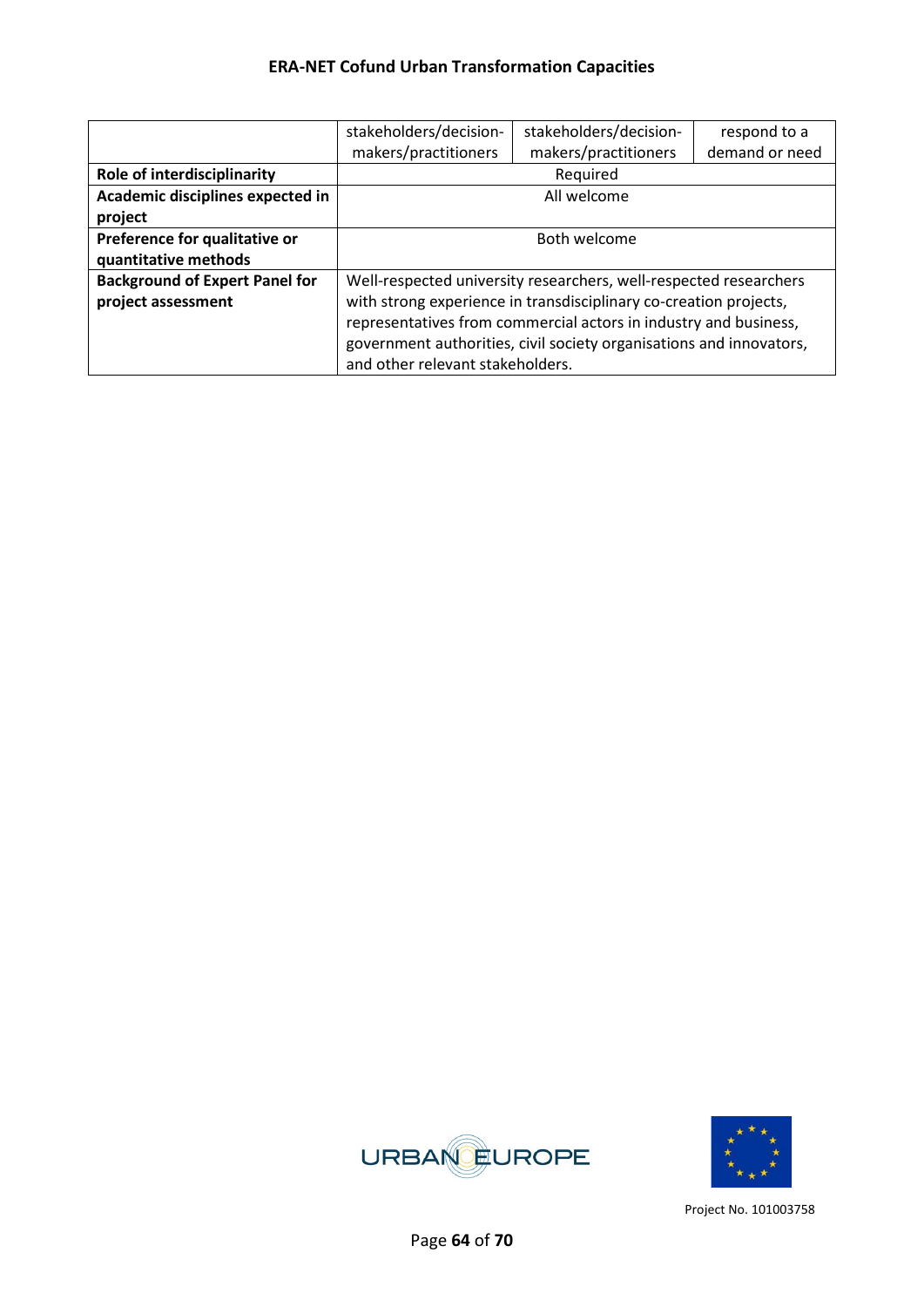|                                       | stakeholders/decision-           | stakeholders/decision-                                              | respond to a   |
|---------------------------------------|----------------------------------|---------------------------------------------------------------------|----------------|
|                                       | makers/practitioners             | makers/practitioners                                                | demand or need |
| <b>Role of interdisciplinarity</b>    |                                  | Required                                                            |                |
| Academic disciplines expected in      |                                  | All welcome                                                         |                |
| project                               |                                  |                                                                     |                |
| Preference for qualitative or         |                                  | Both welcome                                                        |                |
| quantitative methods                  |                                  |                                                                     |                |
| <b>Background of Expert Panel for</b> |                                  | Well-respected university researchers, well-respected researchers   |                |
| project assessment                    |                                  | with strong experience in transdisciplinary co-creation projects,   |                |
|                                       |                                  | representatives from commercial actors in industry and business,    |                |
|                                       |                                  | government authorities, civil society organisations and innovators, |                |
|                                       | and other relevant stakeholders. |                                                                     |                |



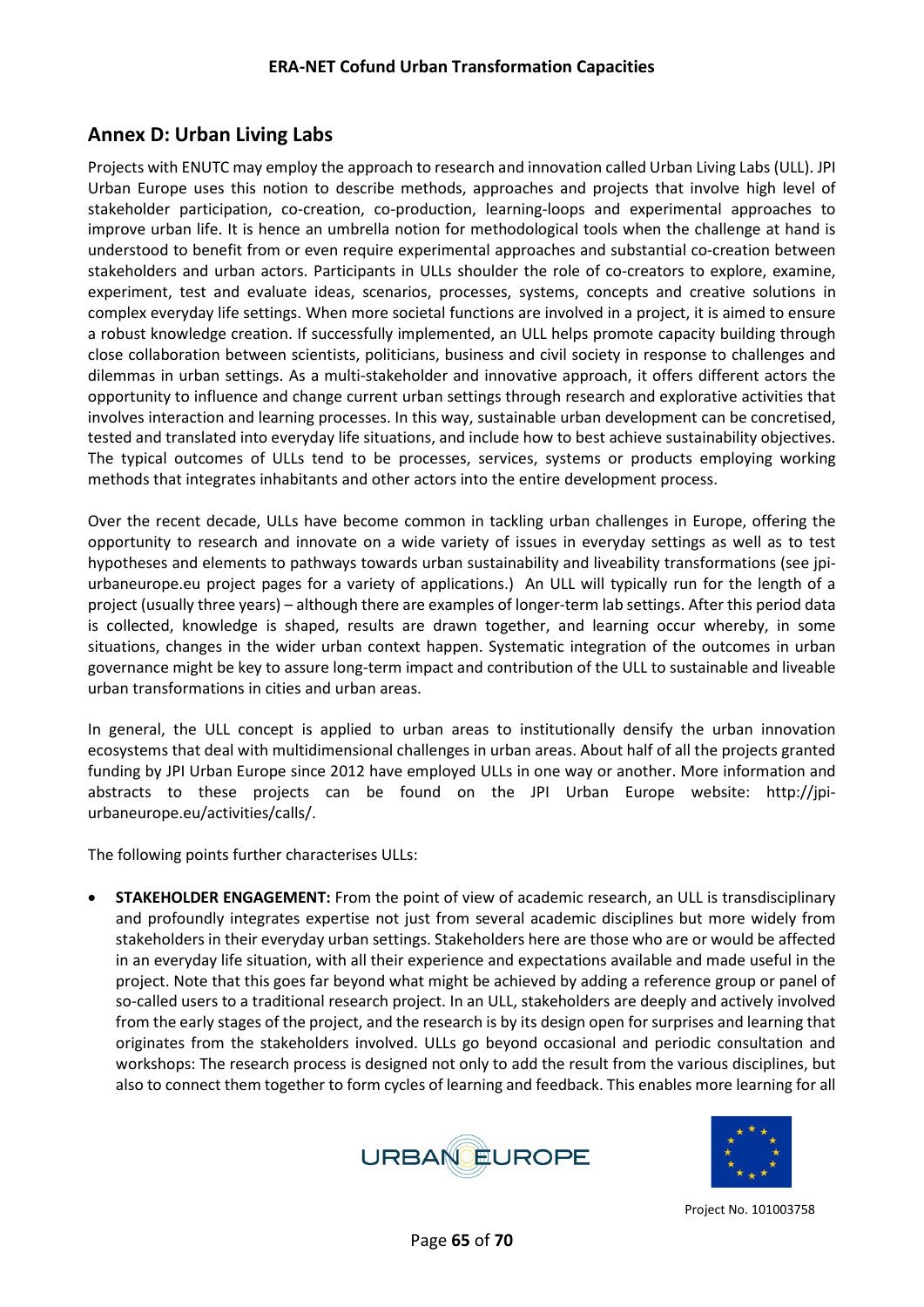## <span id="page-64-0"></span>**Annex D: Urban Living Labs**

Projects with ENUTC may employ the approach to research and innovation called Urban Living Labs (ULL). JPI Urban Europe uses this notion to describe methods, approaches and projects that involve high level of stakeholder participation, co-creation, co-production, learning-loops and experimental approaches to improve urban life. It is hence an umbrella notion for methodological tools when the challenge at hand is understood to benefit from or even require experimental approaches and substantial co-creation between stakeholders and urban actors. Participants in ULLs shoulder the role of co-creators to explore, examine, experiment, test and evaluate ideas, scenarios, processes, systems, concepts and creative solutions in complex everyday life settings. When more societal functions are involved in a project, it is aimed to ensure a robust knowledge creation. If successfully implemented, an ULL helps promote capacity building through close collaboration between scientists, politicians, business and civil society in response to challenges and dilemmas in urban settings. As a multi-stakeholder and innovative approach, it offers different actors the opportunity to influence and change current urban settings through research and explorative activities that involves interaction and learning processes. In this way, sustainable urban development can be concretised, tested and translated into everyday life situations, and include how to best achieve sustainability objectives. The typical outcomes of ULLs tend to be processes, services, systems or products employing working methods that integrates inhabitants and other actors into the entire development process.

Over the recent decade, ULLs have become common in tackling urban challenges in Europe, offering the opportunity to research and innovate on a wide variety of issues in everyday settings as well as to test hypotheses and elements to pathways towards urban sustainability and liveability transformations (see jpiurbaneurope.eu project pages for a variety of applications.) An ULL will typically run for the length of a project (usually three years) – although there are examples of longer-term lab settings. After this period data is collected, knowledge is shaped, results are drawn together, and learning occur whereby, in some situations, changes in the wider urban context happen. Systematic integration of the outcomes in urban governance might be key to assure long-term impact and contribution of the ULL to sustainable and liveable urban transformations in cities and urban areas.

In general, the ULL concept is applied to urban areas to institutionally densify the urban innovation ecosystems that deal with multidimensional challenges in urban areas. About half of all the projects granted funding by JPI Urban Europe since 2012 have employed ULLs in one way or another. More information and abstracts to these projects can be found on the JPI Urban Europe website: http://jpiurbaneurope.eu/activities/calls/.

The following points further characterises ULLs:

• **STAKEHOLDER ENGAGEMENT:** From the point of view of academic research, an ULL is transdisciplinary and profoundly integrates expertise not just from several academic disciplines but more widely from stakeholders in their everyday urban settings. Stakeholders here are those who are or would be affected in an everyday life situation, with all their experience and expectations available and made useful in the project. Note that this goes far beyond what might be achieved by adding a reference group or panel of so-called users to a traditional research project. In an ULL, stakeholders are deeply and actively involved from the early stages of the project, and the research is by its design open for surprises and learning that originates from the stakeholders involved. ULLs go beyond occasional and periodic consultation and workshops: The research process is designed not only to add the result from the various disciplines, but also to connect them together to form cycles of learning and feedback. This enables more learning for all



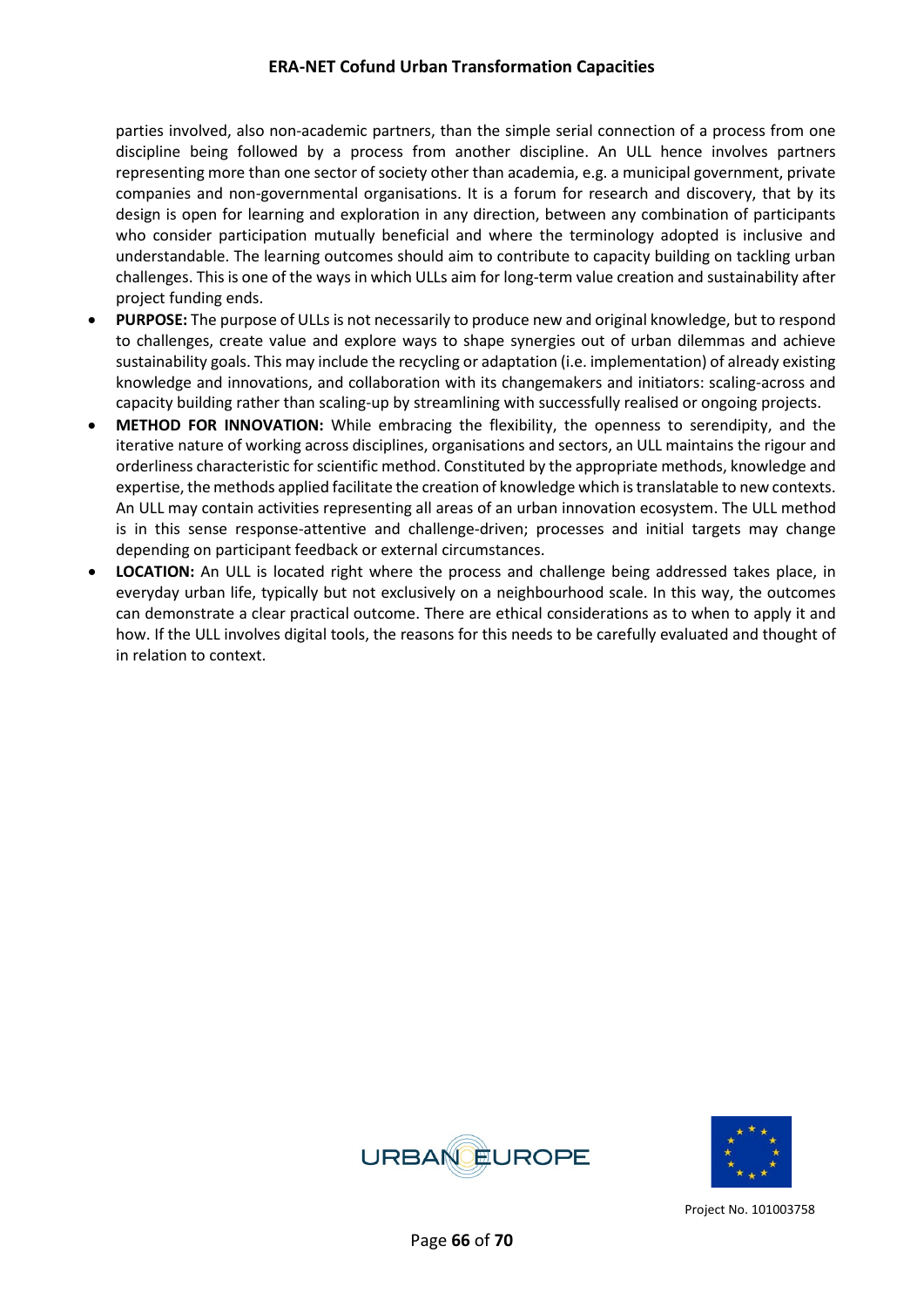parties involved, also non-academic partners, than the simple serial connection of a process from one discipline being followed by a process from another discipline. An ULL hence involves partners representing more than one sector of society other than academia, e.g. a municipal government, private companies and non-governmental organisations. It is a forum for research and discovery, that by its design is open for learning and exploration in any direction, between any combination of participants who consider participation mutually beneficial and where the terminology adopted is inclusive and understandable. The learning outcomes should aim to contribute to capacity building on tackling urban challenges. This is one of the ways in which ULLs aim for long-term value creation and sustainability after project funding ends.

- **PURPOSE:** The purpose of ULLs is not necessarily to produce new and original knowledge, but to respond to challenges, create value and explore ways to shape synergies out of urban dilemmas and achieve sustainability goals. This may include the recycling or adaptation (i.e. implementation) of already existing knowledge and innovations, and collaboration with its changemakers and initiators: scaling-across and capacity building rather than scaling-up by streamlining with successfully realised or ongoing projects.
- **METHOD FOR INNOVATION:** While embracing the flexibility, the openness to serendipity, and the iterative nature of working across disciplines, organisations and sectors, an ULL maintains the rigour and orderliness characteristic for scientific method. Constituted by the appropriate methods, knowledge and expertise, the methods applied facilitate the creation of knowledge which is translatable to new contexts. An ULL may contain activities representing all areas of an urban innovation ecosystem. The ULL method is in this sense response-attentive and challenge-driven; processes and initial targets may change depending on participant feedback or external circumstances.
- **LOCATION:** An ULL is located right where the process and challenge being addressed takes place, in everyday urban life, typically but not exclusively on a neighbourhood scale. In this way, the outcomes can demonstrate a clear practical outcome. There are ethical considerations as to when to apply it and how. If the ULL involves digital tools, the reasons for this needs to be carefully evaluated and thought of in relation to context.



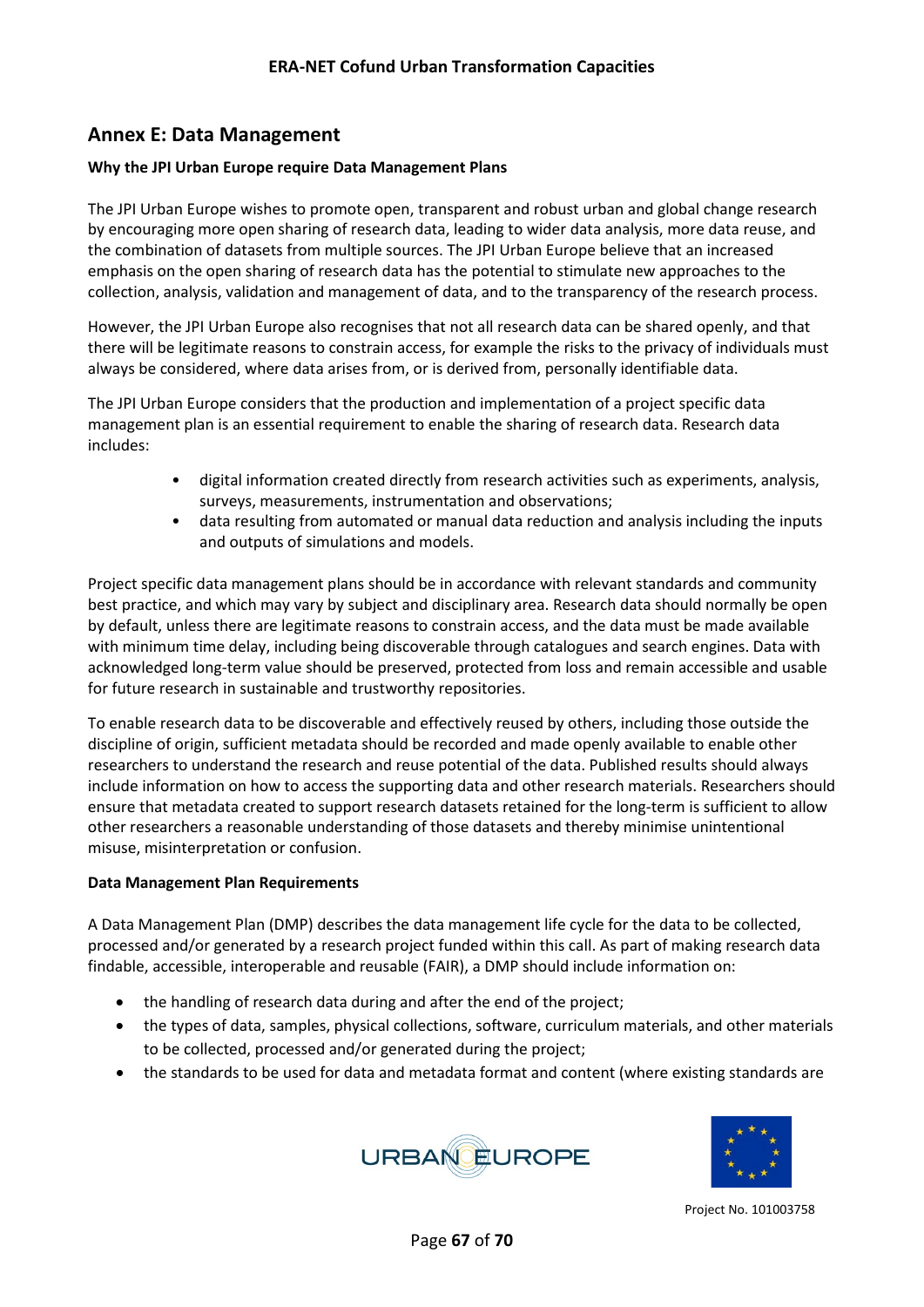## <span id="page-66-0"></span>**Annex E: Data Management**

#### **Why the JPI Urban Europe require Data Management Plans**

The JPI Urban Europe wishes to promote open, transparent and robust urban and global change research by encouraging more open sharing of research data, leading to wider data analysis, more data reuse, and the combination of datasets from multiple sources. The JPI Urban Europe believe that an increased emphasis on the open sharing of research data has the potential to stimulate new approaches to the collection, analysis, validation and management of data, and to the transparency of the research process.

However, the JPI Urban Europe also recognises that not all research data can be shared openly, and that there will be legitimate reasons to constrain access, for example the risks to the privacy of individuals must always be considered, where data arises from, or is derived from, personally identifiable data.

The JPI Urban Europe considers that the production and implementation of a project specific data management plan is an essential requirement to enable the sharing of research data. Research data includes:

- digital information created directly from research activities such as experiments, analysis, surveys, measurements, instrumentation and observations;
- data resulting from automated or manual data reduction and analysis including the inputs and outputs of simulations and models.

Project specific data management plans should be in accordance with relevant standards and community best practice, and which may vary by subject and disciplinary area. Research data should normally be open by default, unless there are legitimate reasons to constrain access, and the data must be made available with minimum time delay, including being discoverable through catalogues and search engines. Data with acknowledged long-term value should be preserved, protected from loss and remain accessible and usable for future research in sustainable and trustworthy repositories.

To enable research data to be discoverable and effectively reused by others, including those outside the discipline of origin, sufficient metadata should be recorded and made openly available to enable other researchers to understand the research and reuse potential of the data. Published results should always include information on how to access the supporting data and other research materials. Researchers should ensure that metadata created to support research datasets retained for the long-term is sufficient to allow other researchers a reasonable understanding of those datasets and thereby minimise unintentional misuse, misinterpretation or confusion.

#### **Data Management Plan Requirements**

A Data Management Plan (DMP) describes the data management life cycle for the data to be collected, processed and/or generated by a research project funded within this call. As part of making research data findable, accessible, interoperable and reusable (FAIR), a DMP should include information on:

- the handling of research data during and after the end of the project;
- the types of data, samples, physical collections, software, curriculum materials, and other materials to be collected, processed and/or generated during the project;
- the standards to be used for data and metadata format and content (where existing standards are



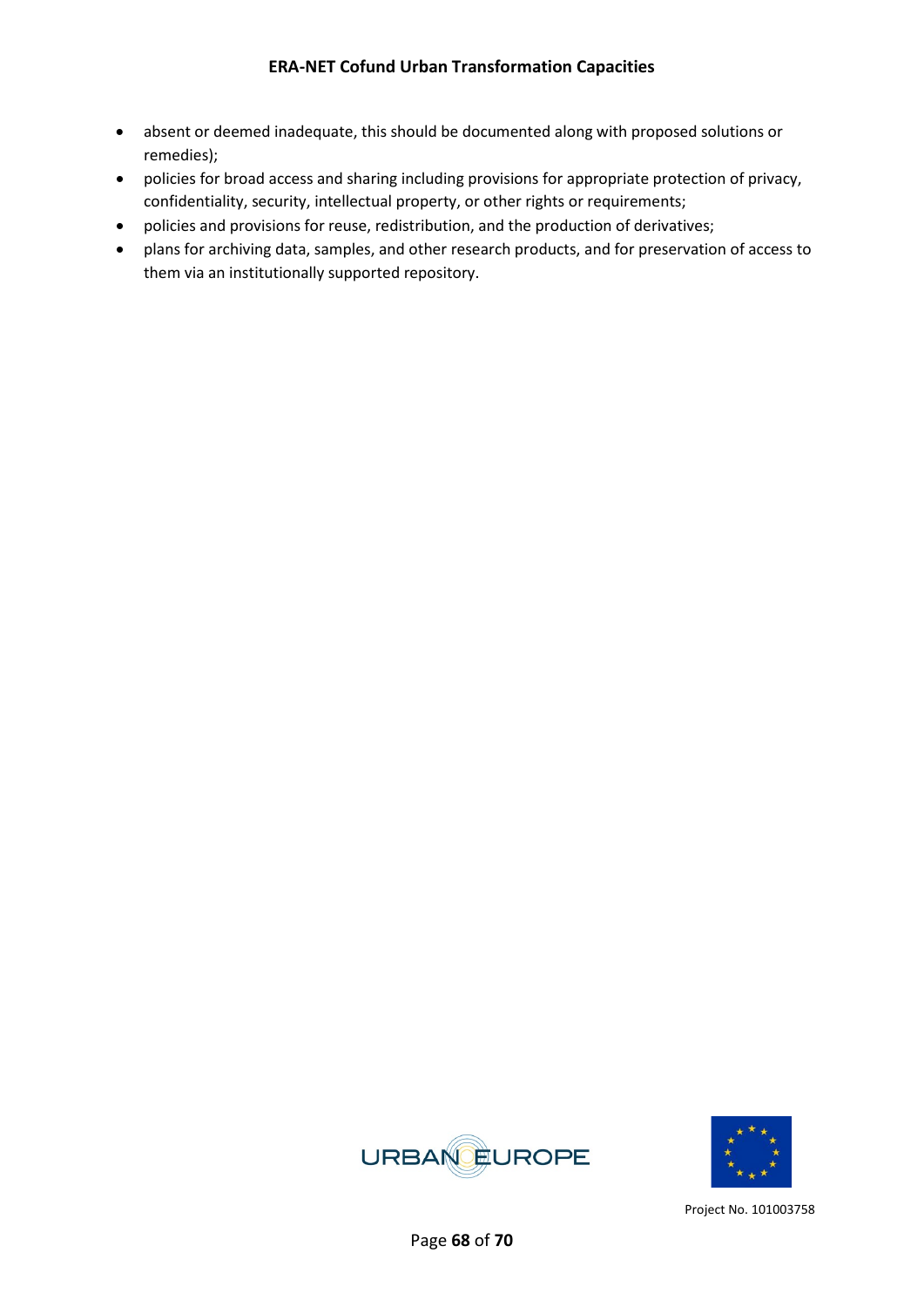- absent or deemed inadequate, this should be documented along with proposed solutions or remedies);
- policies for broad access and sharing including provisions for appropriate protection of privacy, confidentiality, security, intellectual property, or other rights or requirements;
- policies and provisions for reuse, redistribution, and the production of derivatives;
- plans for archiving data, samples, and other research products, and for preservation of access to them via an institutionally supported repository.



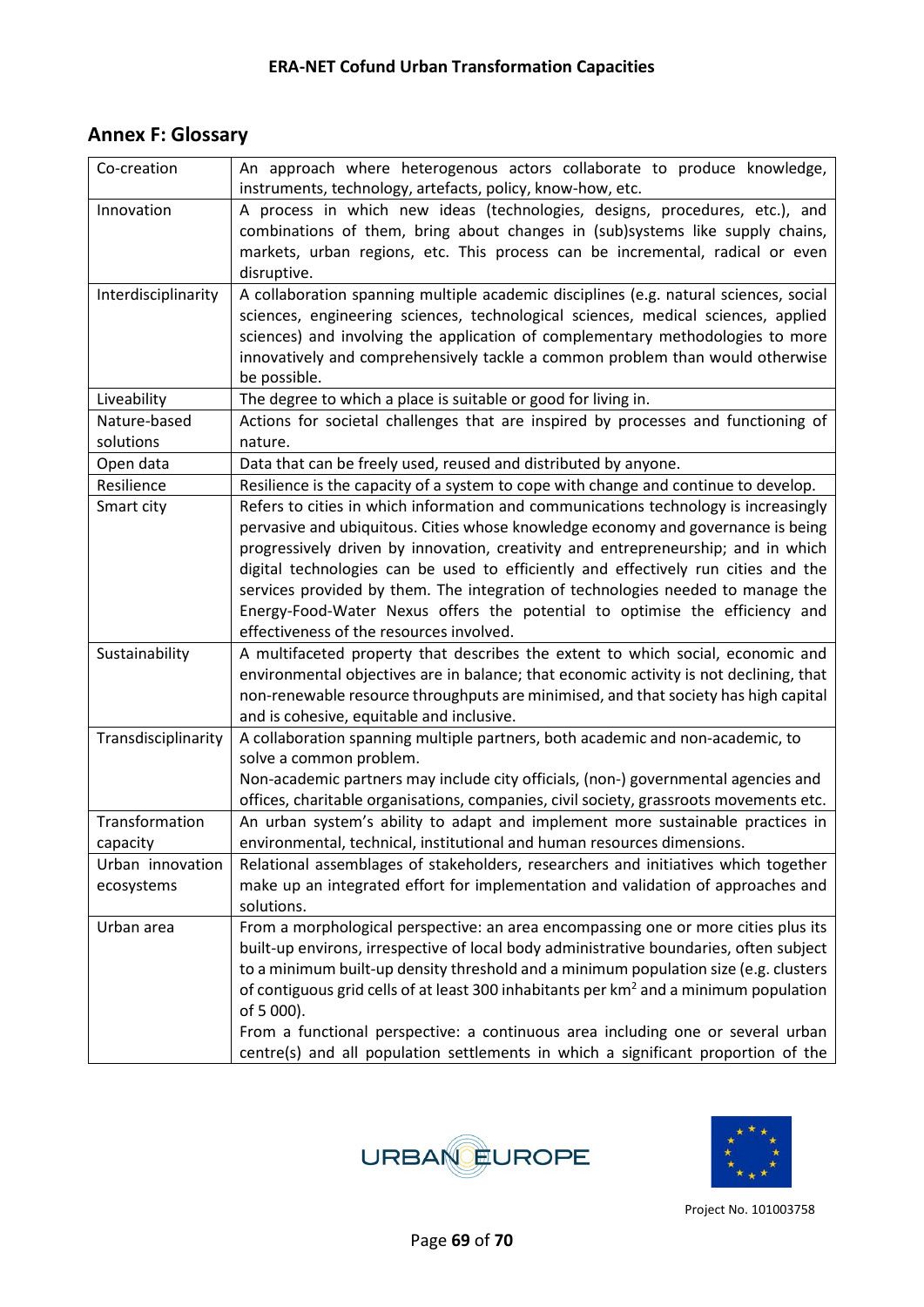## <span id="page-68-0"></span>**Annex F: Glossary**

| Co-creation         | An approach where heterogenous actors collaborate to produce knowledge,                           |
|---------------------|---------------------------------------------------------------------------------------------------|
|                     | instruments, technology, artefacts, policy, know-how, etc.                                        |
| Innovation          | A process in which new ideas (technologies, designs, procedures, etc.), and                       |
|                     | combinations of them, bring about changes in (sub)systems like supply chains,                     |
|                     | markets, urban regions, etc. This process can be incremental, radical or even                     |
|                     | disruptive.                                                                                       |
| Interdisciplinarity | A collaboration spanning multiple academic disciplines (e.g. natural sciences, social             |
|                     | sciences, engineering sciences, technological sciences, medical sciences, applied                 |
|                     | sciences) and involving the application of complementary methodologies to more                    |
|                     | innovatively and comprehensively tackle a common problem than would otherwise                     |
|                     | be possible.                                                                                      |
| Liveability         | The degree to which a place is suitable or good for living in.                                    |
| Nature-based        | Actions for societal challenges that are inspired by processes and functioning of                 |
| solutions           | nature.                                                                                           |
| Open data           | Data that can be freely used, reused and distributed by anyone.                                   |
| Resilience          | Resilience is the capacity of a system to cope with change and continue to develop.               |
| Smart city          | Refers to cities in which information and communications technology is increasingly               |
|                     | pervasive and ubiquitous. Cities whose knowledge economy and governance is being                  |
|                     | progressively driven by innovation, creativity and entrepreneurship; and in which                 |
|                     | digital technologies can be used to efficiently and effectively run cities and the                |
|                     | services provided by them. The integration of technologies needed to manage the                   |
|                     | Energy-Food-Water Nexus offers the potential to optimise the efficiency and                       |
|                     | effectiveness of the resources involved.                                                          |
| Sustainability      | A multifaceted property that describes the extent to which social, economic and                   |
|                     | environmental objectives are in balance; that economic activity is not declining, that            |
|                     | non-renewable resource throughputs are minimised, and that society has high capital               |
|                     | and is cohesive, equitable and inclusive.                                                         |
| Transdisciplinarity | A collaboration spanning multiple partners, both academic and non-academic, to                    |
|                     | solve a common problem.                                                                           |
|                     | Non-academic partners may include city officials, (non-) governmental agencies and                |
|                     | offices, charitable organisations, companies, civil society, grassroots movements etc.            |
| Transformation      | An urban system's ability to adapt and implement more sustainable practices in                    |
| capacity            | environmental, technical, institutional and human resources dimensions.                           |
| Urban innovation    | Relational assemblages of stakeholders, researchers and initiatives which together                |
| ecosystems          | make up an integrated effort for implementation and validation of approaches and                  |
|                     | solutions.                                                                                        |
| Urban area          | From a morphological perspective: an area encompassing one or more cities plus its                |
|                     | built-up environs, irrespective of local body administrative boundaries, often subject            |
|                     | to a minimum built-up density threshold and a minimum population size (e.g. clusters              |
|                     | of contiguous grid cells of at least 300 inhabitants per km <sup>2</sup> and a minimum population |
|                     | of 5 000).                                                                                        |
|                     | From a functional perspective: a continuous area including one or several urban                   |
|                     | centre(s) and all population settlements in which a significant proportion of the                 |